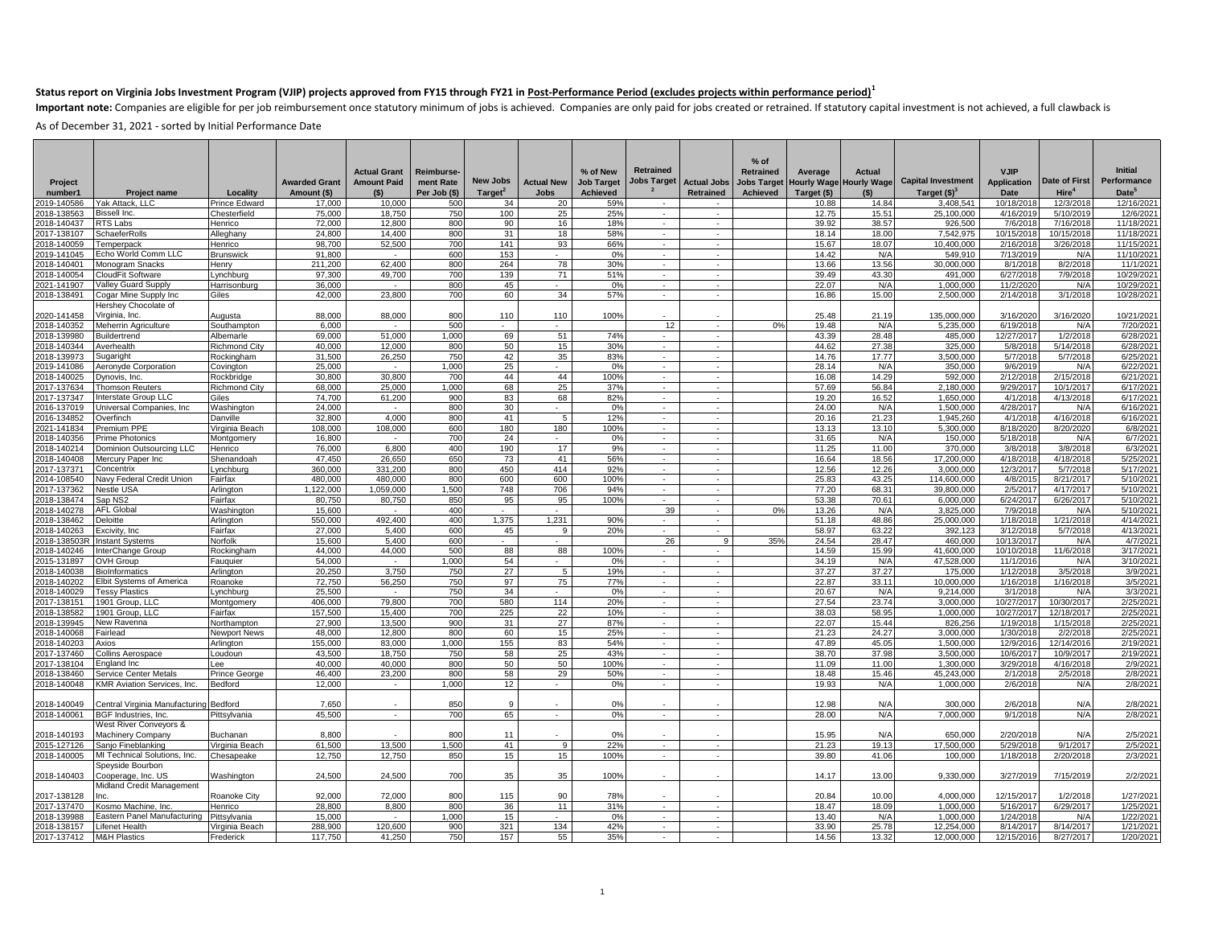Important note: Companies are eligible for per job reimbursement once statutory minimum of jobs is achieved. Companies are only paid for jobs created or retrained. If statutory capital investment is not achieved, a full cl

| Project<br>number1<br>2019-140586 | <b>Project name</b><br>Yak Attack, LLC           | Locality<br>Prince Edward          | <b>Awarded Grant</b><br>Amount (\$)<br>17.000 | <b>Actual Grant</b><br><b>Amount Paid</b><br>(S)<br>10.000 | Reimburse-<br>ment Rate<br>Per Job (\$)<br>500 | New Jobs<br>Target <sup>2</sup><br>34 | <b>Actual New</b><br><b>Jobs</b><br>20 | % of New<br><b>Job Target</b><br><b>Achieved</b><br>59% | <b>Retrained</b><br>Jobs Target<br>. — | <b>Actual Jobs</b><br><b>Retrained</b><br>$\sim$ | $%$ of<br><b>Retrained</b><br>Jobs Target<br>Achieved | Average<br><b>Hourly Wage</b><br>Target (\$)<br>10.88 | Actual<br><b>Hourly Wage</b><br>(5)<br>14.84 | <b>Capital Investment</b><br>Target $(§)3$<br>3.408.541 | <b>VJIP</b><br><b>Application</b><br>Date<br>10/18/2018 | Date of First<br>Hire <sup>4</sup><br>12/3/2018 | <b>Initial</b><br>Performance<br>Date <sup>5</sup><br>12/16/2021 |
|-----------------------------------|--------------------------------------------------|------------------------------------|-----------------------------------------------|------------------------------------------------------------|------------------------------------------------|---------------------------------------|----------------------------------------|---------------------------------------------------------|----------------------------------------|--------------------------------------------------|-------------------------------------------------------|-------------------------------------------------------|----------------------------------------------|---------------------------------------------------------|---------------------------------------------------------|-------------------------------------------------|------------------------------------------------------------------|
| 2018-138563                       | Bissell Inc.                                     | Chesterfield                       | 75,000                                        | 18,750                                                     | 750                                            | 100                                   | 25                                     | 25%                                                     | $\sim$                                 | $\sim$                                           |                                                       | 12.75                                                 | 15.51                                        | 25,100,000                                              | 4/16/201                                                | 5/10/2019                                       | 12/6/2021                                                        |
| 018-140437                        | RTS Labs                                         | Henrico                            | 72,000                                        | 12.800                                                     | 800                                            | 90                                    | 16                                     | 18%                                                     |                                        | ÷.                                               |                                                       | 39.92                                                 | 38.57                                        | 926,500                                                 | 7/6/201                                                 | 7/16/2018                                       | 11/18/2021                                                       |
| 017-138107                        | SchaeferRolls                                    | Alleghany                          | 24,800                                        | 14.400                                                     | 800                                            | 31                                    | 18                                     | 58%                                                     | $\sim$                                 | ÷.                                               |                                                       | 18.14                                                 | 18.00                                        | 7.542.975                                               | 10/15/201                                               | 10/15/2018                                      | 11/18/2021                                                       |
| 2018-140059                       | Temperpack                                       | Henrico                            | 98.700                                        | 52,500                                                     | 700                                            | 141                                   | 93                                     | 66%                                                     |                                        | ٠                                                |                                                       | 15.67                                                 | 18.07                                        | 10.400.000                                              | 2/16/201                                                | 3/26/2018                                       | 11/15/2021                                                       |
| 2019-141045                       | Echo World Comm LLC                              | <b>Brunswick</b>                   | 91,800                                        | $\overline{\phantom{a}}$                                   | 600                                            | 153                                   |                                        | 0%                                                      | $\sim$                                 | $\sim$                                           |                                                       | 14.42                                                 | N/A                                          | 549,910                                                 | 7/13/201                                                | N/A                                             | 11/10/2021                                                       |
| 2018-140401                       | Monogram Snacks                                  | Henry                              | 211.200                                       | 62.400                                                     | 800                                            | 264                                   | 78                                     | 30%                                                     |                                        | $\sim$                                           |                                                       | 13.66                                                 | 13.56                                        | 30.000.000                                              | 8/1/201                                                 | 8/2/2018                                        | 11/1/2021                                                        |
| 2018-140054                       | CloudFit Software                                | Lynchburg                          | 97,300                                        | 49.700                                                     | 700                                            | 139                                   | 71                                     | 51%                                                     | $\sim$                                 | $\sim$                                           |                                                       | 39.49                                                 | 43.30                                        | 491,000                                                 | 6/27/201                                                | 7/9/2018                                        | 10/29/202                                                        |
| 2021-141907                       | <b>Valley Guard Supply</b>                       | Harrisonburg                       | 36,000                                        |                                                            | 800                                            | 45                                    |                                        | 0%                                                      | $\sim$                                 | $\sim$                                           |                                                       | 22.07                                                 | N/A                                          | 1,000,000                                               | 11/2/2020                                               | N/A                                             | 10/29/202                                                        |
| 2018-138491                       | Cogar Mine Supply Inc                            | Giles                              | 42.000                                        | 23.800                                                     | 700                                            | 60                                    | 34                                     | 57%                                                     | $\sim$                                 | $\overline{\phantom{a}}$                         |                                                       | 16.86                                                 | 15.00                                        | 2.500.000                                               | 2/14/2018                                               | 3/1/2018                                        | 10/28/2021                                                       |
|                                   | Hershey Chocolate of                             |                                    |                                               |                                                            |                                                |                                       |                                        |                                                         |                                        |                                                  |                                                       |                                                       |                                              |                                                         |                                                         |                                                 |                                                                  |
| 2020-141458                       | Virginia, Inc.                                   | Augusta                            | 88.000                                        | 88.000                                                     | 800                                            | 110                                   | 110                                    | 100%                                                    |                                        | in 19                                            |                                                       | 25.48                                                 | 21.19                                        | 135.000.000                                             | 3/16/202                                                | 3/16/2020                                       | 10/21/2021                                                       |
| 2018-140352                       | Meherrin Agriculture                             | Southampton                        | 6.000                                         |                                                            | 500                                            |                                       |                                        |                                                         | 12                                     | ×.                                               | 0%                                                    | 19.48                                                 | N/A                                          | 5.235.000                                               | 6/19/201                                                | N/A                                             | 7/20/2021                                                        |
| 2018-139980                       | Buildertrend                                     | Albemarle                          | 69,000<br>40.000                              | 51,000<br>12.000                                           | 1,000<br>800                                   | 69<br>50                              | 51<br>15                               | 74%<br>30%                                              | $\sim$                                 | $\sim$                                           |                                                       | 43.39<br>44.62                                        | 28.48<br>27.38                               | 485,000<br>325.000                                      | 12/27/201<br>5/8/201                                    | 1/2/2018<br>5/14/2018                           | 6/28/2021<br>6/28/2021                                           |
| 2018-140344<br>018-139973         | Averhealth<br>Sugaright                          | <b>Richmond City</b><br>Rockingham | 31,500                                        | 26,250                                                     | 750                                            | 42                                    | 35                                     | 83%                                                     |                                        |                                                  |                                                       | 14.76                                                 | 17.77                                        | 3,500,000                                               | 5/7/201                                                 | 5/7/2018                                        | 6/25/2021                                                        |
| 2019-141086                       | Aeronyde Corporation                             | Covington                          | 25,000                                        | $\sim$                                                     | 1,000                                          | 25                                    | $\sim$                                 | 0%                                                      | $\sim$<br>$\sim$                       | $\sim$<br>$\sim$                                 |                                                       | 28.14                                                 | N/A                                          | 350,000                                                 | 9/6/201                                                 | N/A                                             | 6/22/2021                                                        |
| 2018-140025                       | Dynovis, Inc.                                    | Rockbridae                         | 30,800                                        | 30.800                                                     | 700                                            | 44                                    | 44                                     | 100%                                                    | $\sim$                                 | $\sim$                                           |                                                       | 16.08                                                 | 14.29                                        | 592.000                                                 | 2/12/201                                                | 2/15/2018                                       | 6/21/2021                                                        |
| 2017-137634                       | Thomson Reuters                                  | <b>Richmond City</b>               | 68,000                                        | 25,000                                                     | 1,000                                          | 68                                    | 25                                     | 37%                                                     | $\sim$                                 | $\sim$                                           |                                                       | 57.69                                                 | 56.84                                        | 2,180,000                                               | 9/29/201                                                | 10/1/2017                                       | 6/17/2021                                                        |
| 2017-137347                       | Interstate Group LLC                             | Giles                              | 74,700                                        | 61,200                                                     | 900                                            | 83                                    | 68                                     | 82%                                                     |                                        |                                                  |                                                       | 19.20                                                 | 16.52                                        | 1,650,000                                               | 4/1/201                                                 | 4/13/2018                                       | 6/17/2021                                                        |
| 2016-137019                       | Universal Companies, Inc                         | Washington                         | 24,000                                        | $\sim$                                                     | 800                                            | 30                                    | $\sim$                                 | 0%                                                      | $\sim$                                 | $\sim$                                           |                                                       | 24.00                                                 | N/A                                          | 1,500,000                                               | 4/28/201                                                | N/A                                             | 6/16/2021                                                        |
| 2016-134852                       | Overfinch                                        | Danville                           | 32,800                                        | 4.000                                                      | 800                                            | 41                                    | 5                                      | 12%                                                     | $\sim$                                 | $\sim$                                           |                                                       | 20.16                                                 | 21.23                                        | 1,945,260                                               | 4/1/201                                                 | 4/16/2018                                       | 6/16/2021                                                        |
| 2021-141834                       | Premium PPE                                      | Virginia Beach                     | 108,000                                       | 108.000                                                    | 600                                            | 180                                   | 180                                    | 100%                                                    | $\sim$                                 | in 19                                            |                                                       | 13.13                                                 | 13.10                                        | 5,300,000                                               | 8/18/202                                                | 8/20/2020                                       | 6/8/2021                                                         |
| 018-140356                        | Prime Photonics                                  | Montgomen                          | 16,800                                        |                                                            | 700                                            | 24                                    |                                        | 0%                                                      | $\sim$                                 | in 19                                            |                                                       | 31.65                                                 | N/A                                          | 150,000                                                 | 5/18/201                                                | N/A                                             | 6/7/2021                                                         |
| 2018-140214                       | Dominion Outsourcina LLC                         | Henrico                            | 76,000                                        | 6.800                                                      | 400                                            | 190                                   | 17                                     | 9%                                                      | $\sim$                                 | $\sim$                                           |                                                       | 11.25                                                 | 11.00                                        | 370.000                                                 | 3/8/201                                                 | 3/8/2018                                        | 6/3/202                                                          |
| 018-140408                        | Mercury Paper Inc                                | Shenandoah                         | 47.450                                        | 26.650                                                     | 650                                            | 73                                    | 41                                     | 56%                                                     | $\sim$                                 | $\sim$                                           |                                                       | 16.64                                                 | 18.56                                        | 17,200,000                                              | 4/18/201                                                | 4/18/2018                                       | 5/25/202                                                         |
| 2017-137371                       | Concentrix                                       | Lynchburg                          | 360,000                                       | 331,200                                                    | 800                                            | 450                                   | 414                                    | 92%                                                     |                                        | $\sim$                                           |                                                       | 12.56                                                 | 12.26                                        | 3,000,000                                               | 12/3/201                                                | 5/7/2018                                        | 5/17/2021                                                        |
| 2014-108540                       | Navy Federal Credit Union                        | Fairfax                            | 480.000                                       | 480.000                                                    | 800                                            | 600                                   | 600                                    | 100%                                                    | $\sim$                                 |                                                  |                                                       | 25.83                                                 | 43.25                                        | 114.600.000                                             | 4/8/201                                                 | 8/21/2017                                       | 5/10/202                                                         |
| 2017-137362                       | Nestle USA                                       | Arlinaton                          | .122.000                                      | 1.059.000                                                  | 1.500                                          | 748                                   | 706                                    | 94%                                                     | $\sim$                                 |                                                  |                                                       | 77.20                                                 | 68.31                                        | 39.800.000                                              | 2/5/201                                                 | 4/17/2017                                       | 5/10/2021                                                        |
| 2018-138474<br>2018-140278        | Sap NS2<br><b>AFL Global</b>                     | Fairfax<br>Washington              | 80.750<br>15.600                              | 80.750<br>$\sim$                                           | 850<br>400                                     | 95<br>$\sim$                          | 95<br>$\sim$                           | 100%                                                    | 39                                     | $\sim$                                           | 0%                                                    | 53.38<br>13.26                                        | 70.61<br>N/A                                 | 6.000.000<br>3,825,000                                  | 6/24/201<br>7/9/201                                     | 6/26/2017<br>N/A                                | 5/10/2021<br>5/10/2021                                           |
| 2018-138462                       | Deloitte                                         | Arlington                          | 550,000                                       | 492.400                                                    | 400                                            | 1.375                                 | 1.231                                  | 90%                                                     | $\sim$                                 | $\sim$                                           |                                                       | 51.18                                                 | 48.86                                        | 25.000.000                                              | 1/18/201                                                | 1/21/2018                                       | 4/14/2021                                                        |
| 2018-140263                       | Excivity, Inc                                    | Fairfax                            | 27,000                                        | 5.400                                                      | 600                                            | 45                                    | 9                                      | 20%                                                     | $\sim$                                 | ×                                                |                                                       | 58.97                                                 | 63.22                                        | 392,123                                                 | 3/12/201                                                | 5/7/2018                                        | 4/13/2021                                                        |
| 2018-138503R                      | <b>Instant Systems</b>                           | Norfolk                            | 15,600                                        | 5,400                                                      | 600                                            | $\sim$                                | $\sim$                                 |                                                         | 26                                     | -9                                               | 35%                                                   | 24.54                                                 | 28.47                                        | 460,000                                                 | 10/13/201                                               | N/A                                             | 4/7/2021                                                         |
| 2018-140246                       | InterChange Group                                | Rockingham                         | 44.000                                        | 44.000                                                     | 500                                            | 88                                    | 88                                     | 100%                                                    |                                        |                                                  |                                                       | 14.59                                                 | 15.99                                        | 41.600.000                                              | 10/10/2018                                              | 11/6/2018                                       | 3/17/2021                                                        |
| 2015-131897                       | OVH Group                                        | Fauquier                           | 54,000                                        | $\sim$                                                     | 000, 1                                         | 54                                    | $\sim$                                 | 0%                                                      | $\sim$                                 | $\sim$                                           |                                                       | 34.19                                                 | N/A                                          | 47,528,000                                              | 11/1/201                                                | N/A                                             | 3/10/2021                                                        |
| 2018-140038                       | <b>BioInformatics</b>                            | Arlington                          | 20,250                                        | 3,750                                                      | 750                                            | 27                                    | -5                                     | 19%                                                     | $\sim$                                 | $\sim$                                           |                                                       | 37.27                                                 | 37.27                                        | 175,000                                                 | 1/12/201                                                | 3/5/2018                                        | 3/9/2021                                                         |
| 018-140202                        | Elbit Systems of America                         | Roanoke                            | 72.750                                        | 56.250                                                     | 750                                            | 97                                    | 75                                     | 77%                                                     | $\sim$                                 | in 19                                            |                                                       | 22.87                                                 | 33.11                                        | 10.000.000                                              | 1/16/201                                                | 1/16/2018                                       | 3/5/202                                                          |
| 2018-140029                       | <b>Tessy Plastics</b>                            | ynchburg                           | 25,500                                        |                                                            | 750                                            | 34                                    |                                        | 0%                                                      |                                        |                                                  |                                                       | 20.67                                                 | N/A                                          | 9,214,000                                               | 3/1/201                                                 | N/A                                             | 3/3/202                                                          |
| 2017-138151                       | 1901 Group, LLC                                  | Montgomery                         | 406.000                                       | 79,800                                                     | 700                                            | 580                                   | 114                                    | 20%                                                     |                                        |                                                  |                                                       | 27.54                                                 | 23.74                                        | 3,000,000                                               | 10/27/201                                               | 10/30/2017                                      | 2/25/202                                                         |
| 018-138582                        | 901 Group, LLC                                   | Fairfax                            | 157,500                                       | 15.400                                                     | 700                                            | 225                                   | 22                                     | 10%                                                     | $\sim$                                 | $\sim$                                           |                                                       | 38.03                                                 | 58.95                                        | 1.000.000                                               | 10/27/201                                               | 12/18/2017                                      | 2/25/202                                                         |
| 2018-139945                       | New Ravenna                                      | Northampton                        | 27,900                                        | 13.500                                                     | 900                                            | 31                                    | 27                                     | 87%                                                     | $\sim$                                 | $\sim$                                           |                                                       | 22.07                                                 | 15.44                                        | 826,256                                                 | 1/19/201                                                | 1/15/201                                        | 2/25/202                                                         |
| 2018-140068                       | Fairlead                                         | <b>Newport News</b>                | 48.000                                        | 12,800                                                     | 800                                            | 60                                    | 15                                     | 25%                                                     | $\sim$<br>a.                           | ×<br>in 19                                       |                                                       | 21.23                                                 | 24.27                                        | 3.000.000                                               | 1/30/201                                                | 2/2/2018                                        | 2/25/202                                                         |
| 2018-140203                       | Axios                                            | Arlington                          | 155,000<br>43,500                             | 83,000<br>18,750                                           | 1,000<br>750                                   | 155<br>58                             | 83<br>25                               | 54%<br>43%                                              |                                        | ÷.                                               |                                                       | 47.89<br>38.70                                        | 45.05<br>37.98                               | 1,500,000<br>3,500,000                                  | 12/9/201<br>10/6/201                                    | 12/14/201<br>10/9/201                           | 2/19/2021<br>2/19/2021                                           |
| 2017-137460<br>2017-138104        | Collins Aerospace                                | Loudoun<br>Lee                     | 40,000                                        | 40.000                                                     | 800                                            | 50                                    | 50                                     | 100%                                                    | $\sim$<br>$\sim$                       | $\sim$                                           |                                                       | 11.09                                                 | 11.00                                        | 1,300,000                                               | 3/29/201                                                | 4/16/2018                                       | 2/9/2021                                                         |
| 2018-138460                       | England Inc<br>Service Center Metals             | <b>Prince George</b>               | 46,400                                        | 23.200                                                     | 800                                            | 58                                    | 29                                     | 50%                                                     | $\sim$                                 | $\sim$                                           |                                                       | 18.48                                                 | 15.46                                        | 45,243,000                                              | 2/1/201                                                 | 2/5/2018                                        | 2/8/2021                                                         |
| 2018-140048                       | KMR Aviation Services, Inc.                      | Bedford                            | 12,000                                        |                                                            | 1,000                                          | 12                                    |                                        | 0%                                                      | $\sim$                                 | $\sim$                                           |                                                       | 19.93                                                 | N/A                                          | 1,000,000                                               | 2/6/201                                                 | N/A                                             | 2/8/2021                                                         |
|                                   |                                                  |                                    |                                               |                                                            |                                                |                                       |                                        |                                                         |                                        |                                                  |                                                       |                                                       |                                              |                                                         |                                                         |                                                 |                                                                  |
| 2018-140049                       | Central Virginia Manufacturino                   | Bedford                            | 7.650                                         |                                                            | 850                                            | <b>q</b>                              |                                        | 0%                                                      |                                        |                                                  |                                                       | 12.98                                                 | N/A                                          | 300,000                                                 | 2/6/201                                                 | N/A                                             | 2/8/2021                                                         |
| 2018-140061                       | BGF Industries, Inc.                             | Pittsylvania                       | 45,500                                        | $\overline{\phantom{a}}$                                   | 700                                            | 65                                    | $\overline{\phantom{a}}$               | 0%                                                      |                                        | $\sim$                                           |                                                       | 28.00                                                 | N/A                                          | 7,000,000                                               | 9/1/2018                                                | N/A                                             | 2/8/2021                                                         |
|                                   | West River Conveyors &                           |                                    |                                               |                                                            |                                                |                                       |                                        |                                                         |                                        |                                                  |                                                       |                                                       |                                              |                                                         |                                                         |                                                 |                                                                  |
| 2018-140193                       | <b>Machinery Company</b>                         | Buchanan                           | 8.800                                         |                                                            | 800                                            | 11                                    |                                        | 0%                                                      |                                        | ÷.                                               |                                                       | 15.95                                                 | N/A                                          | 650,000                                                 | 2/20/201                                                | N/A                                             | 2/5/2021                                                         |
| 2015-127126                       | Sanjo Fineblanking                               | Virginia Beach                     | 61.500<br>12,750                              | 13,500                                                     | 1.500<br>850                                   | 41<br>15                              | <sub>9</sub><br>15                     | 22%<br>100%                                             | $\sim$                                 | ÷.                                               |                                                       | 21.23<br>39.80                                        | 19.13<br>41.06                               | 17,500,000                                              | 5/29/201                                                | 9/1/201<br>2/20/2018                            | 2/5/2021                                                         |
| 2018-140005                       | MI Technical Solutions, Inc.<br>Speyside Bourbon | Chesapeake                         |                                               | 12,750                                                     |                                                |                                       |                                        |                                                         |                                        |                                                  |                                                       |                                                       |                                              | 100,000                                                 | 1/18/201                                                |                                                 | 2/3/2021                                                         |
| 2018-140403                       | Cooperage, Inc. US<br>Midland Credit Management  | Washington                         | 24,500                                        | 24,500                                                     | 700                                            | 35                                    | 35                                     | 100%                                                    |                                        |                                                  |                                                       | 14.17                                                 | 13.00                                        | 9,330,000                                               | 3/27/201                                                | 7/15/2019                                       | 2/2/2021                                                         |
| 2017-138128                       | nc                                               | Roanoke City                       | 92.000                                        | 72.000                                                     | 800                                            | 115                                   | 90                                     | 78%                                                     |                                        |                                                  |                                                       | 20.84                                                 | 10.00                                        | 4.000.000                                               | 12/15/201                                               | 1/2/2018                                        | 1/27/2021                                                        |
| 2017-137470                       | Kosmo Machine, Inc.                              | Henrico                            | 28,800                                        | 8.800                                                      | 800                                            | 36                                    | 11                                     | 31%                                                     |                                        |                                                  |                                                       | 18.47                                                 | 18.09                                        | 1.000.000                                               | 5/16/201                                                | 6/29/2017                                       | 1/25/2021                                                        |
| 2018-139988                       | Eastern Panel Manufacturing                      | Pittsvlvania                       | 15,000                                        |                                                            | 1.000                                          | 15                                    |                                        | 0%                                                      |                                        |                                                  |                                                       | 13.40                                                 | N/A                                          | 1.000.000                                               | 1/24/201                                                | N/A                                             | 1/22/2021                                                        |
| 2018-138157                       | <b>Lifenet Health</b>                            | Virginia Beach                     | 288,900                                       | 120,600                                                    | 900                                            | 321                                   | 134                                    | 42%                                                     | $\sim$                                 | $\sim$                                           |                                                       | 33.90                                                 | 25.78                                        | 12,254,000                                              | 8/14/2017                                               | 8/14/2017                                       | 1/21/2021                                                        |
| 2017-137412   M&H Plastics        |                                                  | Frederick                          | 117.750                                       | 41.250                                                     | 750                                            | 157                                   | 55                                     | 35%                                                     | $\sim$                                 |                                                  |                                                       | 14.56                                                 | 13.32                                        | 12.000.000                                              | 12/15/201                                               | 8/27/2017                                       | 1/20/2021                                                        |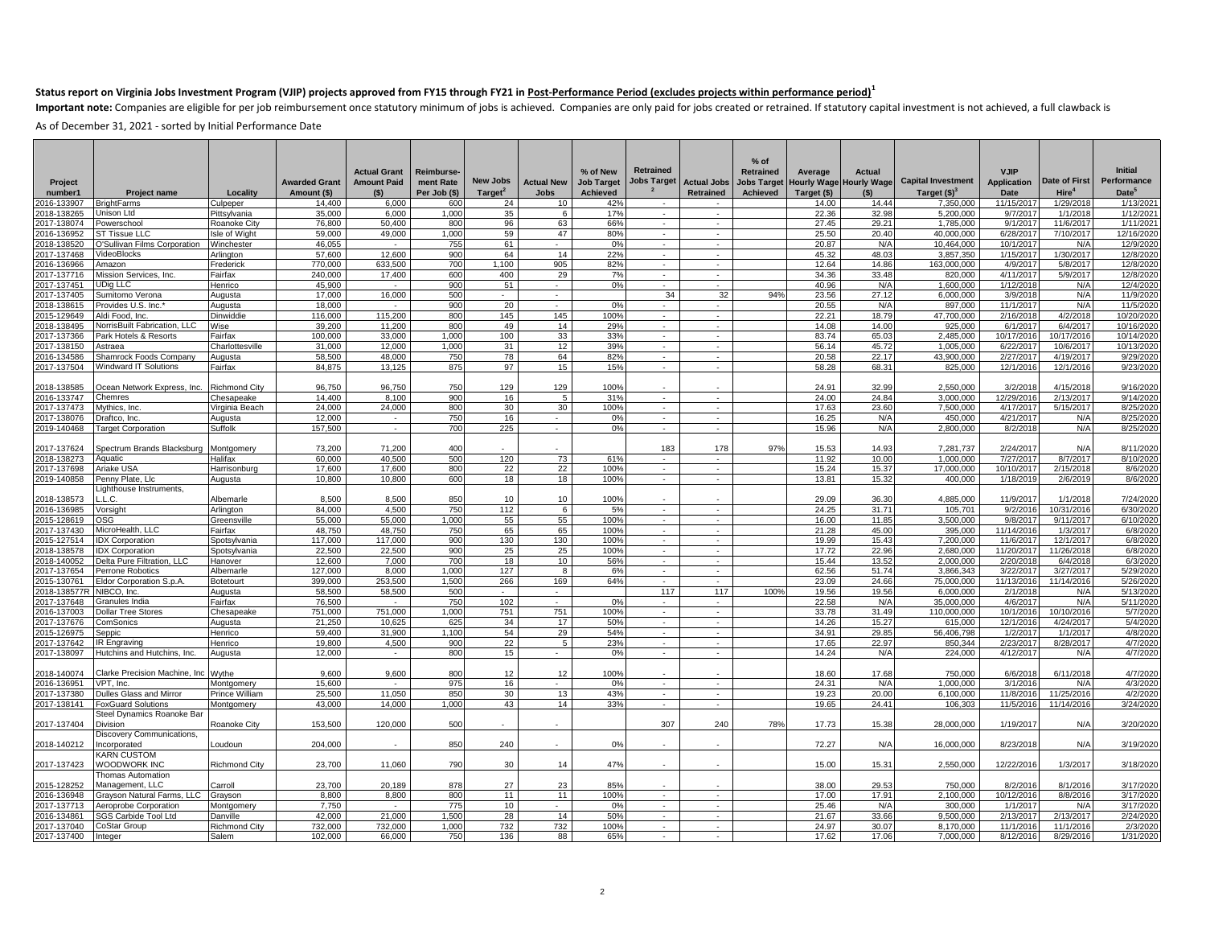Important note: Companies are eligible for per job reimbursement once statutory minimum of jobs is achieved. Companies are only paid for jobs created or retrained. If statutory capital investment is not achieved, a full cl

| 35.000<br>1.000<br>35<br>17%<br>22.36<br>32.98<br>5.200.000<br>9/7/201<br>1/1/2018<br>1/12/2021<br>2018-138265<br>Unison Ltd<br>Pittsylvania<br>6.000<br>6<br>$\sim$<br>76,800<br>800<br>96<br>63<br>66%<br>27.45<br>29.21<br>1,785,000<br>9/1/201<br>11/6/2017<br>1/11/2021<br>2017-138074<br>50,400<br>n.<br>Powerschool<br>Roanoke City<br>$\sim$<br>59<br>47<br>59.000<br>25.50<br>6/28/201<br>7/10/2017<br>2016-136952<br><b>ST Tissue LLC</b><br>Isle of Wight<br>49.000<br>1.000<br>80%<br>20.40<br>40.000.000<br>12/16/2020<br>$\sim$<br>×<br>2018-138520<br>O'Sullivan Films Corporation<br>Winchester<br>46,055<br>755<br>61<br>0%<br>20.87<br>N/A<br>10,464,000<br>10/1/201<br>12/9/2020<br>N/A<br>$\sim$<br>$\sim$<br>$\sim$<br>12,600<br>900<br>64<br>14<br>22%<br>45.32<br>48.03<br>1/30/2017<br>12/8/202<br>VideoBlocks<br>57,600<br>3.857.350<br>1/15/201<br>2017-137468<br>Arlington<br>$\sim$<br>$\sim$<br>770.000<br>633.500<br>1.100<br>905<br>12.64<br>163.000.000<br>5/8/2017<br>12/8/2020<br>2016-136966<br>Amazon<br>Frederick<br>700<br>82%<br>a.<br>in 19<br>14.86<br>4/9/201<br>240,000<br>17,400<br>600<br>400<br>29<br>7%<br>34.36<br>33.48<br>820,000<br>4/11/201<br>5/9/2017<br>12/8/202<br>2017-137716<br>Mission Services, Inc.<br>Fairfax<br>$\sim$<br>in 19<br>40.96<br>45,900<br>900<br>51<br>0%<br>N/A<br>1,600,000<br>1/12/201<br>N/A<br>12/4/202<br>2017-137451<br><b>UDig LLC</b><br>Henrico<br>÷.<br>$\sim$<br>$\sim$<br>$\sim$<br>16,000<br>34<br>2017-137405<br>17.000<br>500<br>32<br>94%<br>23.56<br>27.12<br>6.000.000<br>3/9/201<br>N/A<br>11/9/2020<br>Sumitomo Verona<br>Augusta<br>$\sim$<br>$\sim$<br>18,000<br>900<br>897,000<br>11/1/201<br>N/A<br>11/5/2020<br>2018-138615<br>20<br>0%<br>20.55<br>N/A<br>Provides U.S. Inc.<br>Augusta<br>$\sim$<br>$\sim$<br>$\sim$<br>$\sim$<br>116,000<br>115.200<br>800<br>145<br>145<br>100%<br>22.21<br>18.79<br>47.700.000<br>2/16/201<br>4/2/2018<br>10/20/2020<br>2015-129649<br>Aldi Food, Inc.<br>Dinwiddie<br>$\sim$<br>$\sim$<br>39,200<br>800<br>49<br>14<br>29%<br>14.08<br>14.00<br>925,000<br>6/4/201<br>10/16/2020<br>2018-138495<br>NorrisBuilt Fabrication, LLC<br>Wise<br>11,200<br>a.<br>n.<br>6/1/201<br>100<br>33<br>33%<br>83.74<br>65.03<br>2,485,000<br>Park Hotels & Resorts<br>Fairfax<br>100,000<br>33,000<br>1,000<br>10/17/201<br>10/17/2016<br>10/14/2020<br>2017-137366<br>$\sim$<br>÷.<br>2017-138150<br>Charlottesville<br>31,000<br>12.000<br>1,000<br>31<br>12<br>39%<br>56.14<br>45.72<br>1.005.000<br>6/22/201<br>10/6/2017<br>10/13/2020<br>Astraea<br>$\sim$<br>$\sim$<br>78<br>64<br>20.58<br>43.900.000<br>4/19/2017<br>9/29/2020<br>2016-134586<br>58.500<br>48.000<br>750<br>82%<br>22.17<br>2/27/2017<br>Shamrock Foods Company<br>Augusta<br>$\sim$<br>$\sim$<br>Windward IT Solutions<br>84.875<br>13.125<br>875<br>97<br>15<br>15%<br>58.28<br>68.31<br>825,000<br>12/1/201<br>12/1/2016<br>9/23/2020<br>2017-137504<br>Fairfax<br>$\sim$<br>129<br>96.750<br>96.750<br>750<br>129<br>100%<br>24.91<br>32.99<br>2.550.000<br>4/15/2018<br>9/16/2020<br>2018-138585<br>Ocean Network Express, Inc.<br><b>Richmond City</b><br>3/2/201<br>14.400<br>24.00<br>3.000.000<br>12/29/201<br>9/14/2020<br>2016-133747<br>Chemres<br>Chesapeake<br>8.100<br>900<br>16<br>5<br>31%<br>24.84<br>2/13/2017<br>$\sim$<br>$\sim$<br>24,000<br>30<br>17.63<br>24,000<br>800<br>30<br>100%<br>23.60<br>7,500,000<br>4/17/201<br>5/15/2017<br>8/25/2020<br>2017-137473<br>Mythics, Inc.<br>Virginia Beach<br>$\sim$<br>$\sim$<br>2017-138076<br>12.000<br>750<br>16<br>16.25<br>N/A<br>450.000<br>4/21/201<br>N/A<br>8/25/202<br>Draftco, Inc.<br>Augusta<br>$\sim$<br>$\sim$<br>0%<br>$\sim$<br>$\sim$<br>2019-140468<br>157,500<br>700<br>225<br>0%<br>τ<br>15.96<br>N/A<br>2,800,000<br>8/2/201<br>N/A<br>8/25/2020<br><b>Target Corporation</b><br>Suffolk<br>$\sim$<br>à.<br>$\sim$<br>Spectrum Brands Blacksburg<br>73,200<br>2017-137624<br>Montgomery<br>71.200<br>400<br>183<br>178<br>97%<br>15.53<br>14.93<br>7.281.737<br>2/24/2017<br>N/A<br>8/11/2020<br>2018-138273<br>60.000<br>40.500<br>500<br>120<br>73<br>61%<br>11.92<br>10.00<br>1.000.000<br>7/27/2017<br>8/7/2017<br>8/10/2020<br>Aquatic<br>Halifax<br>$\sim$<br>$\sim$<br>22<br>17,600<br>800<br>22<br>100%<br>15.24<br>15.37<br>10/10/201<br>2/15/2018<br>2017-137698<br>Ariake USA<br>Harrisonburg<br>17,600<br>17,000,000<br>8/6/2020<br>$\sim$<br>$\sim$<br>2019-140858<br>10,800<br>10.800<br>600<br>18<br>18<br>100%<br>13.81<br>15.32<br>400,000<br>1/18/201<br>2/6/2019<br>8/6/2020<br>Penny Plate, Llc<br>Augusta<br>$\sim$<br>$\sim$<br>Lighthouse Instruments,<br>8.500<br>8.500<br>850<br>10<br>10<br>100%<br>29.09<br>36.30<br>4.885.000<br>1/1/2018<br>7/24/2020<br>2018-138573<br>L.C.<br>Albemarle<br>11/9/2017<br>4,500<br>112<br>24.25<br>105,701<br>9/2/2016<br>6/30/2020<br>2016-136985<br>84,000<br>750<br>6<br>5%<br>31.71<br>10/31/2016<br>Vorsight<br>Arlington<br>$\sim$<br>$\sim$<br>55<br>55,000<br>1.000<br>55<br>3.500.000<br>9/8/201<br>6/10/2020<br>2015-128619<br>OSG<br>55.000<br>100%<br>16.00<br>11.85<br>9/11/2017<br>Greensville<br>$\sim$<br>$\sim$<br>65<br>017-137430<br>MicroHealth, LLC<br>48,750<br>48,750<br>750<br>65<br>100%<br>$\sim$<br>21.28<br>45.00<br>395,000<br>11/14/201<br>1/3/2017<br>6/8/2020<br>Fairfax<br>$\sim$<br>130<br>117,000<br>117.000<br>900<br>130<br>100%<br>19.99<br>15.43<br>11/6/201<br>12/1/2017<br>6/8/2020<br>2015-127514<br><b>IDX Corporation</b><br>$\sim$<br>$\sim$<br>7,200,000<br>Spotsylvania<br>2018-138578<br>22,500<br>22.500<br>900<br>25<br>25<br>100%<br>17.72<br>22.96<br>2.680.000<br>11/20/201<br>11/26/2018<br>6/8/2020<br><b>IDX Corporation</b><br>Spotsvlvania<br>÷.<br>Delta Pure Filtration, LLC<br>12,600<br>7,000<br>700<br>18<br>10<br>56%<br>15.44<br>13.52<br>2,000,000<br>2/20/201<br>6/4/2018<br>6/3/2020<br>2018-140052<br>Hanover<br>$\sim$<br>$\sim$<br>62.56<br>127,000<br>1,000<br>127<br>8<br>6%<br>51.74<br>3,866,343<br>3/22/201<br>3/27/2017<br>5/29/2020<br>2017-137654<br>Perrone Robotics<br>Albemarle<br>8,000<br>$\sim$<br>$\sim$<br>2015-130761<br>Eldor Corporation S.p.A.<br>Botetourt<br>399.000<br>253.500<br>1.500<br>266<br>169<br>64%<br>in 19<br>23.09<br>24.66<br>75.000.000<br>11/13/201<br>11/14/2016<br>5/26/2020<br>$\sim$<br>58,500<br>58,500<br>500<br>117<br>117<br>100%<br>19.56<br>19.56<br>6,000,000<br>N/A<br>5/13/2020<br>2018-138577R<br>2/1/201<br>NIBCO, Inc.<br>Augusta<br>$\sim$<br>$\sim$<br>76.500<br>750<br>102<br>0%<br>22.58<br>35.000.000<br>4/6/201<br>N/A<br>5/11/2020<br>2017-137648<br>Granules India<br>Fairfax<br>N/A<br>×.<br>$\sim$<br>$\sim$<br>٠<br>751,000<br>751,000<br>1.000<br>751<br>751<br>100%<br>33.78<br>31.49<br>110.000.000<br>10/1/201<br>10/10/2016<br>5/7/2020<br>2016-137003<br><b>Dollar Tree Stores</b><br>Chesapeake<br>$\sim$<br>$\sim$<br>14.26<br>615,000<br>12/1/201<br>4/24/2017<br>5/4/2020<br>2017-137676<br>21,250<br>10,625<br>625<br>34<br>17<br>50%<br>15.27<br>ComSonics<br>Augusta<br>$\sim$<br>$\sim$<br>54<br>29<br>34.91<br>4/8/202<br>2015-126975<br>59,400<br>31,900<br>1,100<br>54%<br>÷.<br>29.85<br>56,406,798<br>1/2/201<br>1/1/2017<br>Seppic<br>Henrico<br>$\sim$<br>4.500<br>22<br>23%<br>17.65<br>22.97<br>2/23/201<br>8/28/2017<br>19,800<br>900<br>$\sqrt{5}$<br>$\sim$<br>850,344<br>4/7/2020<br>2017-137642<br>$\sim$<br><b>IR Engraving</b><br>Henrico<br>2017-138097<br>Hutchins and Hutchins, Inc.<br>12,000<br>800<br>15<br>0%<br>14.24<br>N/A<br>224,000<br>4/12/2017<br>N/A<br>4/7/2020<br>Augusta<br>$\sim$<br>$\sim$<br>$\sim$<br>4/7/2020<br>9.600<br>12<br>12<br>100%<br>18.60<br>17.68<br>750,000<br>6/11/2018<br>2018-140074<br>Clarke Precision Machine, Inc Wythe<br>9.600<br>800<br>6/6/201<br>2016-136951<br>15,600<br>975<br>24.31<br>1,000,000<br>3/1/201<br>4/3/2020<br>VPT, Inc.<br>Montgomery<br>16<br>0%<br>$\sim$<br>N/A<br>N/A<br>$\sim$<br>11,050<br>850<br>13<br>43%<br>19.23<br>11/25/2016<br>2017-137380<br>25,500<br>30<br>20.00<br>6,100,000<br>11/8/201<br>4/2/2020<br>Dulles Glass and Mirror<br>Prince William<br>$\sim$<br>$\sim$<br>2017-138141<br>43.000<br>14.000<br>1.000<br>43<br>14<br>33%<br>19.65<br>24.41<br>106.303<br>11/5/2016<br>11/14/2016<br>3/24/2020<br><b>FoxGuard Solutions</b><br>Montgomery<br>$\sim$<br>$\sim$<br>Steel Dynamics Roanoke Baı<br>307<br>2017-137404<br>Division<br>Roanoke Citv<br>153,500<br>120.000<br>500<br>240<br>78%<br>17.73<br>15.38<br>28,000,000<br>1/19/201<br>N/A<br>3/20/2020<br>Discovery Communications,<br>850<br>240<br>0%<br>72.27<br>2018-140212<br>ncorporated<br>204.000<br>N/A<br>16,000,000<br>8/23/201<br>N/A<br>3/19/2020<br>Loudoun<br>KARN CUSTOM<br>WOODWORK INC<br>15.00<br>2017-137423<br><b>Richmond City</b><br>23.700<br>11.060<br>790<br>30<br>14<br>47%<br>15.31<br>2,550,000<br>12/22/2016<br>1/3/2017<br>3/18/2020<br>Thomas Automation<br>2015-128252<br>Management, LLC<br>Carroll<br>23.700<br>20,189<br>878<br>27<br>23<br>85%<br>38.00<br>29.53<br>750,000<br>8/2/201<br>8/1/2016<br>3/17/2020<br>2016-136948<br>Grayson Natural Farms, LLC<br>8,800<br>8,800<br>800<br>11<br>11<br>100%<br>17.00<br>17.91<br>2,100,000<br>10/12/201<br>8/8/2016<br>3/17/2020<br>Grayson<br>$\sim$<br>$\sim$<br>10<br>25.46<br>7.750<br>775<br>0%<br>N/A<br>300,000<br>1/1/201<br>N/A<br>3/17/2020<br>2017-137713<br>Aeroprobe Corporation<br>Montgomery<br>$\sim$<br>$\sim$<br>$\sim$<br>$\sim$<br>42.000<br>21.000<br>.500<br>28<br>14<br>50%<br>21.67<br>33.66<br>9.500.000<br>2/24/2020<br>2016-134861<br>SGS Carbide Tool Ltd<br>Danville<br>2/13/201<br>2/13/2017<br>732<br>2017-137040<br>732,000<br>732,000<br>1,000<br>732<br>100%<br>24.97<br>30.07<br>8,170,000<br>11/1/2016<br>11/1/2016<br>2/3/2020<br><b>CoStar Group</b><br><b>Richmond City</b><br>$\sim$<br>$\sim$<br>88<br>17.62<br>Salem<br>102.000<br>66,000<br>750<br>136<br>65%<br>17.06<br>7.000.000<br>8/12/201<br>8/29/2016<br>1/31/2020<br>Integer<br>$\sim$ | Project<br>number1 | <b>Project name</b> | Locality | <b>Awarded Grant</b><br>Amount (\$) | <b>Actual Grant</b><br><b>Amount Paid</b><br>(S) | Reimburse-<br>ment Rate<br>Per Job (\$) | New Jobs<br>Target <sup>2</sup> | <b>Actual New</b><br>Jobs | % of New<br><b>Job Target</b><br><b>Achieved</b> | <b>Retrained</b><br>Jobs Target | <b>Actual Jobs</b><br>Retrained | $%$ of<br>Retrained<br>Achieved | Average<br><b>Jobs Target Hourly Wage</b><br>Target (\$) | Actual<br><b>Hourly Wage</b><br>(5) | <b>Capital Investment</b><br>Target $(§)3$ | <b>VJIP</b><br><b>Application</b><br><b>Date</b> | Date of First<br>Hire <sup>4</sup> | <b>Initial</b><br>Performance<br>Date <sup>5</sup> |
|------------------------------------------------------------------------------------------------------------------------------------------------------------------------------------------------------------------------------------------------------------------------------------------------------------------------------------------------------------------------------------------------------------------------------------------------------------------------------------------------------------------------------------------------------------------------------------------------------------------------------------------------------------------------------------------------------------------------------------------------------------------------------------------------------------------------------------------------------------------------------------------------------------------------------------------------------------------------------------------------------------------------------------------------------------------------------------------------------------------------------------------------------------------------------------------------------------------------------------------------------------------------------------------------------------------------------------------------------------------------------------------------------------------------------------------------------------------------------------------------------------------------------------------------------------------------------------------------------------------------------------------------------------------------------------------------------------------------------------------------------------------------------------------------------------------------------------------------------------------------------------------------------------------------------------------------------------------------------------------------------------------------------------------------------------------------------------------------------------------------------------------------------------------------------------------------------------------------------------------------------------------------------------------------------------------------------------------------------------------------------------------------------------------------------------------------------------------------------------------------------------------------------------------------------------------------------------------------------------------------------------------------------------------------------------------------------------------------------------------------------------------------------------------------------------------------------------------------------------------------------------------------------------------------------------------------------------------------------------------------------------------------------------------------------------------------------------------------------------------------------------------------------------------------------------------------------------------------------------------------------------------------------------------------------------------------------------------------------------------------------------------------------------------------------------------------------------------------------------------------------------------------------------------------------------------------------------------------------------------------------------------------------------------------------------------------------------------------------------------------------------------------------------------------------------------------------------------------------------------------------------------------------------------------------------------------------------------------------------------------------------------------------------------------------------------------------------------------------------------------------------------------------------------------------------------------------------------------------------------------------------------------------------------------------------------------------------------------------------------------------------------------------------------------------------------------------------------------------------------------------------------------------------------------------------------------------------------------------------------------------------------------------------------------------------------------------------------------------------------------------------------------------------------------------------------------------------------------------------------------------------------------------------------------------------------------------------------------------------------------------------------------------------------------------------------------------------------------------------------------------------------------------------------------------------------------------------------------------------------------------------------------------------------------------------------------------------------------------------------------------------------------------------------------------------------------------------------------------------------------------------------------------------------------------------------------------------------------------------------------------------------------------------------------------------------------------------------------------------------------------------------------------------------------------------------------------------------------------------------------------------------------------------------------------------------------------------------------------------------------------------------------------------------------------------------------------------------------------------------------------------------------------------------------------------------------------------------------------------------------------------------------------------------------------------------------------------------------------------------------------------------------------------------------------------------------------------------------------------------------------------------------------------------------------------------------------------------------------------------------------------------------------------------------------------------------------------------------------------------------------------------------------------------------------------------------------------------------------------------------------------------------------------------------------------------------------------------------------------------------------------------------------------------------------------------------------------------------------------------------------------------------------------------------------------------------------------------------------------------------------------------------------------------------------------------------------------------------------------------------------------------------------------------------------------------------------------------------------------------------------------------------------------------------------------------------------------------------------------------------------------------------------------------------------------------------------------------------------------------------------------------------------------------------------------------------------------------------------------------------------------------------------------------------------------------------------------------------------------------------------------------------------------------------------------------------------------------------------------------------------------------------------------------------------------------------------------------------------------------------------------------------------------------------------------------------------------------------------------------------------------------------------------------------------------------------------------------------------------------------------------------------------------------------------------------------------------------------------------------------------------------------------------------------------------------------------------------------------------------------------------------------------------------------------------------------------------------------------------------------------------------------------------------------------------------------------------------------------------------------------------------------------------------------------------------------------------------------------------------------------------------------------------------------------------------------------------------------------------------------------------------------------------------------------------------------------------------------------------------------------------------------------------------------------------------------------------------------------------------------------------------------------------------------------------------------------------------------------------------------------------------------------------------------------------------------------------------------------------------------------------------------------------------------------------------------------------------------------------------------------------------------------------------------------------------------------------------------------------------------------------------------------------------------------------|--------------------|---------------------|----------|-------------------------------------|--------------------------------------------------|-----------------------------------------|---------------------------------|---------------------------|--------------------------------------------------|---------------------------------|---------------------------------|---------------------------------|----------------------------------------------------------|-------------------------------------|--------------------------------------------|--------------------------------------------------|------------------------------------|----------------------------------------------------|
|                                                                                                                                                                                                                                                                                                                                                                                                                                                                                                                                                                                                                                                                                                                                                                                                                                                                                                                                                                                                                                                                                                                                                                                                                                                                                                                                                                                                                                                                                                                                                                                                                                                                                                                                                                                                                                                                                                                                                                                                                                                                                                                                                                                                                                                                                                                                                                                                                                                                                                                                                                                                                                                                                                                                                                                                                                                                                                                                                                                                                                                                                                                                                                                                                                                                                                                                                                                                                                                                                                                                                                                                                                                                                                                                                                                                                                                                                                                                                                                                                                                                                                                                                                                                                                                                                                                                                                                                                                                                                                                                                                                                                                                                                                                                                                                                                                                                                                                                                                                                                                                                                                                                                                                                                                                                                                                                                                                                                                                                                                                                                                                                                                                                                                                                                                                                                                                                                                                                                                                                                                                                                                                                                                                                                                                                                                                                                                                                                                                                                                                                                                                                                                                                                                                                                                                                                                                                                                                                                                                                                                                                                                                                                                                                                                                                                                                                                                                                                                                                                                                                                                                                                                                                                                                                                                                                                                                                                                                                                                                                                                                                                                                                                                                                                                                                                                                                                                                                                                                                                                                                                                                                                                                                                                                                                                                                                                                                                                                                                                                                                                                                                                                                                                                                                                                                                                                                                                                                                                                                                                                                                                                                                                                                                                                                                                                                                                                                                                                                                                                                                                                            | 016-133907         | <b>BrightFarms</b>  | Culpeper | 14.400                              | 6.000                                            | 600                                     | 24                              | 10                        | 42%                                              |                                 |                                 |                                 | 14.00                                                    | 14.44                               | 7.350.000                                  | 11/15/201                                        | 1/29/2018                          | 1/13/2021                                          |
|                                                                                                                                                                                                                                                                                                                                                                                                                                                                                                                                                                                                                                                                                                                                                                                                                                                                                                                                                                                                                                                                                                                                                                                                                                                                                                                                                                                                                                                                                                                                                                                                                                                                                                                                                                                                                                                                                                                                                                                                                                                                                                                                                                                                                                                                                                                                                                                                                                                                                                                                                                                                                                                                                                                                                                                                                                                                                                                                                                                                                                                                                                                                                                                                                                                                                                                                                                                                                                                                                                                                                                                                                                                                                                                                                                                                                                                                                                                                                                                                                                                                                                                                                                                                                                                                                                                                                                                                                                                                                                                                                                                                                                                                                                                                                                                                                                                                                                                                                                                                                                                                                                                                                                                                                                                                                                                                                                                                                                                                                                                                                                                                                                                                                                                                                                                                                                                                                                                                                                                                                                                                                                                                                                                                                                                                                                                                                                                                                                                                                                                                                                                                                                                                                                                                                                                                                                                                                                                                                                                                                                                                                                                                                                                                                                                                                                                                                                                                                                                                                                                                                                                                                                                                                                                                                                                                                                                                                                                                                                                                                                                                                                                                                                                                                                                                                                                                                                                                                                                                                                                                                                                                                                                                                                                                                                                                                                                                                                                                                                                                                                                                                                                                                                                                                                                                                                                                                                                                                                                                                                                                                                                                                                                                                                                                                                                                                                                                                                                                                                                                                                                            |                    |                     |          |                                     |                                                  |                                         |                                 |                           |                                                  |                                 |                                 |                                 |                                                          |                                     |                                            |                                                  |                                    |                                                    |
|                                                                                                                                                                                                                                                                                                                                                                                                                                                                                                                                                                                                                                                                                                                                                                                                                                                                                                                                                                                                                                                                                                                                                                                                                                                                                                                                                                                                                                                                                                                                                                                                                                                                                                                                                                                                                                                                                                                                                                                                                                                                                                                                                                                                                                                                                                                                                                                                                                                                                                                                                                                                                                                                                                                                                                                                                                                                                                                                                                                                                                                                                                                                                                                                                                                                                                                                                                                                                                                                                                                                                                                                                                                                                                                                                                                                                                                                                                                                                                                                                                                                                                                                                                                                                                                                                                                                                                                                                                                                                                                                                                                                                                                                                                                                                                                                                                                                                                                                                                                                                                                                                                                                                                                                                                                                                                                                                                                                                                                                                                                                                                                                                                                                                                                                                                                                                                                                                                                                                                                                                                                                                                                                                                                                                                                                                                                                                                                                                                                                                                                                                                                                                                                                                                                                                                                                                                                                                                                                                                                                                                                                                                                                                                                                                                                                                                                                                                                                                                                                                                                                                                                                                                                                                                                                                                                                                                                                                                                                                                                                                                                                                                                                                                                                                                                                                                                                                                                                                                                                                                                                                                                                                                                                                                                                                                                                                                                                                                                                                                                                                                                                                                                                                                                                                                                                                                                                                                                                                                                                                                                                                                                                                                                                                                                                                                                                                                                                                                                                                                                                                                                            |                    |                     |          |                                     |                                                  |                                         |                                 |                           |                                                  |                                 |                                 |                                 |                                                          |                                     |                                            |                                                  |                                    |                                                    |
|                                                                                                                                                                                                                                                                                                                                                                                                                                                                                                                                                                                                                                                                                                                                                                                                                                                                                                                                                                                                                                                                                                                                                                                                                                                                                                                                                                                                                                                                                                                                                                                                                                                                                                                                                                                                                                                                                                                                                                                                                                                                                                                                                                                                                                                                                                                                                                                                                                                                                                                                                                                                                                                                                                                                                                                                                                                                                                                                                                                                                                                                                                                                                                                                                                                                                                                                                                                                                                                                                                                                                                                                                                                                                                                                                                                                                                                                                                                                                                                                                                                                                                                                                                                                                                                                                                                                                                                                                                                                                                                                                                                                                                                                                                                                                                                                                                                                                                                                                                                                                                                                                                                                                                                                                                                                                                                                                                                                                                                                                                                                                                                                                                                                                                                                                                                                                                                                                                                                                                                                                                                                                                                                                                                                                                                                                                                                                                                                                                                                                                                                                                                                                                                                                                                                                                                                                                                                                                                                                                                                                                                                                                                                                                                                                                                                                                                                                                                                                                                                                                                                                                                                                                                                                                                                                                                                                                                                                                                                                                                                                                                                                                                                                                                                                                                                                                                                                                                                                                                                                                                                                                                                                                                                                                                                                                                                                                                                                                                                                                                                                                                                                                                                                                                                                                                                                                                                                                                                                                                                                                                                                                                                                                                                                                                                                                                                                                                                                                                                                                                                                                                            |                    |                     |          |                                     |                                                  |                                         |                                 |                           |                                                  |                                 |                                 |                                 |                                                          |                                     |                                            |                                                  |                                    |                                                    |
|                                                                                                                                                                                                                                                                                                                                                                                                                                                                                                                                                                                                                                                                                                                                                                                                                                                                                                                                                                                                                                                                                                                                                                                                                                                                                                                                                                                                                                                                                                                                                                                                                                                                                                                                                                                                                                                                                                                                                                                                                                                                                                                                                                                                                                                                                                                                                                                                                                                                                                                                                                                                                                                                                                                                                                                                                                                                                                                                                                                                                                                                                                                                                                                                                                                                                                                                                                                                                                                                                                                                                                                                                                                                                                                                                                                                                                                                                                                                                                                                                                                                                                                                                                                                                                                                                                                                                                                                                                                                                                                                                                                                                                                                                                                                                                                                                                                                                                                                                                                                                                                                                                                                                                                                                                                                                                                                                                                                                                                                                                                                                                                                                                                                                                                                                                                                                                                                                                                                                                                                                                                                                                                                                                                                                                                                                                                                                                                                                                                                                                                                                                                                                                                                                                                                                                                                                                                                                                                                                                                                                                                                                                                                                                                                                                                                                                                                                                                                                                                                                                                                                                                                                                                                                                                                                                                                                                                                                                                                                                                                                                                                                                                                                                                                                                                                                                                                                                                                                                                                                                                                                                                                                                                                                                                                                                                                                                                                                                                                                                                                                                                                                                                                                                                                                                                                                                                                                                                                                                                                                                                                                                                                                                                                                                                                                                                                                                                                                                                                                                                                                                                            |                    |                     |          |                                     |                                                  |                                         |                                 |                           |                                                  |                                 |                                 |                                 |                                                          |                                     |                                            |                                                  |                                    |                                                    |
|                                                                                                                                                                                                                                                                                                                                                                                                                                                                                                                                                                                                                                                                                                                                                                                                                                                                                                                                                                                                                                                                                                                                                                                                                                                                                                                                                                                                                                                                                                                                                                                                                                                                                                                                                                                                                                                                                                                                                                                                                                                                                                                                                                                                                                                                                                                                                                                                                                                                                                                                                                                                                                                                                                                                                                                                                                                                                                                                                                                                                                                                                                                                                                                                                                                                                                                                                                                                                                                                                                                                                                                                                                                                                                                                                                                                                                                                                                                                                                                                                                                                                                                                                                                                                                                                                                                                                                                                                                                                                                                                                                                                                                                                                                                                                                                                                                                                                                                                                                                                                                                                                                                                                                                                                                                                                                                                                                                                                                                                                                                                                                                                                                                                                                                                                                                                                                                                                                                                                                                                                                                                                                                                                                                                                                                                                                                                                                                                                                                                                                                                                                                                                                                                                                                                                                                                                                                                                                                                                                                                                                                                                                                                                                                                                                                                                                                                                                                                                                                                                                                                                                                                                                                                                                                                                                                                                                                                                                                                                                                                                                                                                                                                                                                                                                                                                                                                                                                                                                                                                                                                                                                                                                                                                                                                                                                                                                                                                                                                                                                                                                                                                                                                                                                                                                                                                                                                                                                                                                                                                                                                                                                                                                                                                                                                                                                                                                                                                                                                                                                                                                                            |                    |                     |          |                                     |                                                  |                                         |                                 |                           |                                                  |                                 |                                 |                                 |                                                          |                                     |                                            |                                                  |                                    |                                                    |
|                                                                                                                                                                                                                                                                                                                                                                                                                                                                                                                                                                                                                                                                                                                                                                                                                                                                                                                                                                                                                                                                                                                                                                                                                                                                                                                                                                                                                                                                                                                                                                                                                                                                                                                                                                                                                                                                                                                                                                                                                                                                                                                                                                                                                                                                                                                                                                                                                                                                                                                                                                                                                                                                                                                                                                                                                                                                                                                                                                                                                                                                                                                                                                                                                                                                                                                                                                                                                                                                                                                                                                                                                                                                                                                                                                                                                                                                                                                                                                                                                                                                                                                                                                                                                                                                                                                                                                                                                                                                                                                                                                                                                                                                                                                                                                                                                                                                                                                                                                                                                                                                                                                                                                                                                                                                                                                                                                                                                                                                                                                                                                                                                                                                                                                                                                                                                                                                                                                                                                                                                                                                                                                                                                                                                                                                                                                                                                                                                                                                                                                                                                                                                                                                                                                                                                                                                                                                                                                                                                                                                                                                                                                                                                                                                                                                                                                                                                                                                                                                                                                                                                                                                                                                                                                                                                                                                                                                                                                                                                                                                                                                                                                                                                                                                                                                                                                                                                                                                                                                                                                                                                                                                                                                                                                                                                                                                                                                                                                                                                                                                                                                                                                                                                                                                                                                                                                                                                                                                                                                                                                                                                                                                                                                                                                                                                                                                                                                                                                                                                                                                                                            |                    |                     |          |                                     |                                                  |                                         |                                 |                           |                                                  |                                 |                                 |                                 |                                                          |                                     |                                            |                                                  |                                    |                                                    |
|                                                                                                                                                                                                                                                                                                                                                                                                                                                                                                                                                                                                                                                                                                                                                                                                                                                                                                                                                                                                                                                                                                                                                                                                                                                                                                                                                                                                                                                                                                                                                                                                                                                                                                                                                                                                                                                                                                                                                                                                                                                                                                                                                                                                                                                                                                                                                                                                                                                                                                                                                                                                                                                                                                                                                                                                                                                                                                                                                                                                                                                                                                                                                                                                                                                                                                                                                                                                                                                                                                                                                                                                                                                                                                                                                                                                                                                                                                                                                                                                                                                                                                                                                                                                                                                                                                                                                                                                                                                                                                                                                                                                                                                                                                                                                                                                                                                                                                                                                                                                                                                                                                                                                                                                                                                                                                                                                                                                                                                                                                                                                                                                                                                                                                                                                                                                                                                                                                                                                                                                                                                                                                                                                                                                                                                                                                                                                                                                                                                                                                                                                                                                                                                                                                                                                                                                                                                                                                                                                                                                                                                                                                                                                                                                                                                                                                                                                                                                                                                                                                                                                                                                                                                                                                                                                                                                                                                                                                                                                                                                                                                                                                                                                                                                                                                                                                                                                                                                                                                                                                                                                                                                                                                                                                                                                                                                                                                                                                                                                                                                                                                                                                                                                                                                                                                                                                                                                                                                                                                                                                                                                                                                                                                                                                                                                                                                                                                                                                                                                                                                                                                            |                    |                     |          |                                     |                                                  |                                         |                                 |                           |                                                  |                                 |                                 |                                 |                                                          |                                     |                                            |                                                  |                                    |                                                    |
|                                                                                                                                                                                                                                                                                                                                                                                                                                                                                                                                                                                                                                                                                                                                                                                                                                                                                                                                                                                                                                                                                                                                                                                                                                                                                                                                                                                                                                                                                                                                                                                                                                                                                                                                                                                                                                                                                                                                                                                                                                                                                                                                                                                                                                                                                                                                                                                                                                                                                                                                                                                                                                                                                                                                                                                                                                                                                                                                                                                                                                                                                                                                                                                                                                                                                                                                                                                                                                                                                                                                                                                                                                                                                                                                                                                                                                                                                                                                                                                                                                                                                                                                                                                                                                                                                                                                                                                                                                                                                                                                                                                                                                                                                                                                                                                                                                                                                                                                                                                                                                                                                                                                                                                                                                                                                                                                                                                                                                                                                                                                                                                                                                                                                                                                                                                                                                                                                                                                                                                                                                                                                                                                                                                                                                                                                                                                                                                                                                                                                                                                                                                                                                                                                                                                                                                                                                                                                                                                                                                                                                                                                                                                                                                                                                                                                                                                                                                                                                                                                                                                                                                                                                                                                                                                                                                                                                                                                                                                                                                                                                                                                                                                                                                                                                                                                                                                                                                                                                                                                                                                                                                                                                                                                                                                                                                                                                                                                                                                                                                                                                                                                                                                                                                                                                                                                                                                                                                                                                                                                                                                                                                                                                                                                                                                                                                                                                                                                                                                                                                                                                                            |                    |                     |          |                                     |                                                  |                                         |                                 |                           |                                                  |                                 |                                 |                                 |                                                          |                                     |                                            |                                                  |                                    |                                                    |
|                                                                                                                                                                                                                                                                                                                                                                                                                                                                                                                                                                                                                                                                                                                                                                                                                                                                                                                                                                                                                                                                                                                                                                                                                                                                                                                                                                                                                                                                                                                                                                                                                                                                                                                                                                                                                                                                                                                                                                                                                                                                                                                                                                                                                                                                                                                                                                                                                                                                                                                                                                                                                                                                                                                                                                                                                                                                                                                                                                                                                                                                                                                                                                                                                                                                                                                                                                                                                                                                                                                                                                                                                                                                                                                                                                                                                                                                                                                                                                                                                                                                                                                                                                                                                                                                                                                                                                                                                                                                                                                                                                                                                                                                                                                                                                                                                                                                                                                                                                                                                                                                                                                                                                                                                                                                                                                                                                                                                                                                                                                                                                                                                                                                                                                                                                                                                                                                                                                                                                                                                                                                                                                                                                                                                                                                                                                                                                                                                                                                                                                                                                                                                                                                                                                                                                                                                                                                                                                                                                                                                                                                                                                                                                                                                                                                                                                                                                                                                                                                                                                                                                                                                                                                                                                                                                                                                                                                                                                                                                                                                                                                                                                                                                                                                                                                                                                                                                                                                                                                                                                                                                                                                                                                                                                                                                                                                                                                                                                                                                                                                                                                                                                                                                                                                                                                                                                                                                                                                                                                                                                                                                                                                                                                                                                                                                                                                                                                                                                                                                                                                                                            |                    |                     |          |                                     |                                                  |                                         |                                 |                           |                                                  |                                 |                                 |                                 |                                                          |                                     |                                            |                                                  |                                    |                                                    |
|                                                                                                                                                                                                                                                                                                                                                                                                                                                                                                                                                                                                                                                                                                                                                                                                                                                                                                                                                                                                                                                                                                                                                                                                                                                                                                                                                                                                                                                                                                                                                                                                                                                                                                                                                                                                                                                                                                                                                                                                                                                                                                                                                                                                                                                                                                                                                                                                                                                                                                                                                                                                                                                                                                                                                                                                                                                                                                                                                                                                                                                                                                                                                                                                                                                                                                                                                                                                                                                                                                                                                                                                                                                                                                                                                                                                                                                                                                                                                                                                                                                                                                                                                                                                                                                                                                                                                                                                                                                                                                                                                                                                                                                                                                                                                                                                                                                                                                                                                                                                                                                                                                                                                                                                                                                                                                                                                                                                                                                                                                                                                                                                                                                                                                                                                                                                                                                                                                                                                                                                                                                                                                                                                                                                                                                                                                                                                                                                                                                                                                                                                                                                                                                                                                                                                                                                                                                                                                                                                                                                                                                                                                                                                                                                                                                                                                                                                                                                                                                                                                                                                                                                                                                                                                                                                                                                                                                                                                                                                                                                                                                                                                                                                                                                                                                                                                                                                                                                                                                                                                                                                                                                                                                                                                                                                                                                                                                                                                                                                                                                                                                                                                                                                                                                                                                                                                                                                                                                                                                                                                                                                                                                                                                                                                                                                                                                                                                                                                                                                                                                                                                            |                    |                     |          |                                     |                                                  |                                         |                                 |                           |                                                  |                                 |                                 |                                 |                                                          |                                     |                                            |                                                  |                                    |                                                    |
|                                                                                                                                                                                                                                                                                                                                                                                                                                                                                                                                                                                                                                                                                                                                                                                                                                                                                                                                                                                                                                                                                                                                                                                                                                                                                                                                                                                                                                                                                                                                                                                                                                                                                                                                                                                                                                                                                                                                                                                                                                                                                                                                                                                                                                                                                                                                                                                                                                                                                                                                                                                                                                                                                                                                                                                                                                                                                                                                                                                                                                                                                                                                                                                                                                                                                                                                                                                                                                                                                                                                                                                                                                                                                                                                                                                                                                                                                                                                                                                                                                                                                                                                                                                                                                                                                                                                                                                                                                                                                                                                                                                                                                                                                                                                                                                                                                                                                                                                                                                                                                                                                                                                                                                                                                                                                                                                                                                                                                                                                                                                                                                                                                                                                                                                                                                                                                                                                                                                                                                                                                                                                                                                                                                                                                                                                                                                                                                                                                                                                                                                                                                                                                                                                                                                                                                                                                                                                                                                                                                                                                                                                                                                                                                                                                                                                                                                                                                                                                                                                                                                                                                                                                                                                                                                                                                                                                                                                                                                                                                                                                                                                                                                                                                                                                                                                                                                                                                                                                                                                                                                                                                                                                                                                                                                                                                                                                                                                                                                                                                                                                                                                                                                                                                                                                                                                                                                                                                                                                                                                                                                                                                                                                                                                                                                                                                                                                                                                                                                                                                                                                                            |                    |                     |          |                                     |                                                  |                                         |                                 |                           |                                                  |                                 |                                 |                                 |                                                          |                                     |                                            |                                                  |                                    |                                                    |
|                                                                                                                                                                                                                                                                                                                                                                                                                                                                                                                                                                                                                                                                                                                                                                                                                                                                                                                                                                                                                                                                                                                                                                                                                                                                                                                                                                                                                                                                                                                                                                                                                                                                                                                                                                                                                                                                                                                                                                                                                                                                                                                                                                                                                                                                                                                                                                                                                                                                                                                                                                                                                                                                                                                                                                                                                                                                                                                                                                                                                                                                                                                                                                                                                                                                                                                                                                                                                                                                                                                                                                                                                                                                                                                                                                                                                                                                                                                                                                                                                                                                                                                                                                                                                                                                                                                                                                                                                                                                                                                                                                                                                                                                                                                                                                                                                                                                                                                                                                                                                                                                                                                                                                                                                                                                                                                                                                                                                                                                                                                                                                                                                                                                                                                                                                                                                                                                                                                                                                                                                                                                                                                                                                                                                                                                                                                                                                                                                                                                                                                                                                                                                                                                                                                                                                                                                                                                                                                                                                                                                                                                                                                                                                                                                                                                                                                                                                                                                                                                                                                                                                                                                                                                                                                                                                                                                                                                                                                                                                                                                                                                                                                                                                                                                                                                                                                                                                                                                                                                                                                                                                                                                                                                                                                                                                                                                                                                                                                                                                                                                                                                                                                                                                                                                                                                                                                                                                                                                                                                                                                                                                                                                                                                                                                                                                                                                                                                                                                                                                                                                                                            |                    |                     |          |                                     |                                                  |                                         |                                 |                           |                                                  |                                 |                                 |                                 |                                                          |                                     |                                            |                                                  |                                    |                                                    |
|                                                                                                                                                                                                                                                                                                                                                                                                                                                                                                                                                                                                                                                                                                                                                                                                                                                                                                                                                                                                                                                                                                                                                                                                                                                                                                                                                                                                                                                                                                                                                                                                                                                                                                                                                                                                                                                                                                                                                                                                                                                                                                                                                                                                                                                                                                                                                                                                                                                                                                                                                                                                                                                                                                                                                                                                                                                                                                                                                                                                                                                                                                                                                                                                                                                                                                                                                                                                                                                                                                                                                                                                                                                                                                                                                                                                                                                                                                                                                                                                                                                                                                                                                                                                                                                                                                                                                                                                                                                                                                                                                                                                                                                                                                                                                                                                                                                                                                                                                                                                                                                                                                                                                                                                                                                                                                                                                                                                                                                                                                                                                                                                                                                                                                                                                                                                                                                                                                                                                                                                                                                                                                                                                                                                                                                                                                                                                                                                                                                                                                                                                                                                                                                                                                                                                                                                                                                                                                                                                                                                                                                                                                                                                                                                                                                                                                                                                                                                                                                                                                                                                                                                                                                                                                                                                                                                                                                                                                                                                                                                                                                                                                                                                                                                                                                                                                                                                                                                                                                                                                                                                                                                                                                                                                                                                                                                                                                                                                                                                                                                                                                                                                                                                                                                                                                                                                                                                                                                                                                                                                                                                                                                                                                                                                                                                                                                                                                                                                                                                                                                                                                            |                    |                     |          |                                     |                                                  |                                         |                                 |                           |                                                  |                                 |                                 |                                 |                                                          |                                     |                                            |                                                  |                                    |                                                    |
|                                                                                                                                                                                                                                                                                                                                                                                                                                                                                                                                                                                                                                                                                                                                                                                                                                                                                                                                                                                                                                                                                                                                                                                                                                                                                                                                                                                                                                                                                                                                                                                                                                                                                                                                                                                                                                                                                                                                                                                                                                                                                                                                                                                                                                                                                                                                                                                                                                                                                                                                                                                                                                                                                                                                                                                                                                                                                                                                                                                                                                                                                                                                                                                                                                                                                                                                                                                                                                                                                                                                                                                                                                                                                                                                                                                                                                                                                                                                                                                                                                                                                                                                                                                                                                                                                                                                                                                                                                                                                                                                                                                                                                                                                                                                                                                                                                                                                                                                                                                                                                                                                                                                                                                                                                                                                                                                                                                                                                                                                                                                                                                                                                                                                                                                                                                                                                                                                                                                                                                                                                                                                                                                                                                                                                                                                                                                                                                                                                                                                                                                                                                                                                                                                                                                                                                                                                                                                                                                                                                                                                                                                                                                                                                                                                                                                                                                                                                                                                                                                                                                                                                                                                                                                                                                                                                                                                                                                                                                                                                                                                                                                                                                                                                                                                                                                                                                                                                                                                                                                                                                                                                                                                                                                                                                                                                                                                                                                                                                                                                                                                                                                                                                                                                                                                                                                                                                                                                                                                                                                                                                                                                                                                                                                                                                                                                                                                                                                                                                                                                                                                                            |                    |                     |          |                                     |                                                  |                                         |                                 |                           |                                                  |                                 |                                 |                                 |                                                          |                                     |                                            |                                                  |                                    |                                                    |
|                                                                                                                                                                                                                                                                                                                                                                                                                                                                                                                                                                                                                                                                                                                                                                                                                                                                                                                                                                                                                                                                                                                                                                                                                                                                                                                                                                                                                                                                                                                                                                                                                                                                                                                                                                                                                                                                                                                                                                                                                                                                                                                                                                                                                                                                                                                                                                                                                                                                                                                                                                                                                                                                                                                                                                                                                                                                                                                                                                                                                                                                                                                                                                                                                                                                                                                                                                                                                                                                                                                                                                                                                                                                                                                                                                                                                                                                                                                                                                                                                                                                                                                                                                                                                                                                                                                                                                                                                                                                                                                                                                                                                                                                                                                                                                                                                                                                                                                                                                                                                                                                                                                                                                                                                                                                                                                                                                                                                                                                                                                                                                                                                                                                                                                                                                                                                                                                                                                                                                                                                                                                                                                                                                                                                                                                                                                                                                                                                                                                                                                                                                                                                                                                                                                                                                                                                                                                                                                                                                                                                                                                                                                                                                                                                                                                                                                                                                                                                                                                                                                                                                                                                                                                                                                                                                                                                                                                                                                                                                                                                                                                                                                                                                                                                                                                                                                                                                                                                                                                                                                                                                                                                                                                                                                                                                                                                                                                                                                                                                                                                                                                                                                                                                                                                                                                                                                                                                                                                                                                                                                                                                                                                                                                                                                                                                                                                                                                                                                                                                                                                                                            |                    |                     |          |                                     |                                                  |                                         |                                 |                           |                                                  |                                 |                                 |                                 |                                                          |                                     |                                            |                                                  |                                    |                                                    |
|                                                                                                                                                                                                                                                                                                                                                                                                                                                                                                                                                                                                                                                                                                                                                                                                                                                                                                                                                                                                                                                                                                                                                                                                                                                                                                                                                                                                                                                                                                                                                                                                                                                                                                                                                                                                                                                                                                                                                                                                                                                                                                                                                                                                                                                                                                                                                                                                                                                                                                                                                                                                                                                                                                                                                                                                                                                                                                                                                                                                                                                                                                                                                                                                                                                                                                                                                                                                                                                                                                                                                                                                                                                                                                                                                                                                                                                                                                                                                                                                                                                                                                                                                                                                                                                                                                                                                                                                                                                                                                                                                                                                                                                                                                                                                                                                                                                                                                                                                                                                                                                                                                                                                                                                                                                                                                                                                                                                                                                                                                                                                                                                                                                                                                                                                                                                                                                                                                                                                                                                                                                                                                                                                                                                                                                                                                                                                                                                                                                                                                                                                                                                                                                                                                                                                                                                                                                                                                                                                                                                                                                                                                                                                                                                                                                                                                                                                                                                                                                                                                                                                                                                                                                                                                                                                                                                                                                                                                                                                                                                                                                                                                                                                                                                                                                                                                                                                                                                                                                                                                                                                                                                                                                                                                                                                                                                                                                                                                                                                                                                                                                                                                                                                                                                                                                                                                                                                                                                                                                                                                                                                                                                                                                                                                                                                                                                                                                                                                                                                                                                                                                            |                    |                     |          |                                     |                                                  |                                         |                                 |                           |                                                  |                                 |                                 |                                 |                                                          |                                     |                                            |                                                  |                                    |                                                    |
|                                                                                                                                                                                                                                                                                                                                                                                                                                                                                                                                                                                                                                                                                                                                                                                                                                                                                                                                                                                                                                                                                                                                                                                                                                                                                                                                                                                                                                                                                                                                                                                                                                                                                                                                                                                                                                                                                                                                                                                                                                                                                                                                                                                                                                                                                                                                                                                                                                                                                                                                                                                                                                                                                                                                                                                                                                                                                                                                                                                                                                                                                                                                                                                                                                                                                                                                                                                                                                                                                                                                                                                                                                                                                                                                                                                                                                                                                                                                                                                                                                                                                                                                                                                                                                                                                                                                                                                                                                                                                                                                                                                                                                                                                                                                                                                                                                                                                                                                                                                                                                                                                                                                                                                                                                                                                                                                                                                                                                                                                                                                                                                                                                                                                                                                                                                                                                                                                                                                                                                                                                                                                                                                                                                                                                                                                                                                                                                                                                                                                                                                                                                                                                                                                                                                                                                                                                                                                                                                                                                                                                                                                                                                                                                                                                                                                                                                                                                                                                                                                                                                                                                                                                                                                                                                                                                                                                                                                                                                                                                                                                                                                                                                                                                                                                                                                                                                                                                                                                                                                                                                                                                                                                                                                                                                                                                                                                                                                                                                                                                                                                                                                                                                                                                                                                                                                                                                                                                                                                                                                                                                                                                                                                                                                                                                                                                                                                                                                                                                                                                                                                                            |                    |                     |          |                                     |                                                  |                                         |                                 |                           |                                                  |                                 |                                 |                                 |                                                          |                                     |                                            |                                                  |                                    |                                                    |
|                                                                                                                                                                                                                                                                                                                                                                                                                                                                                                                                                                                                                                                                                                                                                                                                                                                                                                                                                                                                                                                                                                                                                                                                                                                                                                                                                                                                                                                                                                                                                                                                                                                                                                                                                                                                                                                                                                                                                                                                                                                                                                                                                                                                                                                                                                                                                                                                                                                                                                                                                                                                                                                                                                                                                                                                                                                                                                                                                                                                                                                                                                                                                                                                                                                                                                                                                                                                                                                                                                                                                                                                                                                                                                                                                                                                                                                                                                                                                                                                                                                                                                                                                                                                                                                                                                                                                                                                                                                                                                                                                                                                                                                                                                                                                                                                                                                                                                                                                                                                                                                                                                                                                                                                                                                                                                                                                                                                                                                                                                                                                                                                                                                                                                                                                                                                                                                                                                                                                                                                                                                                                                                                                                                                                                                                                                                                                                                                                                                                                                                                                                                                                                                                                                                                                                                                                                                                                                                                                                                                                                                                                                                                                                                                                                                                                                                                                                                                                                                                                                                                                                                                                                                                                                                                                                                                                                                                                                                                                                                                                                                                                                                                                                                                                                                                                                                                                                                                                                                                                                                                                                                                                                                                                                                                                                                                                                                                                                                                                                                                                                                                                                                                                                                                                                                                                                                                                                                                                                                                                                                                                                                                                                                                                                                                                                                                                                                                                                                                                                                                                                                            |                    |                     |          |                                     |                                                  |                                         |                                 |                           |                                                  |                                 |                                 |                                 |                                                          |                                     |                                            |                                                  |                                    |                                                    |
|                                                                                                                                                                                                                                                                                                                                                                                                                                                                                                                                                                                                                                                                                                                                                                                                                                                                                                                                                                                                                                                                                                                                                                                                                                                                                                                                                                                                                                                                                                                                                                                                                                                                                                                                                                                                                                                                                                                                                                                                                                                                                                                                                                                                                                                                                                                                                                                                                                                                                                                                                                                                                                                                                                                                                                                                                                                                                                                                                                                                                                                                                                                                                                                                                                                                                                                                                                                                                                                                                                                                                                                                                                                                                                                                                                                                                                                                                                                                                                                                                                                                                                                                                                                                                                                                                                                                                                                                                                                                                                                                                                                                                                                                                                                                                                                                                                                                                                                                                                                                                                                                                                                                                                                                                                                                                                                                                                                                                                                                                                                                                                                                                                                                                                                                                                                                                                                                                                                                                                                                                                                                                                                                                                                                                                                                                                                                                                                                                                                                                                                                                                                                                                                                                                                                                                                                                                                                                                                                                                                                                                                                                                                                                                                                                                                                                                                                                                                                                                                                                                                                                                                                                                                                                                                                                                                                                                                                                                                                                                                                                                                                                                                                                                                                                                                                                                                                                                                                                                                                                                                                                                                                                                                                                                                                                                                                                                                                                                                                                                                                                                                                                                                                                                                                                                                                                                                                                                                                                                                                                                                                                                                                                                                                                                                                                                                                                                                                                                                                                                                                                                                            |                    |                     |          |                                     |                                                  |                                         |                                 |                           |                                                  |                                 |                                 |                                 |                                                          |                                     |                                            |                                                  |                                    |                                                    |
|                                                                                                                                                                                                                                                                                                                                                                                                                                                                                                                                                                                                                                                                                                                                                                                                                                                                                                                                                                                                                                                                                                                                                                                                                                                                                                                                                                                                                                                                                                                                                                                                                                                                                                                                                                                                                                                                                                                                                                                                                                                                                                                                                                                                                                                                                                                                                                                                                                                                                                                                                                                                                                                                                                                                                                                                                                                                                                                                                                                                                                                                                                                                                                                                                                                                                                                                                                                                                                                                                                                                                                                                                                                                                                                                                                                                                                                                                                                                                                                                                                                                                                                                                                                                                                                                                                                                                                                                                                                                                                                                                                                                                                                                                                                                                                                                                                                                                                                                                                                                                                                                                                                                                                                                                                                                                                                                                                                                                                                                                                                                                                                                                                                                                                                                                                                                                                                                                                                                                                                                                                                                                                                                                                                                                                                                                                                                                                                                                                                                                                                                                                                                                                                                                                                                                                                                                                                                                                                                                                                                                                                                                                                                                                                                                                                                                                                                                                                                                                                                                                                                                                                                                                                                                                                                                                                                                                                                                                                                                                                                                                                                                                                                                                                                                                                                                                                                                                                                                                                                                                                                                                                                                                                                                                                                                                                                                                                                                                                                                                                                                                                                                                                                                                                                                                                                                                                                                                                                                                                                                                                                                                                                                                                                                                                                                                                                                                                                                                                                                                                                                                                            |                    |                     |          |                                     |                                                  |                                         |                                 |                           |                                                  |                                 |                                 |                                 |                                                          |                                     |                                            |                                                  |                                    |                                                    |
|                                                                                                                                                                                                                                                                                                                                                                                                                                                                                                                                                                                                                                                                                                                                                                                                                                                                                                                                                                                                                                                                                                                                                                                                                                                                                                                                                                                                                                                                                                                                                                                                                                                                                                                                                                                                                                                                                                                                                                                                                                                                                                                                                                                                                                                                                                                                                                                                                                                                                                                                                                                                                                                                                                                                                                                                                                                                                                                                                                                                                                                                                                                                                                                                                                                                                                                                                                                                                                                                                                                                                                                                                                                                                                                                                                                                                                                                                                                                                                                                                                                                                                                                                                                                                                                                                                                                                                                                                                                                                                                                                                                                                                                                                                                                                                                                                                                                                                                                                                                                                                                                                                                                                                                                                                                                                                                                                                                                                                                                                                                                                                                                                                                                                                                                                                                                                                                                                                                                                                                                                                                                                                                                                                                                                                                                                                                                                                                                                                                                                                                                                                                                                                                                                                                                                                                                                                                                                                                                                                                                                                                                                                                                                                                                                                                                                                                                                                                                                                                                                                                                                                                                                                                                                                                                                                                                                                                                                                                                                                                                                                                                                                                                                                                                                                                                                                                                                                                                                                                                                                                                                                                                                                                                                                                                                                                                                                                                                                                                                                                                                                                                                                                                                                                                                                                                                                                                                                                                                                                                                                                                                                                                                                                                                                                                                                                                                                                                                                                                                                                                                                                            |                    |                     |          |                                     |                                                  |                                         |                                 |                           |                                                  |                                 |                                 |                                 |                                                          |                                     |                                            |                                                  |                                    |                                                    |
|                                                                                                                                                                                                                                                                                                                                                                                                                                                                                                                                                                                                                                                                                                                                                                                                                                                                                                                                                                                                                                                                                                                                                                                                                                                                                                                                                                                                                                                                                                                                                                                                                                                                                                                                                                                                                                                                                                                                                                                                                                                                                                                                                                                                                                                                                                                                                                                                                                                                                                                                                                                                                                                                                                                                                                                                                                                                                                                                                                                                                                                                                                                                                                                                                                                                                                                                                                                                                                                                                                                                                                                                                                                                                                                                                                                                                                                                                                                                                                                                                                                                                                                                                                                                                                                                                                                                                                                                                                                                                                                                                                                                                                                                                                                                                                                                                                                                                                                                                                                                                                                                                                                                                                                                                                                                                                                                                                                                                                                                                                                                                                                                                                                                                                                                                                                                                                                                                                                                                                                                                                                                                                                                                                                                                                                                                                                                                                                                                                                                                                                                                                                                                                                                                                                                                                                                                                                                                                                                                                                                                                                                                                                                                                                                                                                                                                                                                                                                                                                                                                                                                                                                                                                                                                                                                                                                                                                                                                                                                                                                                                                                                                                                                                                                                                                                                                                                                                                                                                                                                                                                                                                                                                                                                                                                                                                                                                                                                                                                                                                                                                                                                                                                                                                                                                                                                                                                                                                                                                                                                                                                                                                                                                                                                                                                                                                                                                                                                                                                                                                                                                                            |                    |                     |          |                                     |                                                  |                                         |                                 |                           |                                                  |                                 |                                 |                                 |                                                          |                                     |                                            |                                                  |                                    |                                                    |
|                                                                                                                                                                                                                                                                                                                                                                                                                                                                                                                                                                                                                                                                                                                                                                                                                                                                                                                                                                                                                                                                                                                                                                                                                                                                                                                                                                                                                                                                                                                                                                                                                                                                                                                                                                                                                                                                                                                                                                                                                                                                                                                                                                                                                                                                                                                                                                                                                                                                                                                                                                                                                                                                                                                                                                                                                                                                                                                                                                                                                                                                                                                                                                                                                                                                                                                                                                                                                                                                                                                                                                                                                                                                                                                                                                                                                                                                                                                                                                                                                                                                                                                                                                                                                                                                                                                                                                                                                                                                                                                                                                                                                                                                                                                                                                                                                                                                                                                                                                                                                                                                                                                                                                                                                                                                                                                                                                                                                                                                                                                                                                                                                                                                                                                                                                                                                                                                                                                                                                                                                                                                                                                                                                                                                                                                                                                                                                                                                                                                                                                                                                                                                                                                                                                                                                                                                                                                                                                                                                                                                                                                                                                                                                                                                                                                                                                                                                                                                                                                                                                                                                                                                                                                                                                                                                                                                                                                                                                                                                                                                                                                                                                                                                                                                                                                                                                                                                                                                                                                                                                                                                                                                                                                                                                                                                                                                                                                                                                                                                                                                                                                                                                                                                                                                                                                                                                                                                                                                                                                                                                                                                                                                                                                                                                                                                                                                                                                                                                                                                                                                                                            |                    |                     |          |                                     |                                                  |                                         |                                 |                           |                                                  |                                 |                                 |                                 |                                                          |                                     |                                            |                                                  |                                    |                                                    |
|                                                                                                                                                                                                                                                                                                                                                                                                                                                                                                                                                                                                                                                                                                                                                                                                                                                                                                                                                                                                                                                                                                                                                                                                                                                                                                                                                                                                                                                                                                                                                                                                                                                                                                                                                                                                                                                                                                                                                                                                                                                                                                                                                                                                                                                                                                                                                                                                                                                                                                                                                                                                                                                                                                                                                                                                                                                                                                                                                                                                                                                                                                                                                                                                                                                                                                                                                                                                                                                                                                                                                                                                                                                                                                                                                                                                                                                                                                                                                                                                                                                                                                                                                                                                                                                                                                                                                                                                                                                                                                                                                                                                                                                                                                                                                                                                                                                                                                                                                                                                                                                                                                                                                                                                                                                                                                                                                                                                                                                                                                                                                                                                                                                                                                                                                                                                                                                                                                                                                                                                                                                                                                                                                                                                                                                                                                                                                                                                                                                                                                                                                                                                                                                                                                                                                                                                                                                                                                                                                                                                                                                                                                                                                                                                                                                                                                                                                                                                                                                                                                                                                                                                                                                                                                                                                                                                                                                                                                                                                                                                                                                                                                                                                                                                                                                                                                                                                                                                                                                                                                                                                                                                                                                                                                                                                                                                                                                                                                                                                                                                                                                                                                                                                                                                                                                                                                                                                                                                                                                                                                                                                                                                                                                                                                                                                                                                                                                                                                                                                                                                                                                            |                    |                     |          |                                     |                                                  |                                         |                                 |                           |                                                  |                                 |                                 |                                 |                                                          |                                     |                                            |                                                  |                                    |                                                    |
|                                                                                                                                                                                                                                                                                                                                                                                                                                                                                                                                                                                                                                                                                                                                                                                                                                                                                                                                                                                                                                                                                                                                                                                                                                                                                                                                                                                                                                                                                                                                                                                                                                                                                                                                                                                                                                                                                                                                                                                                                                                                                                                                                                                                                                                                                                                                                                                                                                                                                                                                                                                                                                                                                                                                                                                                                                                                                                                                                                                                                                                                                                                                                                                                                                                                                                                                                                                                                                                                                                                                                                                                                                                                                                                                                                                                                                                                                                                                                                                                                                                                                                                                                                                                                                                                                                                                                                                                                                                                                                                                                                                                                                                                                                                                                                                                                                                                                                                                                                                                                                                                                                                                                                                                                                                                                                                                                                                                                                                                                                                                                                                                                                                                                                                                                                                                                                                                                                                                                                                                                                                                                                                                                                                                                                                                                                                                                                                                                                                                                                                                                                                                                                                                                                                                                                                                                                                                                                                                                                                                                                                                                                                                                                                                                                                                                                                                                                                                                                                                                                                                                                                                                                                                                                                                                                                                                                                                                                                                                                                                                                                                                                                                                                                                                                                                                                                                                                                                                                                                                                                                                                                                                                                                                                                                                                                                                                                                                                                                                                                                                                                                                                                                                                                                                                                                                                                                                                                                                                                                                                                                                                                                                                                                                                                                                                                                                                                                                                                                                                                                                                                            |                    |                     |          |                                     |                                                  |                                         |                                 |                           |                                                  |                                 |                                 |                                 |                                                          |                                     |                                            |                                                  |                                    |                                                    |
|                                                                                                                                                                                                                                                                                                                                                                                                                                                                                                                                                                                                                                                                                                                                                                                                                                                                                                                                                                                                                                                                                                                                                                                                                                                                                                                                                                                                                                                                                                                                                                                                                                                                                                                                                                                                                                                                                                                                                                                                                                                                                                                                                                                                                                                                                                                                                                                                                                                                                                                                                                                                                                                                                                                                                                                                                                                                                                                                                                                                                                                                                                                                                                                                                                                                                                                                                                                                                                                                                                                                                                                                                                                                                                                                                                                                                                                                                                                                                                                                                                                                                                                                                                                                                                                                                                                                                                                                                                                                                                                                                                                                                                                                                                                                                                                                                                                                                                                                                                                                                                                                                                                                                                                                                                                                                                                                                                                                                                                                                                                                                                                                                                                                                                                                                                                                                                                                                                                                                                                                                                                                                                                                                                                                                                                                                                                                                                                                                                                                                                                                                                                                                                                                                                                                                                                                                                                                                                                                                                                                                                                                                                                                                                                                                                                                                                                                                                                                                                                                                                                                                                                                                                                                                                                                                                                                                                                                                                                                                                                                                                                                                                                                                                                                                                                                                                                                                                                                                                                                                                                                                                                                                                                                                                                                                                                                                                                                                                                                                                                                                                                                                                                                                                                                                                                                                                                                                                                                                                                                                                                                                                                                                                                                                                                                                                                                                                                                                                                                                                                                                                                            |                    |                     |          |                                     |                                                  |                                         |                                 |                           |                                                  |                                 |                                 |                                 |                                                          |                                     |                                            |                                                  |                                    |                                                    |
|                                                                                                                                                                                                                                                                                                                                                                                                                                                                                                                                                                                                                                                                                                                                                                                                                                                                                                                                                                                                                                                                                                                                                                                                                                                                                                                                                                                                                                                                                                                                                                                                                                                                                                                                                                                                                                                                                                                                                                                                                                                                                                                                                                                                                                                                                                                                                                                                                                                                                                                                                                                                                                                                                                                                                                                                                                                                                                                                                                                                                                                                                                                                                                                                                                                                                                                                                                                                                                                                                                                                                                                                                                                                                                                                                                                                                                                                                                                                                                                                                                                                                                                                                                                                                                                                                                                                                                                                                                                                                                                                                                                                                                                                                                                                                                                                                                                                                                                                                                                                                                                                                                                                                                                                                                                                                                                                                                                                                                                                                                                                                                                                                                                                                                                                                                                                                                                                                                                                                                                                                                                                                                                                                                                                                                                                                                                                                                                                                                                                                                                                                                                                                                                                                                                                                                                                                                                                                                                                                                                                                                                                                                                                                                                                                                                                                                                                                                                                                                                                                                                                                                                                                                                                                                                                                                                                                                                                                                                                                                                                                                                                                                                                                                                                                                                                                                                                                                                                                                                                                                                                                                                                                                                                                                                                                                                                                                                                                                                                                                                                                                                                                                                                                                                                                                                                                                                                                                                                                                                                                                                                                                                                                                                                                                                                                                                                                                                                                                                                                                                                                                                            |                    |                     |          |                                     |                                                  |                                         |                                 |                           |                                                  |                                 |                                 |                                 |                                                          |                                     |                                            |                                                  |                                    |                                                    |
|                                                                                                                                                                                                                                                                                                                                                                                                                                                                                                                                                                                                                                                                                                                                                                                                                                                                                                                                                                                                                                                                                                                                                                                                                                                                                                                                                                                                                                                                                                                                                                                                                                                                                                                                                                                                                                                                                                                                                                                                                                                                                                                                                                                                                                                                                                                                                                                                                                                                                                                                                                                                                                                                                                                                                                                                                                                                                                                                                                                                                                                                                                                                                                                                                                                                                                                                                                                                                                                                                                                                                                                                                                                                                                                                                                                                                                                                                                                                                                                                                                                                                                                                                                                                                                                                                                                                                                                                                                                                                                                                                                                                                                                                                                                                                                                                                                                                                                                                                                                                                                                                                                                                                                                                                                                                                                                                                                                                                                                                                                                                                                                                                                                                                                                                                                                                                                                                                                                                                                                                                                                                                                                                                                                                                                                                                                                                                                                                                                                                                                                                                                                                                                                                                                                                                                                                                                                                                                                                                                                                                                                                                                                                                                                                                                                                                                                                                                                                                                                                                                                                                                                                                                                                                                                                                                                                                                                                                                                                                                                                                                                                                                                                                                                                                                                                                                                                                                                                                                                                                                                                                                                                                                                                                                                                                                                                                                                                                                                                                                                                                                                                                                                                                                                                                                                                                                                                                                                                                                                                                                                                                                                                                                                                                                                                                                                                                                                                                                                                                                                                                                                            |                    |                     |          |                                     |                                                  |                                         |                                 |                           |                                                  |                                 |                                 |                                 |                                                          |                                     |                                            |                                                  |                                    |                                                    |
|                                                                                                                                                                                                                                                                                                                                                                                                                                                                                                                                                                                                                                                                                                                                                                                                                                                                                                                                                                                                                                                                                                                                                                                                                                                                                                                                                                                                                                                                                                                                                                                                                                                                                                                                                                                                                                                                                                                                                                                                                                                                                                                                                                                                                                                                                                                                                                                                                                                                                                                                                                                                                                                                                                                                                                                                                                                                                                                                                                                                                                                                                                                                                                                                                                                                                                                                                                                                                                                                                                                                                                                                                                                                                                                                                                                                                                                                                                                                                                                                                                                                                                                                                                                                                                                                                                                                                                                                                                                                                                                                                                                                                                                                                                                                                                                                                                                                                                                                                                                                                                                                                                                                                                                                                                                                                                                                                                                                                                                                                                                                                                                                                                                                                                                                                                                                                                                                                                                                                                                                                                                                                                                                                                                                                                                                                                                                                                                                                                                                                                                                                                                                                                                                                                                                                                                                                                                                                                                                                                                                                                                                                                                                                                                                                                                                                                                                                                                                                                                                                                                                                                                                                                                                                                                                                                                                                                                                                                                                                                                                                                                                                                                                                                                                                                                                                                                                                                                                                                                                                                                                                                                                                                                                                                                                                                                                                                                                                                                                                                                                                                                                                                                                                                                                                                                                                                                                                                                                                                                                                                                                                                                                                                                                                                                                                                                                                                                                                                                                                                                                                                                            |                    |                     |          |                                     |                                                  |                                         |                                 |                           |                                                  |                                 |                                 |                                 |                                                          |                                     |                                            |                                                  |                                    |                                                    |
|                                                                                                                                                                                                                                                                                                                                                                                                                                                                                                                                                                                                                                                                                                                                                                                                                                                                                                                                                                                                                                                                                                                                                                                                                                                                                                                                                                                                                                                                                                                                                                                                                                                                                                                                                                                                                                                                                                                                                                                                                                                                                                                                                                                                                                                                                                                                                                                                                                                                                                                                                                                                                                                                                                                                                                                                                                                                                                                                                                                                                                                                                                                                                                                                                                                                                                                                                                                                                                                                                                                                                                                                                                                                                                                                                                                                                                                                                                                                                                                                                                                                                                                                                                                                                                                                                                                                                                                                                                                                                                                                                                                                                                                                                                                                                                                                                                                                                                                                                                                                                                                                                                                                                                                                                                                                                                                                                                                                                                                                                                                                                                                                                                                                                                                                                                                                                                                                                                                                                                                                                                                                                                                                                                                                                                                                                                                                                                                                                                                                                                                                                                                                                                                                                                                                                                                                                                                                                                                                                                                                                                                                                                                                                                                                                                                                                                                                                                                                                                                                                                                                                                                                                                                                                                                                                                                                                                                                                                                                                                                                                                                                                                                                                                                                                                                                                                                                                                                                                                                                                                                                                                                                                                                                                                                                                                                                                                                                                                                                                                                                                                                                                                                                                                                                                                                                                                                                                                                                                                                                                                                                                                                                                                                                                                                                                                                                                                                                                                                                                                                                                                                            |                    |                     |          |                                     |                                                  |                                         |                                 |                           |                                                  |                                 |                                 |                                 |                                                          |                                     |                                            |                                                  |                                    |                                                    |
|                                                                                                                                                                                                                                                                                                                                                                                                                                                                                                                                                                                                                                                                                                                                                                                                                                                                                                                                                                                                                                                                                                                                                                                                                                                                                                                                                                                                                                                                                                                                                                                                                                                                                                                                                                                                                                                                                                                                                                                                                                                                                                                                                                                                                                                                                                                                                                                                                                                                                                                                                                                                                                                                                                                                                                                                                                                                                                                                                                                                                                                                                                                                                                                                                                                                                                                                                                                                                                                                                                                                                                                                                                                                                                                                                                                                                                                                                                                                                                                                                                                                                                                                                                                                                                                                                                                                                                                                                                                                                                                                                                                                                                                                                                                                                                                                                                                                                                                                                                                                                                                                                                                                                                                                                                                                                                                                                                                                                                                                                                                                                                                                                                                                                                                                                                                                                                                                                                                                                                                                                                                                                                                                                                                                                                                                                                                                                                                                                                                                                                                                                                                                                                                                                                                                                                                                                                                                                                                                                                                                                                                                                                                                                                                                                                                                                                                                                                                                                                                                                                                                                                                                                                                                                                                                                                                                                                                                                                                                                                                                                                                                                                                                                                                                                                                                                                                                                                                                                                                                                                                                                                                                                                                                                                                                                                                                                                                                                                                                                                                                                                                                                                                                                                                                                                                                                                                                                                                                                                                                                                                                                                                                                                                                                                                                                                                                                                                                                                                                                                                                                                                            |                    |                     |          |                                     |                                                  |                                         |                                 |                           |                                                  |                                 |                                 |                                 |                                                          |                                     |                                            |                                                  |                                    |                                                    |
|                                                                                                                                                                                                                                                                                                                                                                                                                                                                                                                                                                                                                                                                                                                                                                                                                                                                                                                                                                                                                                                                                                                                                                                                                                                                                                                                                                                                                                                                                                                                                                                                                                                                                                                                                                                                                                                                                                                                                                                                                                                                                                                                                                                                                                                                                                                                                                                                                                                                                                                                                                                                                                                                                                                                                                                                                                                                                                                                                                                                                                                                                                                                                                                                                                                                                                                                                                                                                                                                                                                                                                                                                                                                                                                                                                                                                                                                                                                                                                                                                                                                                                                                                                                                                                                                                                                                                                                                                                                                                                                                                                                                                                                                                                                                                                                                                                                                                                                                                                                                                                                                                                                                                                                                                                                                                                                                                                                                                                                                                                                                                                                                                                                                                                                                                                                                                                                                                                                                                                                                                                                                                                                                                                                                                                                                                                                                                                                                                                                                                                                                                                                                                                                                                                                                                                                                                                                                                                                                                                                                                                                                                                                                                                                                                                                                                                                                                                                                                                                                                                                                                                                                                                                                                                                                                                                                                                                                                                                                                                                                                                                                                                                                                                                                                                                                                                                                                                                                                                                                                                                                                                                                                                                                                                                                                                                                                                                                                                                                                                                                                                                                                                                                                                                                                                                                                                                                                                                                                                                                                                                                                                                                                                                                                                                                                                                                                                                                                                                                                                                                                                                            |                    |                     |          |                                     |                                                  |                                         |                                 |                           |                                                  |                                 |                                 |                                 |                                                          |                                     |                                            |                                                  |                                    |                                                    |
|                                                                                                                                                                                                                                                                                                                                                                                                                                                                                                                                                                                                                                                                                                                                                                                                                                                                                                                                                                                                                                                                                                                                                                                                                                                                                                                                                                                                                                                                                                                                                                                                                                                                                                                                                                                                                                                                                                                                                                                                                                                                                                                                                                                                                                                                                                                                                                                                                                                                                                                                                                                                                                                                                                                                                                                                                                                                                                                                                                                                                                                                                                                                                                                                                                                                                                                                                                                                                                                                                                                                                                                                                                                                                                                                                                                                                                                                                                                                                                                                                                                                                                                                                                                                                                                                                                                                                                                                                                                                                                                                                                                                                                                                                                                                                                                                                                                                                                                                                                                                                                                                                                                                                                                                                                                                                                                                                                                                                                                                                                                                                                                                                                                                                                                                                                                                                                                                                                                                                                                                                                                                                                                                                                                                                                                                                                                                                                                                                                                                                                                                                                                                                                                                                                                                                                                                                                                                                                                                                                                                                                                                                                                                                                                                                                                                                                                                                                                                                                                                                                                                                                                                                                                                                                                                                                                                                                                                                                                                                                                                                                                                                                                                                                                                                                                                                                                                                                                                                                                                                                                                                                                                                                                                                                                                                                                                                                                                                                                                                                                                                                                                                                                                                                                                                                                                                                                                                                                                                                                                                                                                                                                                                                                                                                                                                                                                                                                                                                                                                                                                                                                            |                    |                     |          |                                     |                                                  |                                         |                                 |                           |                                                  |                                 |                                 |                                 |                                                          |                                     |                                            |                                                  |                                    |                                                    |
|                                                                                                                                                                                                                                                                                                                                                                                                                                                                                                                                                                                                                                                                                                                                                                                                                                                                                                                                                                                                                                                                                                                                                                                                                                                                                                                                                                                                                                                                                                                                                                                                                                                                                                                                                                                                                                                                                                                                                                                                                                                                                                                                                                                                                                                                                                                                                                                                                                                                                                                                                                                                                                                                                                                                                                                                                                                                                                                                                                                                                                                                                                                                                                                                                                                                                                                                                                                                                                                                                                                                                                                                                                                                                                                                                                                                                                                                                                                                                                                                                                                                                                                                                                                                                                                                                                                                                                                                                                                                                                                                                                                                                                                                                                                                                                                                                                                                                                                                                                                                                                                                                                                                                                                                                                                                                                                                                                                                                                                                                                                                                                                                                                                                                                                                                                                                                                                                                                                                                                                                                                                                                                                                                                                                                                                                                                                                                                                                                                                                                                                                                                                                                                                                                                                                                                                                                                                                                                                                                                                                                                                                                                                                                                                                                                                                                                                                                                                                                                                                                                                                                                                                                                                                                                                                                                                                                                                                                                                                                                                                                                                                                                                                                                                                                                                                                                                                                                                                                                                                                                                                                                                                                                                                                                                                                                                                                                                                                                                                                                                                                                                                                                                                                                                                                                                                                                                                                                                                                                                                                                                                                                                                                                                                                                                                                                                                                                                                                                                                                                                                                                                            |                    |                     |          |                                     |                                                  |                                         |                                 |                           |                                                  |                                 |                                 |                                 |                                                          |                                     |                                            |                                                  |                                    |                                                    |
|                                                                                                                                                                                                                                                                                                                                                                                                                                                                                                                                                                                                                                                                                                                                                                                                                                                                                                                                                                                                                                                                                                                                                                                                                                                                                                                                                                                                                                                                                                                                                                                                                                                                                                                                                                                                                                                                                                                                                                                                                                                                                                                                                                                                                                                                                                                                                                                                                                                                                                                                                                                                                                                                                                                                                                                                                                                                                                                                                                                                                                                                                                                                                                                                                                                                                                                                                                                                                                                                                                                                                                                                                                                                                                                                                                                                                                                                                                                                                                                                                                                                                                                                                                                                                                                                                                                                                                                                                                                                                                                                                                                                                                                                                                                                                                                                                                                                                                                                                                                                                                                                                                                                                                                                                                                                                                                                                                                                                                                                                                                                                                                                                                                                                                                                                                                                                                                                                                                                                                                                                                                                                                                                                                                                                                                                                                                                                                                                                                                                                                                                                                                                                                                                                                                                                                                                                                                                                                                                                                                                                                                                                                                                                                                                                                                                                                                                                                                                                                                                                                                                                                                                                                                                                                                                                                                                                                                                                                                                                                                                                                                                                                                                                                                                                                                                                                                                                                                                                                                                                                                                                                                                                                                                                                                                                                                                                                                                                                                                                                                                                                                                                                                                                                                                                                                                                                                                                                                                                                                                                                                                                                                                                                                                                                                                                                                                                                                                                                                                                                                                                                                            |                    |                     |          |                                     |                                                  |                                         |                                 |                           |                                                  |                                 |                                 |                                 |                                                          |                                     |                                            |                                                  |                                    |                                                    |
|                                                                                                                                                                                                                                                                                                                                                                                                                                                                                                                                                                                                                                                                                                                                                                                                                                                                                                                                                                                                                                                                                                                                                                                                                                                                                                                                                                                                                                                                                                                                                                                                                                                                                                                                                                                                                                                                                                                                                                                                                                                                                                                                                                                                                                                                                                                                                                                                                                                                                                                                                                                                                                                                                                                                                                                                                                                                                                                                                                                                                                                                                                                                                                                                                                                                                                                                                                                                                                                                                                                                                                                                                                                                                                                                                                                                                                                                                                                                                                                                                                                                                                                                                                                                                                                                                                                                                                                                                                                                                                                                                                                                                                                                                                                                                                                                                                                                                                                                                                                                                                                                                                                                                                                                                                                                                                                                                                                                                                                                                                                                                                                                                                                                                                                                                                                                                                                                                                                                                                                                                                                                                                                                                                                                                                                                                                                                                                                                                                                                                                                                                                                                                                                                                                                                                                                                                                                                                                                                                                                                                                                                                                                                                                                                                                                                                                                                                                                                                                                                                                                                                                                                                                                                                                                                                                                                                                                                                                                                                                                                                                                                                                                                                                                                                                                                                                                                                                                                                                                                                                                                                                                                                                                                                                                                                                                                                                                                                                                                                                                                                                                                                                                                                                                                                                                                                                                                                                                                                                                                                                                                                                                                                                                                                                                                                                                                                                                                                                                                                                                                                                                            |                    |                     |          |                                     |                                                  |                                         |                                 |                           |                                                  |                                 |                                 |                                 |                                                          |                                     |                                            |                                                  |                                    |                                                    |
|                                                                                                                                                                                                                                                                                                                                                                                                                                                                                                                                                                                                                                                                                                                                                                                                                                                                                                                                                                                                                                                                                                                                                                                                                                                                                                                                                                                                                                                                                                                                                                                                                                                                                                                                                                                                                                                                                                                                                                                                                                                                                                                                                                                                                                                                                                                                                                                                                                                                                                                                                                                                                                                                                                                                                                                                                                                                                                                                                                                                                                                                                                                                                                                                                                                                                                                                                                                                                                                                                                                                                                                                                                                                                                                                                                                                                                                                                                                                                                                                                                                                                                                                                                                                                                                                                                                                                                                                                                                                                                                                                                                                                                                                                                                                                                                                                                                                                                                                                                                                                                                                                                                                                                                                                                                                                                                                                                                                                                                                                                                                                                                                                                                                                                                                                                                                                                                                                                                                                                                                                                                                                                                                                                                                                                                                                                                                                                                                                                                                                                                                                                                                                                                                                                                                                                                                                                                                                                                                                                                                                                                                                                                                                                                                                                                                                                                                                                                                                                                                                                                                                                                                                                                                                                                                                                                                                                                                                                                                                                                                                                                                                                                                                                                                                                                                                                                                                                                                                                                                                                                                                                                                                                                                                                                                                                                                                                                                                                                                                                                                                                                                                                                                                                                                                                                                                                                                                                                                                                                                                                                                                                                                                                                                                                                                                                                                                                                                                                                                                                                                                                                            |                    |                     |          |                                     |                                                  |                                         |                                 |                           |                                                  |                                 |                                 |                                 |                                                          |                                     |                                            |                                                  |                                    |                                                    |
|                                                                                                                                                                                                                                                                                                                                                                                                                                                                                                                                                                                                                                                                                                                                                                                                                                                                                                                                                                                                                                                                                                                                                                                                                                                                                                                                                                                                                                                                                                                                                                                                                                                                                                                                                                                                                                                                                                                                                                                                                                                                                                                                                                                                                                                                                                                                                                                                                                                                                                                                                                                                                                                                                                                                                                                                                                                                                                                                                                                                                                                                                                                                                                                                                                                                                                                                                                                                                                                                                                                                                                                                                                                                                                                                                                                                                                                                                                                                                                                                                                                                                                                                                                                                                                                                                                                                                                                                                                                                                                                                                                                                                                                                                                                                                                                                                                                                                                                                                                                                                                                                                                                                                                                                                                                                                                                                                                                                                                                                                                                                                                                                                                                                                                                                                                                                                                                                                                                                                                                                                                                                                                                                                                                                                                                                                                                                                                                                                                                                                                                                                                                                                                                                                                                                                                                                                                                                                                                                                                                                                                                                                                                                                                                                                                                                                                                                                                                                                                                                                                                                                                                                                                                                                                                                                                                                                                                                                                                                                                                                                                                                                                                                                                                                                                                                                                                                                                                                                                                                                                                                                                                                                                                                                                                                                                                                                                                                                                                                                                                                                                                                                                                                                                                                                                                                                                                                                                                                                                                                                                                                                                                                                                                                                                                                                                                                                                                                                                                                                                                                                                                            |                    |                     |          |                                     |                                                  |                                         |                                 |                           |                                                  |                                 |                                 |                                 |                                                          |                                     |                                            |                                                  |                                    |                                                    |
|                                                                                                                                                                                                                                                                                                                                                                                                                                                                                                                                                                                                                                                                                                                                                                                                                                                                                                                                                                                                                                                                                                                                                                                                                                                                                                                                                                                                                                                                                                                                                                                                                                                                                                                                                                                                                                                                                                                                                                                                                                                                                                                                                                                                                                                                                                                                                                                                                                                                                                                                                                                                                                                                                                                                                                                                                                                                                                                                                                                                                                                                                                                                                                                                                                                                                                                                                                                                                                                                                                                                                                                                                                                                                                                                                                                                                                                                                                                                                                                                                                                                                                                                                                                                                                                                                                                                                                                                                                                                                                                                                                                                                                                                                                                                                                                                                                                                                                                                                                                                                                                                                                                                                                                                                                                                                                                                                                                                                                                                                                                                                                                                                                                                                                                                                                                                                                                                                                                                                                                                                                                                                                                                                                                                                                                                                                                                                                                                                                                                                                                                                                                                                                                                                                                                                                                                                                                                                                                                                                                                                                                                                                                                                                                                                                                                                                                                                                                                                                                                                                                                                                                                                                                                                                                                                                                                                                                                                                                                                                                                                                                                                                                                                                                                                                                                                                                                                                                                                                                                                                                                                                                                                                                                                                                                                                                                                                                                                                                                                                                                                                                                                                                                                                                                                                                                                                                                                                                                                                                                                                                                                                                                                                                                                                                                                                                                                                                                                                                                                                                                                                                            |                    |                     |          |                                     |                                                  |                                         |                                 |                           |                                                  |                                 |                                 |                                 |                                                          |                                     |                                            |                                                  |                                    |                                                    |
|                                                                                                                                                                                                                                                                                                                                                                                                                                                                                                                                                                                                                                                                                                                                                                                                                                                                                                                                                                                                                                                                                                                                                                                                                                                                                                                                                                                                                                                                                                                                                                                                                                                                                                                                                                                                                                                                                                                                                                                                                                                                                                                                                                                                                                                                                                                                                                                                                                                                                                                                                                                                                                                                                                                                                                                                                                                                                                                                                                                                                                                                                                                                                                                                                                                                                                                                                                                                                                                                                                                                                                                                                                                                                                                                                                                                                                                                                                                                                                                                                                                                                                                                                                                                                                                                                                                                                                                                                                                                                                                                                                                                                                                                                                                                                                                                                                                                                                                                                                                                                                                                                                                                                                                                                                                                                                                                                                                                                                                                                                                                                                                                                                                                                                                                                                                                                                                                                                                                                                                                                                                                                                                                                                                                                                                                                                                                                                                                                                                                                                                                                                                                                                                                                                                                                                                                                                                                                                                                                                                                                                                                                                                                                                                                                                                                                                                                                                                                                                                                                                                                                                                                                                                                                                                                                                                                                                                                                                                                                                                                                                                                                                                                                                                                                                                                                                                                                                                                                                                                                                                                                                                                                                                                                                                                                                                                                                                                                                                                                                                                                                                                                                                                                                                                                                                                                                                                                                                                                                                                                                                                                                                                                                                                                                                                                                                                                                                                                                                                                                                                                                                            |                    |                     |          |                                     |                                                  |                                         |                                 |                           |                                                  |                                 |                                 |                                 |                                                          |                                     |                                            |                                                  |                                    |                                                    |
|                                                                                                                                                                                                                                                                                                                                                                                                                                                                                                                                                                                                                                                                                                                                                                                                                                                                                                                                                                                                                                                                                                                                                                                                                                                                                                                                                                                                                                                                                                                                                                                                                                                                                                                                                                                                                                                                                                                                                                                                                                                                                                                                                                                                                                                                                                                                                                                                                                                                                                                                                                                                                                                                                                                                                                                                                                                                                                                                                                                                                                                                                                                                                                                                                                                                                                                                                                                                                                                                                                                                                                                                                                                                                                                                                                                                                                                                                                                                                                                                                                                                                                                                                                                                                                                                                                                                                                                                                                                                                                                                                                                                                                                                                                                                                                                                                                                                                                                                                                                                                                                                                                                                                                                                                                                                                                                                                                                                                                                                                                                                                                                                                                                                                                                                                                                                                                                                                                                                                                                                                                                                                                                                                                                                                                                                                                                                                                                                                                                                                                                                                                                                                                                                                                                                                                                                                                                                                                                                                                                                                                                                                                                                                                                                                                                                                                                                                                                                                                                                                                                                                                                                                                                                                                                                                                                                                                                                                                                                                                                                                                                                                                                                                                                                                                                                                                                                                                                                                                                                                                                                                                                                                                                                                                                                                                                                                                                                                                                                                                                                                                                                                                                                                                                                                                                                                                                                                                                                                                                                                                                                                                                                                                                                                                                                                                                                                                                                                                                                                                                                                                                            |                    |                     |          |                                     |                                                  |                                         |                                 |                           |                                                  |                                 |                                 |                                 |                                                          |                                     |                                            |                                                  |                                    |                                                    |
|                                                                                                                                                                                                                                                                                                                                                                                                                                                                                                                                                                                                                                                                                                                                                                                                                                                                                                                                                                                                                                                                                                                                                                                                                                                                                                                                                                                                                                                                                                                                                                                                                                                                                                                                                                                                                                                                                                                                                                                                                                                                                                                                                                                                                                                                                                                                                                                                                                                                                                                                                                                                                                                                                                                                                                                                                                                                                                                                                                                                                                                                                                                                                                                                                                                                                                                                                                                                                                                                                                                                                                                                                                                                                                                                                                                                                                                                                                                                                                                                                                                                                                                                                                                                                                                                                                                                                                                                                                                                                                                                                                                                                                                                                                                                                                                                                                                                                                                                                                                                                                                                                                                                                                                                                                                                                                                                                                                                                                                                                                                                                                                                                                                                                                                                                                                                                                                                                                                                                                                                                                                                                                                                                                                                                                                                                                                                                                                                                                                                                                                                                                                                                                                                                                                                                                                                                                                                                                                                                                                                                                                                                                                                                                                                                                                                                                                                                                                                                                                                                                                                                                                                                                                                                                                                                                                                                                                                                                                                                                                                                                                                                                                                                                                                                                                                                                                                                                                                                                                                                                                                                                                                                                                                                                                                                                                                                                                                                                                                                                                                                                                                                                                                                                                                                                                                                                                                                                                                                                                                                                                                                                                                                                                                                                                                                                                                                                                                                                                                                                                                                                                            |                    |                     |          |                                     |                                                  |                                         |                                 |                           |                                                  |                                 |                                 |                                 |                                                          |                                     |                                            |                                                  |                                    |                                                    |
|                                                                                                                                                                                                                                                                                                                                                                                                                                                                                                                                                                                                                                                                                                                                                                                                                                                                                                                                                                                                                                                                                                                                                                                                                                                                                                                                                                                                                                                                                                                                                                                                                                                                                                                                                                                                                                                                                                                                                                                                                                                                                                                                                                                                                                                                                                                                                                                                                                                                                                                                                                                                                                                                                                                                                                                                                                                                                                                                                                                                                                                                                                                                                                                                                                                                                                                                                                                                                                                                                                                                                                                                                                                                                                                                                                                                                                                                                                                                                                                                                                                                                                                                                                                                                                                                                                                                                                                                                                                                                                                                                                                                                                                                                                                                                                                                                                                                                                                                                                                                                                                                                                                                                                                                                                                                                                                                                                                                                                                                                                                                                                                                                                                                                                                                                                                                                                                                                                                                                                                                                                                                                                                                                                                                                                                                                                                                                                                                                                                                                                                                                                                                                                                                                                                                                                                                                                                                                                                                                                                                                                                                                                                                                                                                                                                                                                                                                                                                                                                                                                                                                                                                                                                                                                                                                                                                                                                                                                                                                                                                                                                                                                                                                                                                                                                                                                                                                                                                                                                                                                                                                                                                                                                                                                                                                                                                                                                                                                                                                                                                                                                                                                                                                                                                                                                                                                                                                                                                                                                                                                                                                                                                                                                                                                                                                                                                                                                                                                                                                                                                                                                            |                    |                     |          |                                     |                                                  |                                         |                                 |                           |                                                  |                                 |                                 |                                 |                                                          |                                     |                                            |                                                  |                                    |                                                    |
|                                                                                                                                                                                                                                                                                                                                                                                                                                                                                                                                                                                                                                                                                                                                                                                                                                                                                                                                                                                                                                                                                                                                                                                                                                                                                                                                                                                                                                                                                                                                                                                                                                                                                                                                                                                                                                                                                                                                                                                                                                                                                                                                                                                                                                                                                                                                                                                                                                                                                                                                                                                                                                                                                                                                                                                                                                                                                                                                                                                                                                                                                                                                                                                                                                                                                                                                                                                                                                                                                                                                                                                                                                                                                                                                                                                                                                                                                                                                                                                                                                                                                                                                                                                                                                                                                                                                                                                                                                                                                                                                                                                                                                                                                                                                                                                                                                                                                                                                                                                                                                                                                                                                                                                                                                                                                                                                                                                                                                                                                                                                                                                                                                                                                                                                                                                                                                                                                                                                                                                                                                                                                                                                                                                                                                                                                                                                                                                                                                                                                                                                                                                                                                                                                                                                                                                                                                                                                                                                                                                                                                                                                                                                                                                                                                                                                                                                                                                                                                                                                                                                                                                                                                                                                                                                                                                                                                                                                                                                                                                                                                                                                                                                                                                                                                                                                                                                                                                                                                                                                                                                                                                                                                                                                                                                                                                                                                                                                                                                                                                                                                                                                                                                                                                                                                                                                                                                                                                                                                                                                                                                                                                                                                                                                                                                                                                                                                                                                                                                                                                                                                                            |                    |                     |          |                                     |                                                  |                                         |                                 |                           |                                                  |                                 |                                 |                                 |                                                          |                                     |                                            |                                                  |                                    |                                                    |
|                                                                                                                                                                                                                                                                                                                                                                                                                                                                                                                                                                                                                                                                                                                                                                                                                                                                                                                                                                                                                                                                                                                                                                                                                                                                                                                                                                                                                                                                                                                                                                                                                                                                                                                                                                                                                                                                                                                                                                                                                                                                                                                                                                                                                                                                                                                                                                                                                                                                                                                                                                                                                                                                                                                                                                                                                                                                                                                                                                                                                                                                                                                                                                                                                                                                                                                                                                                                                                                                                                                                                                                                                                                                                                                                                                                                                                                                                                                                                                                                                                                                                                                                                                                                                                                                                                                                                                                                                                                                                                                                                                                                                                                                                                                                                                                                                                                                                                                                                                                                                                                                                                                                                                                                                                                                                                                                                                                                                                                                                                                                                                                                                                                                                                                                                                                                                                                                                                                                                                                                                                                                                                                                                                                                                                                                                                                                                                                                                                                                                                                                                                                                                                                                                                                                                                                                                                                                                                                                                                                                                                                                                                                                                                                                                                                                                                                                                                                                                                                                                                                                                                                                                                                                                                                                                                                                                                                                                                                                                                                                                                                                                                                                                                                                                                                                                                                                                                                                                                                                                                                                                                                                                                                                                                                                                                                                                                                                                                                                                                                                                                                                                                                                                                                                                                                                                                                                                                                                                                                                                                                                                                                                                                                                                                                                                                                                                                                                                                                                                                                                                                                            |                    |                     |          |                                     |                                                  |                                         |                                 |                           |                                                  |                                 |                                 |                                 |                                                          |                                     |                                            |                                                  |                                    |                                                    |
|                                                                                                                                                                                                                                                                                                                                                                                                                                                                                                                                                                                                                                                                                                                                                                                                                                                                                                                                                                                                                                                                                                                                                                                                                                                                                                                                                                                                                                                                                                                                                                                                                                                                                                                                                                                                                                                                                                                                                                                                                                                                                                                                                                                                                                                                                                                                                                                                                                                                                                                                                                                                                                                                                                                                                                                                                                                                                                                                                                                                                                                                                                                                                                                                                                                                                                                                                                                                                                                                                                                                                                                                                                                                                                                                                                                                                                                                                                                                                                                                                                                                                                                                                                                                                                                                                                                                                                                                                                                                                                                                                                                                                                                                                                                                                                                                                                                                                                                                                                                                                                                                                                                                                                                                                                                                                                                                                                                                                                                                                                                                                                                                                                                                                                                                                                                                                                                                                                                                                                                                                                                                                                                                                                                                                                                                                                                                                                                                                                                                                                                                                                                                                                                                                                                                                                                                                                                                                                                                                                                                                                                                                                                                                                                                                                                                                                                                                                                                                                                                                                                                                                                                                                                                                                                                                                                                                                                                                                                                                                                                                                                                                                                                                                                                                                                                                                                                                                                                                                                                                                                                                                                                                                                                                                                                                                                                                                                                                                                                                                                                                                                                                                                                                                                                                                                                                                                                                                                                                                                                                                                                                                                                                                                                                                                                                                                                                                                                                                                                                                                                                                                            |                    |                     |          |                                     |                                                  |                                         |                                 |                           |                                                  |                                 |                                 |                                 |                                                          |                                     |                                            |                                                  |                                    |                                                    |
|                                                                                                                                                                                                                                                                                                                                                                                                                                                                                                                                                                                                                                                                                                                                                                                                                                                                                                                                                                                                                                                                                                                                                                                                                                                                                                                                                                                                                                                                                                                                                                                                                                                                                                                                                                                                                                                                                                                                                                                                                                                                                                                                                                                                                                                                                                                                                                                                                                                                                                                                                                                                                                                                                                                                                                                                                                                                                                                                                                                                                                                                                                                                                                                                                                                                                                                                                                                                                                                                                                                                                                                                                                                                                                                                                                                                                                                                                                                                                                                                                                                                                                                                                                                                                                                                                                                                                                                                                                                                                                                                                                                                                                                                                                                                                                                                                                                                                                                                                                                                                                                                                                                                                                                                                                                                                                                                                                                                                                                                                                                                                                                                                                                                                                                                                                                                                                                                                                                                                                                                                                                                                                                                                                                                                                                                                                                                                                                                                                                                                                                                                                                                                                                                                                                                                                                                                                                                                                                                                                                                                                                                                                                                                                                                                                                                                                                                                                                                                                                                                                                                                                                                                                                                                                                                                                                                                                                                                                                                                                                                                                                                                                                                                                                                                                                                                                                                                                                                                                                                                                                                                                                                                                                                                                                                                                                                                                                                                                                                                                                                                                                                                                                                                                                                                                                                                                                                                                                                                                                                                                                                                                                                                                                                                                                                                                                                                                                                                                                                                                                                                                                            |                    |                     |          |                                     |                                                  |                                         |                                 |                           |                                                  |                                 |                                 |                                 |                                                          |                                     |                                            |                                                  |                                    |                                                    |
|                                                                                                                                                                                                                                                                                                                                                                                                                                                                                                                                                                                                                                                                                                                                                                                                                                                                                                                                                                                                                                                                                                                                                                                                                                                                                                                                                                                                                                                                                                                                                                                                                                                                                                                                                                                                                                                                                                                                                                                                                                                                                                                                                                                                                                                                                                                                                                                                                                                                                                                                                                                                                                                                                                                                                                                                                                                                                                                                                                                                                                                                                                                                                                                                                                                                                                                                                                                                                                                                                                                                                                                                                                                                                                                                                                                                                                                                                                                                                                                                                                                                                                                                                                                                                                                                                                                                                                                                                                                                                                                                                                                                                                                                                                                                                                                                                                                                                                                                                                                                                                                                                                                                                                                                                                                                                                                                                                                                                                                                                                                                                                                                                                                                                                                                                                                                                                                                                                                                                                                                                                                                                                                                                                                                                                                                                                                                                                                                                                                                                                                                                                                                                                                                                                                                                                                                                                                                                                                                                                                                                                                                                                                                                                                                                                                                                                                                                                                                                                                                                                                                                                                                                                                                                                                                                                                                                                                                                                                                                                                                                                                                                                                                                                                                                                                                                                                                                                                                                                                                                                                                                                                                                                                                                                                                                                                                                                                                                                                                                                                                                                                                                                                                                                                                                                                                                                                                                                                                                                                                                                                                                                                                                                                                                                                                                                                                                                                                                                                                                                                                                                                            |                    |                     |          |                                     |                                                  |                                         |                                 |                           |                                                  |                                 |                                 |                                 |                                                          |                                     |                                            |                                                  |                                    |                                                    |
|                                                                                                                                                                                                                                                                                                                                                                                                                                                                                                                                                                                                                                                                                                                                                                                                                                                                                                                                                                                                                                                                                                                                                                                                                                                                                                                                                                                                                                                                                                                                                                                                                                                                                                                                                                                                                                                                                                                                                                                                                                                                                                                                                                                                                                                                                                                                                                                                                                                                                                                                                                                                                                                                                                                                                                                                                                                                                                                                                                                                                                                                                                                                                                                                                                                                                                                                                                                                                                                                                                                                                                                                                                                                                                                                                                                                                                                                                                                                                                                                                                                                                                                                                                                                                                                                                                                                                                                                                                                                                                                                                                                                                                                                                                                                                                                                                                                                                                                                                                                                                                                                                                                                                                                                                                                                                                                                                                                                                                                                                                                                                                                                                                                                                                                                                                                                                                                                                                                                                                                                                                                                                                                                                                                                                                                                                                                                                                                                                                                                                                                                                                                                                                                                                                                                                                                                                                                                                                                                                                                                                                                                                                                                                                                                                                                                                                                                                                                                                                                                                                                                                                                                                                                                                                                                                                                                                                                                                                                                                                                                                                                                                                                                                                                                                                                                                                                                                                                                                                                                                                                                                                                                                                                                                                                                                                                                                                                                                                                                                                                                                                                                                                                                                                                                                                                                                                                                                                                                                                                                                                                                                                                                                                                                                                                                                                                                                                                                                                                                                                                                                                                            |                    |                     |          |                                     |                                                  |                                         |                                 |                           |                                                  |                                 |                                 |                                 |                                                          |                                     |                                            |                                                  |                                    |                                                    |
|                                                                                                                                                                                                                                                                                                                                                                                                                                                                                                                                                                                                                                                                                                                                                                                                                                                                                                                                                                                                                                                                                                                                                                                                                                                                                                                                                                                                                                                                                                                                                                                                                                                                                                                                                                                                                                                                                                                                                                                                                                                                                                                                                                                                                                                                                                                                                                                                                                                                                                                                                                                                                                                                                                                                                                                                                                                                                                                                                                                                                                                                                                                                                                                                                                                                                                                                                                                                                                                                                                                                                                                                                                                                                                                                                                                                                                                                                                                                                                                                                                                                                                                                                                                                                                                                                                                                                                                                                                                                                                                                                                                                                                                                                                                                                                                                                                                                                                                                                                                                                                                                                                                                                                                                                                                                                                                                                                                                                                                                                                                                                                                                                                                                                                                                                                                                                                                                                                                                                                                                                                                                                                                                                                                                                                                                                                                                                                                                                                                                                                                                                                                                                                                                                                                                                                                                                                                                                                                                                                                                                                                                                                                                                                                                                                                                                                                                                                                                                                                                                                                                                                                                                                                                                                                                                                                                                                                                                                                                                                                                                                                                                                                                                                                                                                                                                                                                                                                                                                                                                                                                                                                                                                                                                                                                                                                                                                                                                                                                                                                                                                                                                                                                                                                                                                                                                                                                                                                                                                                                                                                                                                                                                                                                                                                                                                                                                                                                                                                                                                                                                                                            |                    |                     |          |                                     |                                                  |                                         |                                 |                           |                                                  |                                 |                                 |                                 |                                                          |                                     |                                            |                                                  |                                    |                                                    |
|                                                                                                                                                                                                                                                                                                                                                                                                                                                                                                                                                                                                                                                                                                                                                                                                                                                                                                                                                                                                                                                                                                                                                                                                                                                                                                                                                                                                                                                                                                                                                                                                                                                                                                                                                                                                                                                                                                                                                                                                                                                                                                                                                                                                                                                                                                                                                                                                                                                                                                                                                                                                                                                                                                                                                                                                                                                                                                                                                                                                                                                                                                                                                                                                                                                                                                                                                                                                                                                                                                                                                                                                                                                                                                                                                                                                                                                                                                                                                                                                                                                                                                                                                                                                                                                                                                                                                                                                                                                                                                                                                                                                                                                                                                                                                                                                                                                                                                                                                                                                                                                                                                                                                                                                                                                                                                                                                                                                                                                                                                                                                                                                                                                                                                                                                                                                                                                                                                                                                                                                                                                                                                                                                                                                                                                                                                                                                                                                                                                                                                                                                                                                                                                                                                                                                                                                                                                                                                                                                                                                                                                                                                                                                                                                                                                                                                                                                                                                                                                                                                                                                                                                                                                                                                                                                                                                                                                                                                                                                                                                                                                                                                                                                                                                                                                                                                                                                                                                                                                                                                                                                                                                                                                                                                                                                                                                                                                                                                                                                                                                                                                                                                                                                                                                                                                                                                                                                                                                                                                                                                                                                                                                                                                                                                                                                                                                                                                                                                                                                                                                                                                            |                    |                     |          |                                     |                                                  |                                         |                                 |                           |                                                  |                                 |                                 |                                 |                                                          |                                     |                                            |                                                  |                                    |                                                    |
|                                                                                                                                                                                                                                                                                                                                                                                                                                                                                                                                                                                                                                                                                                                                                                                                                                                                                                                                                                                                                                                                                                                                                                                                                                                                                                                                                                                                                                                                                                                                                                                                                                                                                                                                                                                                                                                                                                                                                                                                                                                                                                                                                                                                                                                                                                                                                                                                                                                                                                                                                                                                                                                                                                                                                                                                                                                                                                                                                                                                                                                                                                                                                                                                                                                                                                                                                                                                                                                                                                                                                                                                                                                                                                                                                                                                                                                                                                                                                                                                                                                                                                                                                                                                                                                                                                                                                                                                                                                                                                                                                                                                                                                                                                                                                                                                                                                                                                                                                                                                                                                                                                                                                                                                                                                                                                                                                                                                                                                                                                                                                                                                                                                                                                                                                                                                                                                                                                                                                                                                                                                                                                                                                                                                                                                                                                                                                                                                                                                                                                                                                                                                                                                                                                                                                                                                                                                                                                                                                                                                                                                                                                                                                                                                                                                                                                                                                                                                                                                                                                                                                                                                                                                                                                                                                                                                                                                                                                                                                                                                                                                                                                                                                                                                                                                                                                                                                                                                                                                                                                                                                                                                                                                                                                                                                                                                                                                                                                                                                                                                                                                                                                                                                                                                                                                                                                                                                                                                                                                                                                                                                                                                                                                                                                                                                                                                                                                                                                                                                                                                                                                            |                    |                     |          |                                     |                                                  |                                         |                                 |                           |                                                  |                                 |                                 |                                 |                                                          |                                     |                                            |                                                  |                                    |                                                    |
|                                                                                                                                                                                                                                                                                                                                                                                                                                                                                                                                                                                                                                                                                                                                                                                                                                                                                                                                                                                                                                                                                                                                                                                                                                                                                                                                                                                                                                                                                                                                                                                                                                                                                                                                                                                                                                                                                                                                                                                                                                                                                                                                                                                                                                                                                                                                                                                                                                                                                                                                                                                                                                                                                                                                                                                                                                                                                                                                                                                                                                                                                                                                                                                                                                                                                                                                                                                                                                                                                                                                                                                                                                                                                                                                                                                                                                                                                                                                                                                                                                                                                                                                                                                                                                                                                                                                                                                                                                                                                                                                                                                                                                                                                                                                                                                                                                                                                                                                                                                                                                                                                                                                                                                                                                                                                                                                                                                                                                                                                                                                                                                                                                                                                                                                                                                                                                                                                                                                                                                                                                                                                                                                                                                                                                                                                                                                                                                                                                                                                                                                                                                                                                                                                                                                                                                                                                                                                                                                                                                                                                                                                                                                                                                                                                                                                                                                                                                                                                                                                                                                                                                                                                                                                                                                                                                                                                                                                                                                                                                                                                                                                                                                                                                                                                                                                                                                                                                                                                                                                                                                                                                                                                                                                                                                                                                                                                                                                                                                                                                                                                                                                                                                                                                                                                                                                                                                                                                                                                                                                                                                                                                                                                                                                                                                                                                                                                                                                                                                                                                                                                                            |                    |                     |          |                                     |                                                  |                                         |                                 |                           |                                                  |                                 |                                 |                                 |                                                          |                                     |                                            |                                                  |                                    |                                                    |
|                                                                                                                                                                                                                                                                                                                                                                                                                                                                                                                                                                                                                                                                                                                                                                                                                                                                                                                                                                                                                                                                                                                                                                                                                                                                                                                                                                                                                                                                                                                                                                                                                                                                                                                                                                                                                                                                                                                                                                                                                                                                                                                                                                                                                                                                                                                                                                                                                                                                                                                                                                                                                                                                                                                                                                                                                                                                                                                                                                                                                                                                                                                                                                                                                                                                                                                                                                                                                                                                                                                                                                                                                                                                                                                                                                                                                                                                                                                                                                                                                                                                                                                                                                                                                                                                                                                                                                                                                                                                                                                                                                                                                                                                                                                                                                                                                                                                                                                                                                                                                                                                                                                                                                                                                                                                                                                                                                                                                                                                                                                                                                                                                                                                                                                                                                                                                                                                                                                                                                                                                                                                                                                                                                                                                                                                                                                                                                                                                                                                                                                                                                                                                                                                                                                                                                                                                                                                                                                                                                                                                                                                                                                                                                                                                                                                                                                                                                                                                                                                                                                                                                                                                                                                                                                                                                                                                                                                                                                                                                                                                                                                                                                                                                                                                                                                                                                                                                                                                                                                                                                                                                                                                                                                                                                                                                                                                                                                                                                                                                                                                                                                                                                                                                                                                                                                                                                                                                                                                                                                                                                                                                                                                                                                                                                                                                                                                                                                                                                                                                                                                                                            |                    |                     |          |                                     |                                                  |                                         |                                 |                           |                                                  |                                 |                                 |                                 |                                                          |                                     |                                            |                                                  |                                    |                                                    |
|                                                                                                                                                                                                                                                                                                                                                                                                                                                                                                                                                                                                                                                                                                                                                                                                                                                                                                                                                                                                                                                                                                                                                                                                                                                                                                                                                                                                                                                                                                                                                                                                                                                                                                                                                                                                                                                                                                                                                                                                                                                                                                                                                                                                                                                                                                                                                                                                                                                                                                                                                                                                                                                                                                                                                                                                                                                                                                                                                                                                                                                                                                                                                                                                                                                                                                                                                                                                                                                                                                                                                                                                                                                                                                                                                                                                                                                                                                                                                                                                                                                                                                                                                                                                                                                                                                                                                                                                                                                                                                                                                                                                                                                                                                                                                                                                                                                                                                                                                                                                                                                                                                                                                                                                                                                                                                                                                                                                                                                                                                                                                                                                                                                                                                                                                                                                                                                                                                                                                                                                                                                                                                                                                                                                                                                                                                                                                                                                                                                                                                                                                                                                                                                                                                                                                                                                                                                                                                                                                                                                                                                                                                                                                                                                                                                                                                                                                                                                                                                                                                                                                                                                                                                                                                                                                                                                                                                                                                                                                                                                                                                                                                                                                                                                                                                                                                                                                                                                                                                                                                                                                                                                                                                                                                                                                                                                                                                                                                                                                                                                                                                                                                                                                                                                                                                                                                                                                                                                                                                                                                                                                                                                                                                                                                                                                                                                                                                                                                                                                                                                                                                            |                    |                     |          |                                     |                                                  |                                         |                                 |                           |                                                  |                                 |                                 |                                 |                                                          |                                     |                                            |                                                  |                                    |                                                    |
|                                                                                                                                                                                                                                                                                                                                                                                                                                                                                                                                                                                                                                                                                                                                                                                                                                                                                                                                                                                                                                                                                                                                                                                                                                                                                                                                                                                                                                                                                                                                                                                                                                                                                                                                                                                                                                                                                                                                                                                                                                                                                                                                                                                                                                                                                                                                                                                                                                                                                                                                                                                                                                                                                                                                                                                                                                                                                                                                                                                                                                                                                                                                                                                                                                                                                                                                                                                                                                                                                                                                                                                                                                                                                                                                                                                                                                                                                                                                                                                                                                                                                                                                                                                                                                                                                                                                                                                                                                                                                                                                                                                                                                                                                                                                                                                                                                                                                                                                                                                                                                                                                                                                                                                                                                                                                                                                                                                                                                                                                                                                                                                                                                                                                                                                                                                                                                                                                                                                                                                                                                                                                                                                                                                                                                                                                                                                                                                                                                                                                                                                                                                                                                                                                                                                                                                                                                                                                                                                                                                                                                                                                                                                                                                                                                                                                                                                                                                                                                                                                                                                                                                                                                                                                                                                                                                                                                                                                                                                                                                                                                                                                                                                                                                                                                                                                                                                                                                                                                                                                                                                                                                                                                                                                                                                                                                                                                                                                                                                                                                                                                                                                                                                                                                                                                                                                                                                                                                                                                                                                                                                                                                                                                                                                                                                                                                                                                                                                                                                                                                                                                                            | 2017-137400        |                     |          |                                     |                                                  |                                         |                                 |                           |                                                  |                                 |                                 |                                 |                                                          |                                     |                                            |                                                  |                                    |                                                    |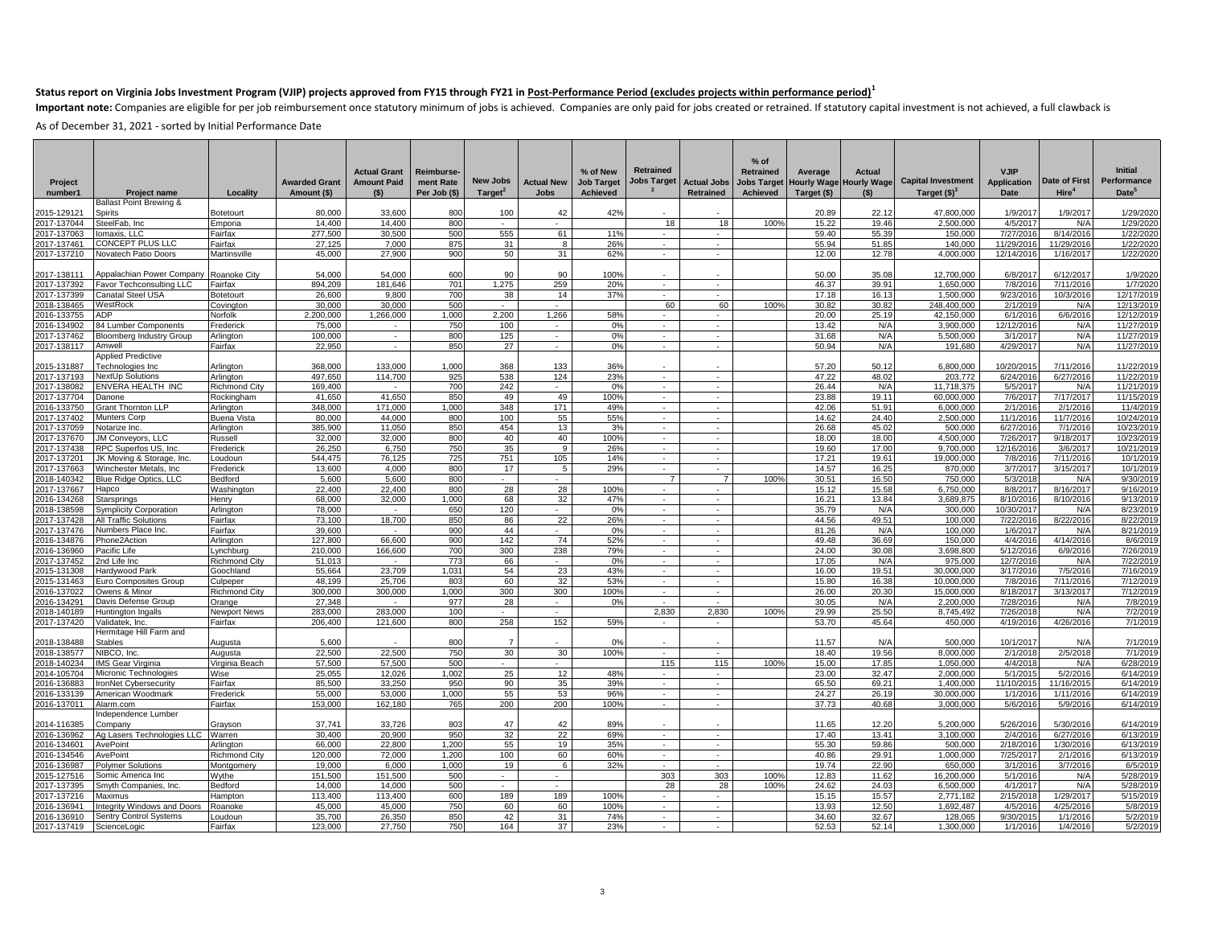Important note: Companies are eligible for per job reimbursement once statutory minimum of jobs is achieved. Companies are only paid for jobs created or retrained. If statutory capital investment is not achieved, a full cl

| Project                    |                                                | Locality              | <b>Awarded Grant</b> | <b>Actual Grant</b><br><b>Amount Paid</b> | Reimburse-<br>ment Rate<br>Per Job (\$) | New Jobs<br>Target <sup>2</sup> | <b>Actual New</b> | % of New<br><b>Job Target</b><br>Achieved | <b>Retrained</b><br><b>Jobs Target</b> | <b>Actual Jobs</b><br>Retrained | $%$ of<br><b>Retrained</b><br>Achieved | Average<br>Jobs Target Hourly Wage<br>Target (\$) | <b>Actual</b><br><b>Hourly Wage</b> | <b>Capital Investment</b> | <b>VJIP</b><br><b>Application</b><br><b>Date</b> | Date of First<br>Hire <sup>4</sup> | <b>Initial</b><br>Performance<br>Date <sup>5</sup> |
|----------------------------|------------------------------------------------|-----------------------|----------------------|-------------------------------------------|-----------------------------------------|---------------------------------|-------------------|-------------------------------------------|----------------------------------------|---------------------------------|----------------------------------------|---------------------------------------------------|-------------------------------------|---------------------------|--------------------------------------------------|------------------------------------|----------------------------------------------------|
| number1                    | <b>Project name</b><br>Ballast Point Brewing & |                       | Amount (\$)          | $($ \$)                                   |                                         |                                 | Jobs              |                                           |                                        |                                 |                                        |                                                   | $($ \$)                             | Target $(S)^3$            |                                                  |                                    |                                                    |
| 2015-129121                | <b>Spirits</b>                                 | Botetourt             | 80,000               | 33,600                                    | 800                                     | 100                             | 42                | 42%                                       |                                        |                                 |                                        | 20.89                                             | 22.12                               | 47,800,000                | 1/9/2017                                         | 1/9/2017                           | 1/29/2020                                          |
| 2017-137044                | SteelFab, Inc                                  | Emporia               | 14,400               | 14,400                                    | 800                                     | $\sim$                          |                   |                                           | 18                                     | 18                              | 100%                                   | 15.22                                             | 19.46                               | 2,500,000                 | 4/5/2017                                         | N/A                                | 1/29/2020                                          |
| 2017-137063                | omaxis, LLC                                    | Fairfax               | 277,500              | 30,500                                    | 500                                     | 555                             | 61                | 11%                                       | $\sim$                                 | ٠.                              |                                        | 59.40                                             | 55.39                               | 150,000                   | 7/27/201                                         | 8/14/2016                          | 1/22/2020                                          |
| 2017-137461                | CONCEPT PLUS LLC                               | Fairfax               | 27,125               | 7,000                                     | 875                                     | 31                              | 8                 | 26%                                       | $\sim$                                 | $\sim$                          |                                        | 55.94                                             | 51.85                               | 140,000                   | 11/29/201                                        | 11/29/2016                         | 1/22/202                                           |
| 2017-137210                | Novatech Patio Doors                           | Martinsville          | 45,000               | 27,900                                    | 900                                     | 50                              | 31                | 62%                                       | $\sim$                                 | $\sim$                          |                                        | 12.00                                             | 12.78                               | 4,000,000                 | 12/14/201                                        | 1/16/2017                          | 1/22/202                                           |
|                            |                                                |                       |                      |                                           |                                         |                                 |                   |                                           |                                        |                                 |                                        |                                                   |                                     |                           |                                                  |                                    |                                                    |
| 2017-138111                | Appalachian Power Company                      | Roanoke City          | 54.000               | 54.000                                    | 600                                     | 90                              | 90                | 100%                                      |                                        |                                 |                                        | 50.00                                             | 35.08                               | 12,700,000                | 6/8/201                                          | 6/12/2017                          | 1/9/2020                                           |
| 2017-137392                | Favor Techconsulting LLC                       | Fairfax               | 894,209              | 181,646                                   | 701                                     | 1,275                           | 259               | 20%                                       | $\sim$                                 | $\sim$                          |                                        | 46.37                                             | 39.91                               | 1,650,000                 | 7/8/2016                                         | 7/11/2016                          | 1/7/2020                                           |
| 2017-137399                | <b>Canatal Steel USA</b>                       | Botetourt             | 26,600               | 9.800                                     | 700                                     | 38                              | 14                | 37%                                       | $\sim$                                 |                                 |                                        | 17.18                                             | 16.13                               | 1.500.000                 | 9/23/201                                         | 10/3/2016                          | 12/17/2019                                         |
| 2018-138465<br>2016-133755 | WestRock<br>ADP                                | Covington<br>Norfolk  | 30,000<br>2,200,000  | 30,000<br>1,266,000                       | 500<br>1,000                            | $\sim$<br>2,200                 | $\sim$<br>1,266   | 58%                                       | 60<br>$\sim$                           | 60<br>٠                         | 100%                                   | 30.82<br>20.00                                    | 30.82<br>25.19                      | 248.400.000<br>42,150,000 | 2/1/2019<br>6/1/201                              | N/A<br>6/6/2016                    | 12/13/2019<br>12/12/2019                           |
| 2016-134902                | 84 Lumber Components                           | Frederick             | 75,000               | $\sim$                                    | 750                                     | 100                             | $\sim$            | 0%                                        | $\sim$                                 | $\sim$                          |                                        | 13.42                                             | N/A                                 | 3,900,000                 | 12/12/201                                        | N/A                                | 11/27/2019                                         |
| 2017-137462                | <b>Bloomberg Industry Group</b>                | Arlington             | 100,000              | $\sim$                                    | 800                                     | 125                             | $\sim$            | 0%                                        | $\sim$                                 | $\sim$                          |                                        | 31.68                                             | N/A                                 | 5,500,000                 | 3/1/201                                          | N/A                                | 11/27/2019                                         |
| 2017-138117                | Amwell                                         | Fairfax               | 22,950               | $\sim$                                    | 850                                     | 27                              | ×                 | 0%                                        | $\sim$                                 | $\sim$                          |                                        | 50.94                                             | N/A                                 | 191,680                   | 4/29/201                                         | N/A                                | 11/27/2019                                         |
|                            | <b>Applied Predictive</b>                      |                       |                      |                                           |                                         |                                 |                   |                                           |                                        |                                 |                                        |                                                   |                                     |                           |                                                  |                                    |                                                    |
| 2015-131887                | Fechnologies Inc                               | Arlington             | 368,000              | 133,000                                   | 1,000                                   | 368                             | 133               | 36%                                       |                                        |                                 |                                        | 57.20                                             | 50.12                               | 6,800,000                 | 10/20/201                                        | 7/11/2016                          | 11/22/2019                                         |
| 2017-137193                | NextUp Solutions                               | Arlington             | 497.650              | 114,700                                   | 925                                     | 538                             | 124               | 23%                                       | $\sim$                                 | $\sim$                          |                                        | 47.22                                             | 48.02                               | 203,772                   | 6/24/201                                         | 6/27/2016                          | 11/22/2019                                         |
| 2017-138082                | ENVERA HEALTH INC                              | Richmond City         | 169,400              |                                           | 700                                     | 242                             |                   | 0%                                        | $\sim$                                 | ×                               |                                        | 26.44                                             | N/A                                 | 11,718,375                | 5/5/201                                          | N/A                                | 11/21/2019                                         |
| 2017-137704                | Danone                                         | Rockingham            | 41,650               | 41,650                                    | 850                                     | 49                              | 49                | 100%                                      | $\sim$                                 | $\sim$                          |                                        | 23.88                                             | 19.11                               | 60,000,000                | 7/6/201                                          | 7/17/2017                          | 11/15/2019                                         |
| 2016-133750                | <b>Grant Thornton LLP</b>                      | Arlington             | 348,000              | 171.000                                   | 1,000                                   | 348                             | 171               | 49%                                       | $\sim$                                 | $\sim$                          |                                        | 42.06                                             | 51.91                               | 6,000,000                 | 2/1/201                                          | 2/1/2016                           | 11/4/2019                                          |
| 2017-137402                | Munters Corp                                   | Buena Vista           | 80,000               | 44,000                                    | 800                                     | 100                             | 55                | 55%                                       | $\sim$                                 | $\sim$                          |                                        | 14.62                                             | 24.40                               | 2,500,000                 | 11/1/201                                         | 11/7/2016                          | 10/24/201                                          |
| 2017-137059                | Notarize Inc.                                  | Arlington             | 385,900              | 11,050                                    | 850                                     | 454                             | 13                | 3%                                        | $\sim$                                 | $\sim$                          |                                        | 26.68                                             | 45.02                               | 500,000                   | 6/27/201                                         | 7/1/2016                           | 10/23/201                                          |
| 2017-137670                | JM Conveyors, LLC                              | Russell               | 32,000               | 32,000                                    | 800                                     | 40                              | 40                | 100%                                      | $\sim$                                 | $\sim$                          |                                        | 18.00                                             | 18.00                               | 4,500,000                 | 7/26/201                                         | 9/18/2017                          | 10/23/201                                          |
| 2017-137438                | RPC Superfos US, Inc.                          | Frederick             | 26,250               | 6.750                                     | 750                                     | 35                              | 9                 | 26%                                       | $\sim$                                 | $\sim$                          |                                        | 19.60                                             | 17.00                               | 9,700,000                 | 12/16/201                                        | 3/6/2017                           | 10/21/201                                          |
| 2017-137201                | JK Moving & Storage, Inc                       | Loudoun               | 544,475              | 76,125                                    | 725                                     | 751                             | 105               | 14%                                       | $\sim$<br>$\sim$                       | $\sim$<br>$\sim$                |                                        | 17.21                                             | 19.61                               | 19,000,000                | 7/8/201                                          | 7/11/2016                          | 10/1/201                                           |
| 2017-137663                | Winchester Metals, Inc                         | Frederick             | 13,600<br>5,600      | 4,000<br>5,600                            | 800<br>800                              | 17                              | 5                 | 29%                                       | $\overline{7}$                         | $\overline{7}$                  | 100%                                   | 14.57<br>30.51                                    | 16.25<br>16.50                      | 870,000<br>750,000        | 3/7/201<br>5/3/201                               | 3/15/2017<br>N/A                   | 10/1/2019<br>9/30/201                              |
| 2018-140342<br>2017-137667 | Blue Ridge Optics, LLC<br>Hapco                | Bedford<br>Washington | 22.400               | 22.400                                    | 800                                     | 28                              | 28                | 100%                                      | $\sim$                                 | ٠                               |                                        | 15.12                                             | 15.58                               | 6,750,000                 | 8/8/2017                                         | 8/16/2017                          | 9/16/2019                                          |
| 2016-134268                | Starsprings                                    | Henry                 | 68,000               | 32,000                                    | 1,000                                   | 68                              | 32                | 47%                                       | $\sim$                                 | $\sim$                          |                                        | 16.21                                             | 13.84                               | 3,689,875                 | 8/10/2016                                        | 8/10/2016                          | 9/13/2019                                          |
| 2018-138598                | <b>Symplicity Corporation</b>                  | Arlington             | 78,000               |                                           | 650                                     | 120                             |                   | 0%                                        | $\sim$                                 | $\sim$                          |                                        | 35.79                                             | N/A                                 | 300,000                   | 10/30/2017                                       | N/A                                | 8/23/2019                                          |
| 2017-137428                | All Traffic Solutions                          | Fairfax               | 73,100               | 18,700                                    | 850                                     | 86                              | 22                | 26%                                       | $\sim$                                 | $\sim$                          |                                        | 44.56                                             | 49.5'                               | 100,000                   | 7/22/201                                         | 8/22/2016                          | 8/22/2019                                          |
| 2017-137476                | Numbers Place Inc.                             | Fairfax               | 39,600               | $\sim$                                    | 900                                     | 44                              |                   | 0%                                        | $\sim$                                 |                                 |                                        | 81.26                                             | N/A                                 | 100,000                   | 1/6/2017                                         | N/A                                | 8/21/2019                                          |
| 2016-134876                | Phone2Action                                   | Arlington             | 127,800              | 66,600                                    | 900                                     | 142                             | 74                | 52%                                       | $\sim$                                 | $\sim$                          |                                        | 49.48                                             | 36.69                               | 150,000                   | 4/4/201                                          | 4/14/2016                          | 8/6/2019                                           |
| 2016-136960                | Pacific Life                                   | Lynchburg             | 210,000              | 166,600                                   | 700                                     | 300                             | 238               | 79%                                       | $\sim$                                 | $\sim$                          |                                        | 24.00                                             | 30.08                               | 3,698,800                 | 5/12/201                                         | 6/9/2016                           | 7/26/201                                           |
| 2017-137452                | 2nd Life Inc                                   | Richmond City         | 51,013               | $\sim$                                    | 773                                     | 66                              |                   | 0%                                        | $\sim$                                 | $\sim$                          |                                        | 17.05                                             | N/A                                 | 975,000                   | 12/7/201                                         | N/A                                | 7/22/201                                           |
| 2015-131308                | Hardywood Park                                 | Goochland             | 55,664               | 23,709                                    | 1,031                                   | 54                              | 23                | 43%                                       | $\sim$                                 | $\overline{\phantom{a}}$        |                                        | 16.00                                             | 19.51                               | 30,000,000                | 3/17/201                                         | 7/5/2016                           | 7/16/201                                           |
| 2015-131463                | Euro Composites Group                          | Culpeper              | 48,199               | 25,706                                    | 803                                     | 60                              | 32                | 53%                                       | $\sim$                                 | $\sim$                          |                                        | 15.80                                             | 16.38                               | 10,000,000                | 7/8/201                                          | 7/11/2016                          | 7/12/2019                                          |
| 2016-137022                | Owens & Minor                                  | <b>Richmond City</b>  | 300,000              | 300,000                                   | 1,000                                   | 300                             | 300               | 100%                                      | $\sim$                                 | $\sim$                          |                                        | 26.00                                             | 20.30                               | 15,000,000                | 8/18/201                                         | 3/13/2017                          | 7/12/2019                                          |
| 2016-134291                | Davis Defense Group                            | Orange                | 27,348               | $\sim$                                    | 977                                     | 28                              | $\sim$            | 0%                                        | $\sim$                                 | $\sim$                          |                                        | 30.05                                             | N/A                                 | 2,200,000                 | 7/28/201                                         | N/A                                | 7/8/2019                                           |
| 2018-140189                | Huntington Ingalls                             | Newport News          | 283,000              | 283,000                                   | 100                                     |                                 | $\sim$            |                                           | 2,830                                  | 2,830                           | 100%                                   | 29.99                                             | 25.50                               | 8,745,492                 | 7/26/201                                         | N/A                                | 7/2/2019                                           |
| 2017-137420                | Validatek, Inc.                                | Fairfax               | 206,400              | 121,600                                   | 800                                     | 258                             | 152               | 59%                                       | $\sim$                                 | $\sim$                          |                                        | 53.70                                             | 45.64                               | 450,000                   | 4/19/2016                                        | 4/26/2016                          | 7/1/2019                                           |
| 2018-138488                | Hermitage Hill Farm and<br><b>Stables</b>      | Augusta               | 5,600                |                                           | 800                                     | $\overline{7}$                  |                   | 0%                                        |                                        |                                 |                                        | 11.57                                             | N/A                                 | 500.000                   | 10/1/201                                         | N/f                                | 7/1/2019                                           |
| 2018-138577                | NIBCO, Inc                                     | Augusta               | 22,500               | 22,500                                    | 750                                     | 30                              | 30                | 100%                                      | $\sim$                                 | $\sim$                          |                                        | 18.40                                             | 19.56                               | 8,000,000                 | 2/1/2018                                         | 2/5/2018                           | 7/1/2019                                           |
| 2018-140234                | <b>IMS</b> Gear Virginia                       | Virginia Beach        | 57,500               | 57,500                                    | 500                                     | $\sim$                          | $\sim$            |                                           | 115                                    | 115                             | 100%                                   | 15.00                                             | 17.85                               | 1.050.000                 | 4/4/2018                                         | N/A                                | 6/28/2019                                          |
| 2014-105704                | Micronic Technologies                          | Wise                  | 25,055               | 12,026                                    | 1,002                                   | 25                              | 12                | 48%                                       | $\sim$                                 | $\sim$                          |                                        | 23.00                                             | 32.47                               | 2,000,000                 | 5/1/201                                          | 5/2/2016                           | 6/14/2019                                          |
| 2016-136883                | ronNet Cybersecurity                           | Fairfax               | 85,500               | 33,250                                    | 950                                     | 90                              | 35                | 39%                                       | $\sim$                                 | $\sim$                          |                                        | 65.50                                             | 69.21                               | 1,400,000                 | 11/10/201                                        | 11/16/2015                         | 6/14/201                                           |
| 2016-133139                | American Woodmark                              | Frederick             | 55,000               | 53,000                                    | 1,000                                   | 55                              | 53                | 96%                                       | $\sim$                                 | $\sim$                          |                                        | 24.27                                             | 26.19                               | 30,000,000                | 1/1/201                                          | 1/11/2016                          | 6/14/2019                                          |
| 2016-137011                | Alarm.com                                      | Fairfax               | 153,000              | 162,180                                   | 765                                     | 200                             | 200               | 100%                                      | ٠                                      | ×,                              |                                        | 37.73                                             | 40.68                               | 3,000,000                 | 5/6/2016                                         | 5/9/2016                           | 6/14/2019                                          |
|                            | ndependence Lumber                             |                       |                      |                                           |                                         |                                 |                   |                                           |                                        |                                 |                                        |                                                   |                                     |                           |                                                  |                                    |                                                    |
| 2014-116385                | Company                                        | Grayson               | 37,741               | 33,726                                    | 803                                     | 47                              | 42                | 89%                                       |                                        |                                 |                                        | 11.65                                             | 12.20                               | 5.200.000                 | 5/26/201                                         | 5/30/201                           | 6/14/2019                                          |
| 2016-136962                | Ag Lasers Technologies LLC                     | Warren                | 30,400               | 20,900                                    | 950                                     | 32                              | 22                | 69%                                       | $\sim$                                 | $\sim$                          |                                        | 17.40                                             | 13.41                               | 3,100,000                 | 2/4/201                                          | 6/27/2016                          | 6/13/2019                                          |
| 2016-134601                | AvePoint                                       | Arlington             | 66,000               | 22,800                                    | 1,200                                   | 55                              | 19                | 35%                                       | $\sim$                                 | $\overline{\phantom{a}}$        |                                        | 55.30                                             | 59.86                               | 500,000                   | 2/18/201                                         | 1/30/2016                          | 6/13/2019                                          |
| 2016-134546                | AvePoint                                       | Richmond City         | 120,000              | 72,000                                    | 1,200                                   | 100                             | 60                | 60%                                       | $\sim$                                 | $\sim$                          |                                        | 40.86                                             | 29.91                               | 1,000,000                 | 7/25/201                                         | 2/1/2016                           | 6/13/2019                                          |
| 2016-136987                | <b>Polymer Solutions</b>                       | Montgomery            | 19,000               | 6,000                                     | 1,000                                   | 19                              | 6                 | 32%                                       | $\sim$                                 | $\sim$                          |                                        | 19.74                                             | 22.90                               | 650,000                   | 3/1/201                                          | 3/7/2016                           | 6/5/201                                            |
| 2015-127516                | Somic America Inc                              | Wythe                 | 151,500              | 151,500                                   | 500                                     | $\sim$                          | $\sim$            |                                           | 303                                    | 303                             | 100%                                   | 12.83                                             | 11.62                               | 16,200,000                | 5/1/201                                          | N/A                                | 5/28/201                                           |
| 2017-137395<br>2017-137216 | Smyth Companies, Inc.                          | Bedford               | 14,000<br>113,400    | 14,000<br>113,400                         | 500<br>600                              | $\sim$<br>189                   | 189               | 100%                                      | 28                                     | 28                              | 100%                                   | 24.62<br>15.15                                    | 24.03<br>15.57                      | 6,500,000<br>2,771,182    | 4/1/201                                          | N/A                                | 5/28/201                                           |
| 2016-13694                 | Maximus<br>ntegrity Windows and Doors          | Hampton<br>Roanoke    | 45,000               | 45,000                                    | 750                                     | 60                              | 60                | 100%                                      | $\sim$<br>$\sim$                       | $\sim$<br>$\sim$                |                                        | 13.93                                             | 12.50                               | 1,692,487                 | 2/15/201<br>4/5/201                              | 1/29/2017<br>4/25/2016             | 5/15/2019<br>5/8/201                               |
|                            | Sentry Control Systems                         | Loudoun               | 35,700               | 26,350                                    | 850                                     | 42                              | 31                | 74%                                       | $\sim$                                 |                                 |                                        | 34.60                                             | 32.67                               | 128,065                   | 9/30/201                                         | 1/1/2016                           | 5/2/201                                            |
| 2016-136910<br>2017-137419 | ScienceLogic                                   | Fairfax               | 123,000              | 27,750                                    | 750                                     | 164                             | 37                | 23%                                       |                                        |                                 |                                        | 52.53                                             | 52.14                               | 1,300,000                 | 1/1/2016                                         | 1/4/2016                           | 5/2/2019                                           |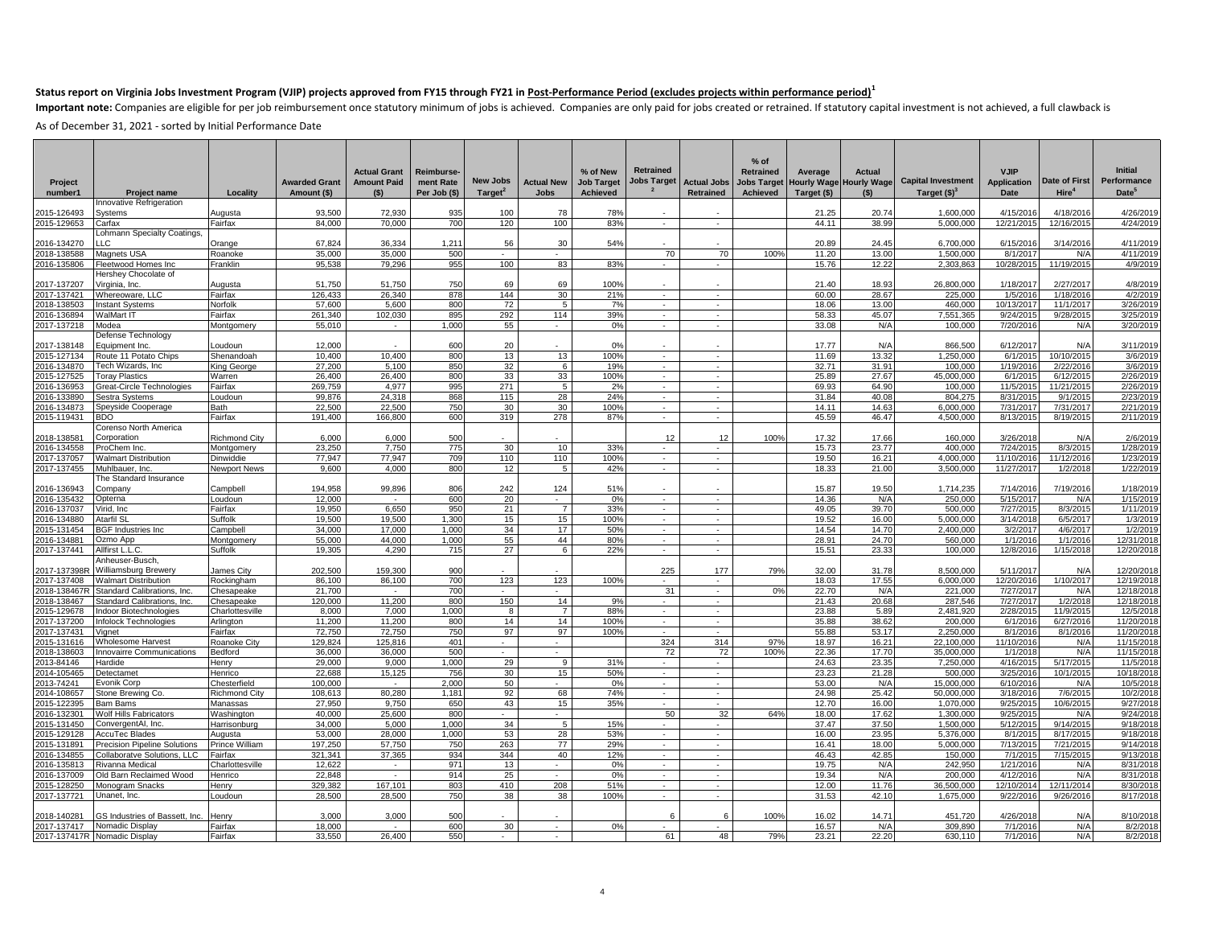Important note: Companies are eligible for per job reimbursement once statutory minimum of jobs is achieved. Companies are only paid for jobs created or retrained. If statutory capital investment is not achieved, a full cl

|                             |                                                               |                           |                      |                     |              |                     |                             |                   |                  |                          | $%$ of           |                                |                    |                           |                        |                        |                         |
|-----------------------------|---------------------------------------------------------------|---------------------------|----------------------|---------------------|--------------|---------------------|-----------------------------|-------------------|------------------|--------------------------|------------------|--------------------------------|--------------------|---------------------------|------------------------|------------------------|-------------------------|
|                             |                                                               |                           |                      | <b>Actual Grant</b> | Reimburse-   |                     |                             | % of New          | <b>Retrained</b> |                          | <b>Retrained</b> | Average                        | Actual             |                           | <b>VJIP</b>            |                        | <b>Initial</b>          |
| Project                     |                                                               |                           | <b>Awarded Grant</b> | <b>Amount Paid</b>  | ment Rate    | New Jobs            | <b>Actual New</b>           | <b>Job Target</b> | Jobs Target      | <b>Actual Jobs</b>       |                  | <b>Jobs Target Hourly Wage</b> | <b>Hourly Wage</b> | <b>Capital Investment</b> | <b>Application</b>     | Date of First          | Performance             |
| number1                     | <b>Project name</b>                                           | Locality                  | Amount (\$)          | (S)                 | Per Job (\$) | Target <sup>2</sup> | <b>Jobs</b>                 | Achieved          |                  | <b>Retrained</b>         | Achieved         | Target (\$)                    | (S)                | Target $(S)^3$            | <b>Date</b>            | Hire <sup>4</sup>      | Date <sup>5</sup>       |
|                             | Innovative Refrigeration                                      |                           |                      |                     |              |                     |                             |                   |                  |                          |                  |                                |                    |                           |                        |                        |                         |
| 015-126493<br>2015-129653   | Systems<br>Carfax                                             | Augusta<br>Fairfax        | 93,500<br>84.000     | 72,930<br>70.000    | 935<br>700   | 100<br>120          | 78<br>100                   | 78%<br>83%        |                  | $\sim$                   |                  | 21.25<br>44.11                 | 20.74<br>38.99     | 1,600,000<br>5.000.000    | 4/15/201<br>12/21/2015 | 4/18/201<br>12/16/2015 | 4/26/2019<br>4/24/2019  |
|                             | ohmann Specialty Coatings,                                    |                           |                      |                     |              |                     |                             |                   |                  |                          |                  |                                |                    |                           |                        |                        |                         |
| 2016-134270                 | ТC                                                            | Orange                    | 67,824               | 36,334              | 1,211        | 56                  | 30                          | 54%               |                  |                          |                  | 20.89                          | 24.45              | 6,700,000                 | 6/15/201               | 3/14/2016              | 4/11/2019               |
| 2018-138588                 | <b>Magnets USA</b>                                            | Roanoke                   | 35.000               | 35,000              | 500          | $\sim$              |                             |                   | 70               | 70                       | 100%             | 11.20                          | 13.00              | 1.500.000                 | 8/1/201                | N/A                    | 4/11/2019               |
| 2016-135806                 | Fleetwood Homes Inc                                           | Franklin                  | 95,538               | 79.296              | 955          | 100                 | 83                          | 83%               |                  |                          |                  | 15.76                          | 12.22              | 2.303.863                 | 10/28/201              | 11/19/2015             | 4/9/2019                |
| 2017-137207                 | Hershey Chocolate of<br>Virginia, Inc.                        | Augusta                   | 51.750               | 51.750              | 750          | 69                  | 69                          | 100%              |                  |                          |                  | 21.40                          | 18.93              | 26.800.000                | 1/18/201               | 2/27/201               | 4/8/2019                |
| 2017-137421                 | Whereoware, LLC                                               | Fairfax                   | 126,433              | 26,340              | 878          | 144                 | 30                          | 21%               | $\sim$           | $\sim$                   |                  | 60.00                          | 28.67              | 225,000                   | 1/5/2016               | 1/18/2016              | 4/2/2019                |
| 2018-138503                 | <b>Instant Systems</b>                                        | Norfolk                   | 57,600               | 5,600               | 800          | 72                  | -5                          | 7%                | $\sim$           | $\sim$                   |                  | 18.06                          | 13.00              | 460,000                   | 10/13/201              | 11/1/2017              | 3/26/2019               |
| 2016-136894                 | WalMart IT                                                    | Fairfax                   | 261.340              | 102.030             | 895          | 292                 | 114                         | 39%               | $\sim$           | $\sim$                   |                  | 58.33                          | 45.07              | 7,551,365                 | 9/24/201               | 9/28/2015              | 3/25/2019               |
| 2017-137218                 | Modea                                                         | Montgomery                | 55,010               | $\sim$              | 1,000        | 55                  | $\mathcal{L}_{\mathcal{A}}$ | 0%                | $\sim$           | $\sim$                   |                  | 33.08                          | N/A                | 100,000                   | 7/20/201               | N/A                    | 3/20/2019               |
| 2017-138148                 | Defense Technology<br>Equipment Inc.                          | Loudoun                   | 12.000               |                     | 600          | 20                  |                             | 0%                |                  |                          |                  | 17.77                          | N/A                | 866,500                   | 6/12/2017              | N/A                    | 3/11/2019               |
| 2015-127134                 | Route 11 Potato Chips                                         | Shenandoah                | 10,400               | 10,400              | 800          | 13                  | 13                          | 100%              | $\sim$           | $\sim$                   |                  | 11.69                          | 13.32              | 1,250,000                 | 6/1/201                | 10/10/2015             | 3/6/2019                |
| 2016-134870                 | Tech Wizards, Inc                                             | King George               | 27,200               | 5.100               | 850          | 32                  | 6                           | 19%               | $\sim$           | $\sim$                   |                  | 32.71                          | 31.91              | 100.000                   | 1/19/201               | 2/22/2016              | 3/6/201                 |
| 2015-127525                 | <b>Toray Plastics</b>                                         | Warren                    | 26,400               | 26.400              | 800          | 33                  | 33                          | 100%              | $\sim$           | in 19                    |                  | 25.89                          | 27.67              | 45,000,000                | 6/1/201                | 6/12/2015              | 2/26/201                |
| 2016-136953                 | Great-Circle Technologies                                     | Fairfax                   | 269,759              | 4.977               | 995          | 271                 | $5\overline{)}$             | 2%                |                  |                          |                  | 69.93                          | 64.90              | 100,000                   | 11/5/201               | 11/21/2015             | 2/26/201                |
| 2016-133890                 | Sestra Systems                                                | Loudoun                   | 99,876               | 24.318              | 868          | 115                 | 28                          | 24%               | $\sim$           | $\sim$                   |                  | 31.84                          | 40.08              | 804,275                   | 8/31/201               | 9/1/2015               | 2/23/2019               |
| 2016-134873                 | Speyside Cooperage                                            | Bath                      | 22,500               | 22,500              | 750          | 30                  | 30 <sup>2</sup>             | 100%              | $\sim$           | $\sim$                   |                  | 14.11                          | 14.63              | 6.000.000                 | 7/31/201               | 7/31/2017              | 2/21/2019               |
| 015-119431                  | <b>BDO</b><br>Corenso North America                           | Fairfax                   | 191,400              | 166,800             | 600          | 319                 | 278                         | 87%               | $\sim$           | $\sim$                   |                  | 45.59                          | 46.47              | 4,500,000                 | 8/13/201               | 8/19/2015              | 2/11/2019               |
| 2018-13858                  | Corporation                                                   | <b>Richmond City</b>      | 6.000                | 6.000               | 500          |                     |                             |                   | 12               | 12                       | 100%             | 17.32                          | 17.66              | 160,000                   | 3/26/201               | N/A                    | 2/6/2019                |
| 2016-134558                 | ProChem Inc.                                                  | Montgomery                | 23,250               | 7,750               | 775          | 30                  | $10$                        | 33%               | $\sim$           | $\overline{\phantom{a}}$ |                  | 15.73                          | 23.77              | 400,000                   | 7/24/201               | 8/3/2015               | 1/28/2019               |
| 2017-137057                 | <b>Walmart Distribution</b>                                   | Dinwiddie                 | 77,947               | 77,947              | 709          | 110                 | 110                         | 100%              | $\sim$           | $\sim$                   |                  | 19.50                          | 16.21              | 4,000,000                 | 11/10/2016             | 11/12/2016             | 1/23/2019               |
| 2017-137455                 | Muhlbauer, Inc.                                               | <b>Newport News</b>       | 9.600                | 4.000               | 800          | 12                  | -5                          | 42%               | $\sim$           | $\sim$                   |                  | 18.33                          | 21.00              | 3.500.000                 | 11/27/201              | 1/2/2018               | 1/22/2019               |
|                             | The Standard Insurance                                        |                           |                      |                     |              |                     |                             |                   |                  |                          |                  |                                |                    |                           |                        |                        |                         |
| 2016-136943                 | Company                                                       | Campbell                  | 194,958              | 99.896              | 806          | 242                 | 124                         | 51%               |                  |                          |                  | 15.87                          | 19.50              | 1,714,235                 | 7/14/201               | 7/19/2016              | 1/18/2019               |
| 2016-135432<br>2016-137037  | Opterna<br>Virid, Inc                                         | Loudoun<br>Fairfax        | 12,000<br>19,950     | $\sim$<br>6,650     | 600<br>950   | 20<br>21            | $\sim$<br>$\overline{7}$    | 0%<br>33%         | $\sim$<br>$\sim$ | $\sim$<br>$\sim$         |                  | 14.36<br>49.05                 | N/A<br>39.70       | 250,000<br>500,000        | 5/15/2017<br>7/27/2015 | N/A<br>8/3/2015        | 1/15/2019<br>1/11/2019  |
| 2016-134880                 | Atarfil SL                                                    | Suffolk                   | 19.500               | 19.500              | 1.300        | 15                  | 15                          | 100%              | $\sim$           | $\sim$                   |                  | 19.52                          | 16.00              | 5.000.000                 | 3/14/201               | 6/5/201                | 1/3/2019                |
| 015-131454                  | <b>BGF</b> Industries Inc                                     | Campbel                   | 34,000               | 17.000              | 1,000        | 34                  | 17                          | 50%               | a.               | in 19                    |                  | 14.54                          | 14.70              | 2,400,000                 | 3/2/201                | 4/6/2017               | 1/2/201                 |
| 2016-134881                 | Ozmo App                                                      | Montgomen                 | 55,000               | 44,000              | 1,000        | 55                  | 44                          | 80%               | $\sim$           | $\overline{\phantom{a}}$ |                  | 28.91                          | 24.70              | 560,000                   | 1/1/201                | 1/1/2016               | 12/31/201               |
| 2017-137441                 | Allfirst L.L.C.                                               | Suffolk                   | 19,305               | 4,290               | 715          | 27                  | 6                           | 22%               | $\sim$           | ÷.                       |                  | 15.51                          | 23.33              | 100,000                   | 12/8/201               | 1/15/2018              | 12/20/2018              |
|                             | Anheuser-Busch,                                               |                           |                      |                     |              |                     |                             |                   |                  |                          |                  |                                |                    |                           |                        |                        |                         |
| 2017-137398                 | Williamsburg Brewery<br><b>Walmart Distribution</b>           | James City<br>Rockingham  | 202,500              | 159,300<br>86,100   | 900          |                     |                             |                   | 225              | 177<br>$\sim$            | 79%              | 32.00                          | 31.78              | 8,500,000<br>6.000.000    | 5/11/201               | N/A<br>1/10/2017       | 12/20/2018              |
| 2017-137408<br>2018-138467R | Standard Calibrations, Inc.                                   | Chesapeake                | 86,100<br>21.700     |                     | 700<br>700   | 123                 | 123                         | 100%              | 31               | $\sim$                   | 0%               | 18.03<br>22.70                 | 17.55<br>N/A       | 221.000                   | 12/20/201<br>7/27/201  | N/A                    | 12/19/201<br>12/18/2018 |
| 2018-138467                 | Standard Calibrations, Inc.                                   | Chesapeake                | 120,000              | 11,200              | 800          | 150                 | 14                          | 9%                | $\sim$           | $\sim$                   |                  | 21.43                          | 20.68              | 287,546                   | 7/27/2011              | 1/2/2018               | 12/18/2018              |
| 2015-129678                 | Indoor Biotechnologies                                        | Charlottesville           | 8,000                | 7.000               | 000,1        | -8                  | $\overline{7}$              | 88%               | $\sim$           | $\sim$                   |                  | 23.88                          | 5.89               | 2,481,920                 | 2/28/201               | 11/9/2015              | 12/5/201                |
| 2017-137200                 | Infolock Technologies                                         | Arlinaton                 | 11.200               | 11.200              | 800          | 14                  | 14                          | 100%              | $\sim$           | $\sim$                   |                  | 35.88                          | 38.62              | 200,000                   | 6/1/201                | 6/27/2016              | 11/20/201               |
| 2017-137431                 | /ignet                                                        | Fairfax                   | 72,750               | 72,750              | 750          | 97                  | 97                          | 100%              | $\sim$           | ÷.                       |                  | 55.88                          | 53.17              | 2.250.000                 | 8/1/201                | 8/1/2016               | 11/20/201               |
| 2015-131616                 | <b>Wholesome Harvest</b>                                      | Roanoke City              | 129,824              | 125,816             | 401          | $\sim$              | a.                          |                   | 324              | 314                      | 97%              | 18.97                          | 16.21              | 22,100,000                | 11/10/201              | N/A                    | 11/15/201               |
| 2018-138603<br>2013-84146   | Innovairre Communications<br>Hardide                          | Bedford<br>Henry          | 36.000<br>29,000     | 36.000<br>9.000     | 500<br>1,000 | ÷<br>29             | $\sim$<br>9                 | 31%               | 72<br>$\sim$     | 72<br>$\sim$             | 100%             | 22.36<br>24.63                 | 17.70<br>23.35     | 35.000.000<br>7,250,000   | 1/1/2018<br>4/16/201   | N/A<br>5/17/2015       | 11/15/201<br>11/5/201   |
| 2014-105465                 | <b>Detectame</b>                                              | Henrico                   | 22,688               | 15,125              | 756          | 30                  | 15                          | 50%               | $\sim$           | $\sim$                   |                  | 23.23                          | 21.28              | 500,000                   | 3/25/201               | 10/1/2015              | 10/18/201               |
| 2013-74241                  | Evonik Corp                                                   | Chesterfield              | 100.000              |                     | 2.000        | 50                  |                             | 0%                | $\sim$           | in 19                    |                  | 53.00                          | N/A                | 15,000,000                | 6/10/201               | N/A                    | 10/5/201                |
| 2014-108657                 | Stone Brewing Co.                                             | <b>Richmond City</b>      | 108,613              | 80,280              | 1,181        | 92                  | 68                          | 74%               | $\sim$           | $\sim$                   |                  | 24.98                          | 25.42              | 50,000,000                | 3/18/201               | 7/6/2015               | 10/2/201                |
| 2015-122395                 | Bam Bams                                                      | Manassas                  | 27.950               | 9.750               | 650          | 43                  | 15                          | 35%               |                  | $\overline{\phantom{a}}$ |                  | 12.70                          | 16.00              | 1.070.000                 | 9/25/201               | 10/6/2015              | 9/27/2018               |
| 2016-132301                 | <b>Wolf Hills Fabricators</b>                                 | Washington                | 40,000               | 25.600              | 800          | $\sim$              | $\sim$                      |                   | 50               | 32                       | 64%              | 18.00                          | 17.62              | 1.300.000                 | 9/25/201               | N/A                    | 9/24/2018               |
| 2015-131450                 | ConvergentAI, Inc.                                            | Harrisonburg              | 34,000               | 5,000               | 1.000        | 34                  | 5                           | 15%               | $\sim$           | $\sim$                   |                  | 37.47                          | 37.50              | 1,500,000                 | 5/12/201               | 9/14/2015              | 9/18/2018               |
| 015-129128                  | <b>AccuTec Blades</b><br>Precision Pipeline Solutions         | Augusta                   | 53,000<br>197.250    | 28,000<br>57.750    | 1,000<br>750 | 53<br>263           | 28<br>$\overline{77}$       | 53%               | $\sim$<br>a.     | $\sim$<br>in 19          |                  | 16.00<br>16.41                 | 23.95<br>18.00     | 5,376,000                 | 8/1/201                | 8/17/2015              | 9/18/201<br>9/14/201    |
| 015-131891<br>2016-134855   | Collaboratve Solutions, LLC                                   | Prince William<br>Fairfax | 321,341              | 37,365              | 934          | 344                 | 40                          | 29%<br>12%        |                  | $\overline{\phantom{a}}$ |                  | 46.43                          | 42.85              | 5,000,000<br>150,000      | 7/13/201<br>7/1/201    | 7/21/2015<br>7/15/2015 | 9/13/201                |
| 016-13581                   | Rivanna Medical                                               | Charlottesville           | 12,622               | $\sim$              | 971          | 13                  | $\sim$                      | 0%                | $\sim$           | $\sim$                   |                  | 19.75                          | N/A                | 242,950                   | 1/21/201               | N/A                    | 8/31/201                |
| 2016-137009                 | Old Barn Reclaimed Wood                                       | Henrico                   | 22.848               | $\sim$              | 914          | 25                  | $\sim$                      | 0%                | $\sim$           | $\sim$                   |                  | 19.34                          | N/A                | 200.000                   | 4/12/201               | N/A                    | 8/31/201                |
| 2015-128250                 | Monogram Snacks                                               | Henry                     | 329,382              | 167,101             | 803          | 410                 | 208                         | 51%               | $\sim$           | $\sim$                   |                  | 12.00                          | 11.76              | 36,500,000                | 12/10/201              | 12/11/2014             | 8/30/201                |
| 2017-137721                 | Unanet, Inc.                                                  | Loudoun                   | 28,500               | 28,500              | 750          | 38                  | 38                          | 100%              | a.               | $\sim$                   |                  | 31.53                          | 42.10              | 1,675,000                 | 9/22/201               | 9/26/2016              | 8/17/2018               |
|                             |                                                               |                           |                      |                     |              |                     |                             |                   |                  |                          |                  |                                |                    |                           |                        |                        |                         |
| 2018-140281                 | GS Industries of Bassett, Inc.<br>2017-137417 Nomadic Display | Henry<br>Fairfax          | 3,000<br>18,000      | 3,000<br>$\sim$     | 500<br>600   | 30                  | $\sim$                      | 0%                | 6<br>$\sim$      | $\sim$                   | 100%             | 16.02<br>16.57                 | 14.71<br>N/A       | 451,720<br>309.890        | 4/26/201<br>7/1/2016   | N/A<br>N/A             | 8/10/2018<br>8/2/2018   |
|                             | 2017-137417R Nomadic Display                                  | Fairfax                   | 33.550               | 26.400              | 550          |                     |                             |                   | 61               | 48                       | 79%              | 23.21                          | 22.20              | 630.110                   | 7/1/2016               | N/A                    | 8/2/2018                |
|                             |                                                               |                           |                      |                     |              |                     |                             |                   |                  |                          |                  |                                |                    |                           |                        |                        |                         |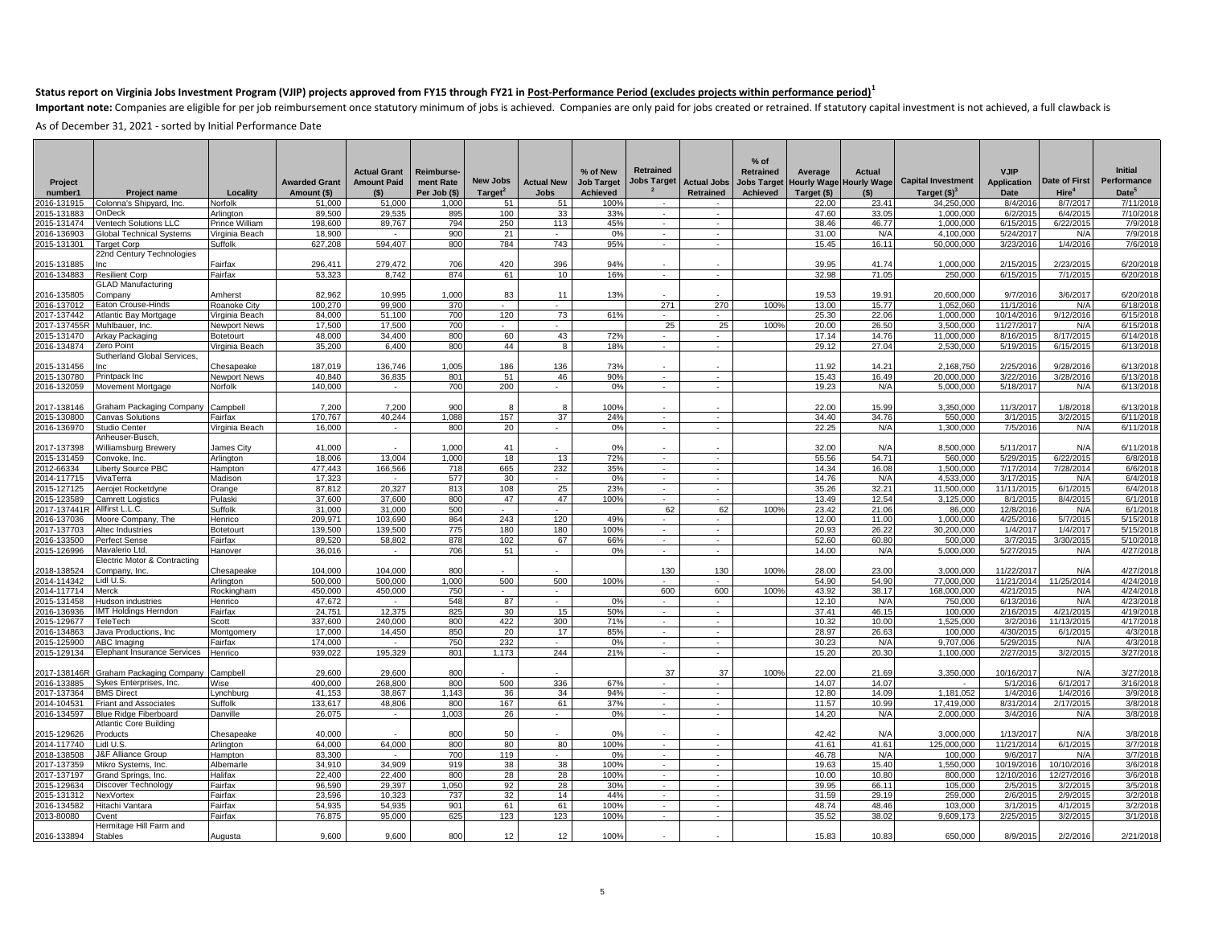Important note: Companies are eligible for per job reimbursement once statutory minimum of jobs is achieved. Companies are only paid for jobs created or retrained. If statutory capital investment is not achieved, a full cl

|                            |                                                              |                         |                       |                     |                           |                                 |                                  |                                      |                          |                                        | $%$ of             |                      |                           |                                            |                                   |                                    |                                  |
|----------------------------|--------------------------------------------------------------|-------------------------|-----------------------|---------------------|---------------------------|---------------------------------|----------------------------------|--------------------------------------|--------------------------|----------------------------------------|--------------------|----------------------|---------------------------|--------------------------------------------|-----------------------------------|------------------------------------|----------------------------------|
|                            |                                                              |                         |                       | <b>Actual Grant</b> | <b>Reimburse-</b>         |                                 |                                  | % of New                             | <b>Retrained</b>         |                                        | <b>Retrained</b>   | Average              | <b>Actual</b>             |                                            | <b>VJIP</b>                       |                                    | <b>Initial</b>                   |
| Project                    |                                                              | Locality                | <b>Awarded Grant</b>  | <b>Amount Paid</b>  | ment Rate<br>Per Job (\$) | New Jobs<br>Target <sup>2</sup> | <b>Actual New</b><br><b>Jobs</b> | <b>Job Target</b><br><b>Achieved</b> | Jobs Target              | <b>Actual Jobs</b><br><b>Retrained</b> | <b>Jobs Target</b> | <b>Hourly Wage</b>   | <b>Hourly Wage</b><br>(S) | <b>Capital Investment</b><br>Target $(§)3$ | <b>Application</b><br><b>Date</b> | Date of First<br>Hire <sup>4</sup> | Performance<br>Date <sup>5</sup> |
| number1<br>016-131915      | <b>Project name</b><br>Colonna's Shipyard, Inc.              | Norfolk                 | Amount (\$)<br>51,000 | (5)<br>51,000       | 1,000                     | 51                              | 51                               | 100%                                 |                          |                                        | Achieved           | Target (\$)<br>22.00 | 23.41                     | 34,250,000                                 | 8/4/2016                          | 8/7/2017                           | 7/11/2018                        |
| 015-131883                 | OnDeck                                                       | Arlington               | 89,500                | 29,535              | 895                       | 100                             | 33                               | 33%                                  | $\sim$                   | $\sim$                                 |                    | 47.60                | 33.05                     | 1,000,000                                  | 6/2/201                           | 6/4/2015                           | 7/10/2018                        |
| 2015-131474                | Ventech Solutions LLC                                        | Prince William          | 198,600               | 89.767              | 794                       | 250                             | 113                              | 45%                                  | $\sim$                   | $\sim$                                 |                    | 38.46                | 46.77                     | 1.000.000                                  | 6/15/2015                         | 6/22/2015                          | 7/9/2018                         |
| 016-136903                 | <b>Global Technical Systems</b>                              | Virginia Beach          | 18,900                | $\sim$              | 900                       | 21                              | $\sim$                           | 0%                                   | $\sim$                   | $\overline{\phantom{a}}$               |                    | 31.00                | N/A                       | 4,100,000                                  | 5/24/2017                         | N/A                                | 7/9/2018                         |
| 2015-131301                | Target Corp                                                  | Suffolk                 | 627,208               | 594.407             | 800                       | 784                             | 743                              | 95%                                  | $\sim$                   | $\sim$                                 |                    | 15.45                | 16.11                     | 50,000,000                                 | 3/23/201                          | 1/4/2016                           | 7/6/2018                         |
|                            | 22nd Century Technologies                                    |                         |                       |                     |                           |                                 |                                  |                                      |                          |                                        |                    |                      |                           |                                            |                                   |                                    |                                  |
| 2015-131885                | nc                                                           | Fairfax                 | 296,411               | 279,472<br>8.742    | 706<br>874                | 420                             | 396                              | 94%                                  |                          |                                        |                    | 39.95<br>32.98       | 41.74<br>71.05            | 1,000,000                                  | 2/15/2015                         | 2/23/2015                          | 6/20/2018                        |
| 2016-134883                | <b>Resilient Corp</b><br><b>GLAD Manufacturing</b>           | Fairfax                 | 53,323                |                     |                           | 61                              | 10                               | 16%                                  | $\sim$                   | $\sim$                                 |                    |                      |                           | 250,000                                    | 6/15/2015                         | 7/1/2015                           | 6/20/2018                        |
| 2016-135805                | Company                                                      | Amherst                 | 82,962                | 10,995              | 1,000                     | 83                              | 11                               | 13%                                  |                          |                                        |                    | 19.53                | 19.91                     | 20,600,000                                 | 9/7/2016                          | 3/6/2017                           | 6/20/2018                        |
| 2016-137012                | Eaton Crouse-Hinds                                           | Roanoke City            | 100.270               | 99.900              | 370                       | $\sim$                          | $\sim$                           |                                      | 271                      | 270                                    | 100%               | 13.00                | 15.77                     | 1.052.060                                  | 11/1/2016                         | N/A                                | 6/18/2018                        |
| 2017-137442                | Atlantic Bay Mortgage                                        | Virginia Beach          | 84,000                | 51.100              | 700                       | 120                             | 73                               | 61%                                  | $\sim$                   |                                        |                    | 25.30                | 22.06                     | 1.000.000                                  | 10/14/2016                        | 9/12/2016                          | 6/15/2018                        |
| 2017-137455R               | Muhlbauer, Inc.                                              | Newport News            | 17,500                | 17,500              | 700                       | $\sim$                          | $\sim$                           |                                      | 25                       | 25                                     | 100%               | 20.00                | 26.50                     | 3,500,000                                  | 11/27/2017                        | N/A                                | 6/15/2018                        |
| 2015-131470                | Arkay Packaging                                              | <b>Botetourt</b>        | 48.000                | 34,400              | 800                       | 60                              | 43                               | 72%                                  | $\sim$                   | ٠                                      |                    | 17.14                | 14.76                     | 11.000.000                                 | 8/16/2015                         | 8/17/2015                          | 6/14/2018                        |
| 2016-134874                | Zero Point                                                   | Virginia Beach          | 35,200                | 6.400               | 800                       | 44                              | $\overline{8}$                   | 18%                                  | $\sim$                   | $\sim$                                 |                    | 29.12                | 27.04                     | 2,530,000                                  | 5/19/2015                         | 6/15/2015                          | 6/13/2018                        |
|                            | <b>Sutherland Global Services,</b>                           |                         |                       |                     |                           |                                 |                                  |                                      |                          |                                        |                    |                      |                           |                                            |                                   |                                    |                                  |
| 2015-131456                | nc                                                           | Chesapeake              | 187.019<br>40.840     | 136.746<br>36.835   | 1,005<br>801              | 186<br>51                       | 136<br>46                        | 73%<br>90%                           | ×.                       |                                        |                    | 11.92<br>15.43       | 14.21<br>16.49            | 2,168,750                                  | 2/25/201<br>3/22/2016             | 9/28/2016                          | 6/13/2018<br>6/13/2018           |
| 2015-130780<br>2016-132059 | Printpack Inc<br>Movement Mortgage                           | Newport News<br>Norfolk | 140,000               |                     | 700                       | 200                             |                                  | 0%                                   |                          |                                        |                    | 19.23                | N/A                       | 20,000,000<br>5,000,000                    | 5/18/2017                         | 3/28/2016<br>N/A                   | 6/13/2018                        |
|                            |                                                              |                         |                       |                     |                           |                                 |                                  |                                      |                          |                                        |                    |                      |                           |                                            |                                   |                                    |                                  |
| 2017-138146                | Graham Packaging Company                                     | Campbell                | 7,200                 | 7.200               | 900                       | -8                              | 8                                | 100%                                 |                          |                                        |                    | 22.00                | 15.99                     | 3,350,000                                  | 11/3/2017                         | 1/8/2018                           | 6/13/2018                        |
| 2015-130800                | <b>Canvas Solutions</b>                                      | Fairfax                 | 170,767               | 40,244              | 1,088                     | 157                             | 37                               | 24%                                  | $\sim$                   | ÷.                                     |                    | 34.40                | 34.76                     | 550,000                                    | 3/1/2015                          | 3/2/2015                           | 6/11/2018                        |
| 2016-136970                | Studio Center                                                | Virginia Beach          | 16,000                | $\sim$              | 800                       | 20                              | $\sim$                           | 0%                                   | $\sim$                   | $\sim$                                 |                    | 22.25                | N/A                       | 1,300,000                                  | 7/5/2010                          | N/A                                | 6/11/2018                        |
|                            | Anheuser-Busch,                                              |                         |                       |                     |                           |                                 |                                  |                                      |                          |                                        |                    |                      |                           |                                            |                                   |                                    |                                  |
| 2017-137398                | Williamsburg Brewery                                         | James City              | 41.000                |                     | 1,000                     | 41                              |                                  | 0%                                   |                          |                                        |                    | 32.00                | N/f                       | 8,500,000                                  | 5/11/2017                         | N/A                                | 6/11/2018                        |
| 2015-131459                | Convoke, Inc.                                                | Arlington               | 18,006                | 13,004              | 1,000                     | 18                              | 13                               | 72%                                  | $\sim$                   | $\sim$                                 |                    | 55.56                | 54.71                     | 560,000                                    | 5/29/2015                         | 6/22/2015                          | 6/8/2018                         |
| 2012-66334                 | Liberty Source PBC                                           | Hampton                 | 477.443               | 166.566             | 718                       | 665                             | 232                              | 35%                                  | $\sim$                   | $\sim$<br>×.                           |                    | 14.34                | 16.08                     | 1.500.000                                  | 7/17/2014                         | 7/28/2014                          | 6/6/2018                         |
| 2014-117715                | VivaTerra                                                    | Madison                 | 17,323                | 20.327              | 577                       | 30                              | 25                               | 0%<br>23%                            | $\sim$                   | ٠                                      |                    | 14.76<br>35.26       | N/A<br>32.21              | 4,533,000                                  | 3/17/201                          | N/A                                | 6/4/2018                         |
| 2015-127125<br>2015-123589 | Aerojet Rocketdyne<br><b>Camrett Logistics</b>               | Orange<br>Pulaski       | 87,812<br>37.600      | 37,600              | 813<br>800                | 108<br>47                       | 47                               | 100%                                 | $\sim$<br>$\sim$         | ٠                                      |                    | 13.49                | 12.54                     | 11,500,000<br>3,125,000                    | 11/11/2015<br>8/1/2015            | 6/1/2015<br>8/4/2015               | 6/4/2018<br>6/1/2018             |
| 2017-137441R               | Allfirst L.L.C.                                              | Suffolk                 | 31,000                | 31,000              | 500                       | $\sim$                          | $\sim$                           |                                      | 62                       | 62                                     | 100%               | 23.42                | 21.06                     | 86,000                                     | 12/8/2010                         | N/A                                | 6/1/2018                         |
| 2016-137036                | Moore Company, The                                           | Henrico                 | 209.971               | 103.690             | 864                       | 243                             | 120                              | 49%                                  | $\sim$                   | ٠                                      |                    | 12.00                | 11.00                     | 1.000.000                                  | 4/25/2016                         | 5/7/2015                           | 5/15/2018                        |
| 2017-137703                | Altec Industries                                             | Botetourt               | 139,500               | 139,500             | 775                       | 180                             | 180                              | 100%                                 | a.                       | in 19                                  |                    | 20.93                | 26.22                     | 30,200,000                                 | 1/4/2017                          | 1/4/2017                           | 5/15/2018                        |
| 2016-133500                | Perfect Sense                                                | Fairfax                 | 89,520                | 58,802              | 878                       | 102                             | 67                               | 66%                                  | ÷.                       | $\overline{\phantom{a}}$               |                    | 52.60                | 60.80                     | 500,000                                    | 3/7/201                           | 3/30/2015                          | 5/10/2018                        |
| 2015-126996                | Mavalerio Ltd.                                               | Hanover                 | 36,016                | $\sim$              | 706                       | 51                              | $\sim$                           | 0%                                   | $\overline{\phantom{a}}$ | $\overline{\phantom{a}}$               |                    | 14.00                | N/A                       | 5,000,000                                  | 5/27/2015                         | N/A                                | 4/27/2018                        |
|                            | Electric Motor & Contracting                                 |                         |                       |                     |                           |                                 |                                  |                                      |                          |                                        |                    |                      |                           |                                            |                                   |                                    |                                  |
| 2018-138524                | Company, Inc.                                                | Chesapeake              | 104,000               | 104,000             | 800                       |                                 |                                  |                                      | 130                      | 130                                    | 100%               | 28.00                | 23.00                     | 3,000,000                                  | 11/22/2017                        | N/A                                | 4/27/2018                        |
| 2014-114342                | Lidl U.S.                                                    | Arlington               | 500.000               | 500,000             | 1,000                     | 500                             | 500                              | 100%                                 | $\sim$                   |                                        |                    | 54.90                | 54.90                     | 77,000,000                                 | 11/21/2014                        | 11/25/2014                         | 4/24/2018                        |
| 2014-117714<br>2015-131458 | Merck<br>Hudson industries                                   | Rockingham<br>Henrico   | 450,000<br>47.672     | 450.000             | 750<br>548                | 87                              | $\sim$                           | 0%                                   | 600                      | 600                                    | 100%               | 43.92<br>12.10       | 38.17<br>N/A              | 168.000.000<br>750,000                     | 4/21/2015<br>6/13/2016            | N/A<br>N/A                         | 4/24/2018<br>4/23/2018           |
| 2016-136936                | <b>IMT Holdings Herndon</b>                                  | Fairfax                 | 24,751                | $\sim$<br>12,375    | 825                       | 30                              | $\sim$<br>15                     | 50%                                  | $\sim$<br>$\sim$         | $\sim$<br>$\sim$                       |                    | 37.41                | 46.15                     | 100,000                                    | 2/16/2015                         | 4/21/2015                          | 4/19/2018                        |
| 2015-129677                | TeleTech                                                     | Scott                   | 337.600               | 240.000             | 800                       | 422                             | 300                              | 71%                                  | $\sim$                   | ×                                      |                    | 10.32                | 10.00                     | 1.525.000                                  | 3/2/2016                          | 11/13/2015                         | 4/17/2018                        |
| 016-134863                 | Java Productions, Inc.                                       | Montgomery              | 17,000                | 14,450              | 850                       | 20                              | 17                               | 85%                                  | $\sim$                   | ÷.                                     |                    | 28.97                | 26.63                     | 100,000                                    | 4/30/201                          | 6/1/2015                           | 4/3/2018                         |
| 2015-125900                | <b>ABC Imaging</b>                                           | Fairfax                 | 174,000               | $\sim$              | 750                       | 232                             |                                  | 0%                                   | $\mathcal{L}$            |                                        |                    | 30.23                | N/A                       | 9,707,006                                  | 5/29/201                          | N/A                                | 4/3/2018                         |
| 2015-129134                | <b>Elephant Insurance Services</b>                           | Henrico                 | 939.022               | 195.329             | 801                       | 1.173                           | 244                              | 21%                                  | $\sim$                   | $\sim$                                 |                    | 15.20                | 20.30                     | 1,100,000                                  | 2/27/2015                         | 3/2/2015                           | 3/27/2018                        |
|                            |                                                              |                         |                       |                     |                           |                                 |                                  |                                      |                          |                                        |                    |                      |                           |                                            |                                   |                                    |                                  |
| 2017-138146R               | Graham Packaging Company                                     | Campbell                | 29,600                | 29.600              | 800                       |                                 |                                  |                                      | 37                       | 37                                     | 100%               | 22.00                | 21.69                     | 3,350,000                                  | 10/16/2017                        | N/A                                | 3/27/2018                        |
| 2016-133885                | Sykes Enterprises, Inc.                                      | Wise                    | 400.000               | 268.800             | 800                       | 500                             | 336                              | 67%                                  | $\sim$                   |                                        |                    | 14.07                | 14.07                     |                                            | 5/1/2016                          | 6/1/2017                           | 3/16/2018                        |
| 2017-137364                | <b>BMS Direct</b>                                            | Lynchburg               | 41,153                | 38,867              | 1,143                     | 36                              | 34                               | 94%                                  | $\sim$                   | $\sim$                                 |                    | 12.80                | 14.09                     | 1,181,052                                  | 1/4/2010                          | 1/4/2016                           | 3/9/2018                         |
| 2014-104531<br>2016-134597 | <b>Friant and Associates</b><br><b>Blue Ridge Fiberboard</b> | Suffolk<br>Danville     | 133.617<br>26,075     | 48.806<br>$\sim$    | 800<br>1.003              | 167<br>26                       | 61<br>$\sim$                     | 37%<br>0%                            | $\sim$<br>$\sim$         | $\sim$<br>$\sim$                       |                    | 11.57<br>14.20       | 10.99<br>N/A              | 17.419.000<br>2.000.000                    | 8/31/2014<br>3/4/2016             | 2/17/2015<br>N/A                   | 3/8/2018<br>3/8/2018             |
|                            | Atlantic Core Building                                       |                         |                       |                     |                           |                                 |                                  |                                      |                          |                                        |                    |                      |                           |                                            |                                   |                                    |                                  |
| 015-129626                 | Products                                                     | Chesapeake              | 40.000                |                     | 800                       | 50                              |                                  | 0%                                   |                          |                                        |                    | 42.42                | N/f                       | 3,000,000                                  | 1/13/2017                         | N/A                                | 3/8/2018                         |
| 2014-117740                | Lidl U.S.                                                    | Arlington               | 64,000                | 64.000              | 800                       | 80                              | 80                               | 100%                                 | $\sim$                   | $\sim$                                 |                    | 41.61                | 41.61                     | 125,000,000                                | 11/21/2014                        | 6/1/2015                           | 3/7/2018                         |
| 2018-138508                | <b>&amp;F Alliance Group</b>                                 | Hampton                 | 83,300                |                     | 700                       | 119                             |                                  | 0%                                   |                          |                                        |                    | 46.78                | N/A                       | 100,000                                    | 9/6/2017                          | N/A                                | 3/7/2018                         |
| 2017-137359                | Mikro Systems, Inc.                                          | Albemarle               | 34.910                | 34.909              | 919                       | 38                              | 38                               | 100%                                 | $\sim$                   | ٠                                      |                    | 19.63                | 15.40                     | 1,550,000                                  | 10/19/2016                        | 10/10/2016                         | 3/6/2018                         |
| 2017-137197                | Grand Springs, Inc.                                          | Halifax                 | 22,400                | 22,400              | 800                       | 28                              | 28                               | 100%                                 | $\sim$                   | $\sim$                                 |                    | 10.00                | 10.80                     | 800.000                                    | 12/10/2016                        | 12/27/2016                         | 3/6/2018                         |
| 2015-129634                | Discover Technology                                          | Fairfax                 | 96,590                | 29,397              | 1,050                     | 92                              | 28                               | 30%                                  | $\sim$                   | $\sim$                                 |                    | 39.95                | 66.11                     | 105,000                                    | 2/5/201                           | 3/2/2015                           | 3/5/2018                         |
| 2015-131312                | NexVortex                                                    | Fairfax                 | 23,596                | 10,323              | 737                       | 32                              | 14                               | 44%                                  | a.                       | $\sim$                                 |                    | 31.59                | 29.19                     | 259,000                                    | 2/6/201                           | 2/9/2015                           | 3/2/2018                         |
| 2016-134582                | Hitachi Vantara                                              | Fairfax                 | 54.935                | 54.935              | 901                       | 61                              | 61                               | 100%                                 | $\sim$                   |                                        |                    | 48.74                | 48.46                     | 103.000                                    | 3/1/201                           | 4/1/2015                           | 3/2/2018                         |
| 2013-80080                 | Cvent<br>Hermitage Hill Farm and                             | Fairfax                 | 76,875                | 95,000              | 625                       | 123                             | 123                              | 100%                                 | $\sim$                   | $\sim$                                 |                    | 35.52                | 38.02                     | 9,609,173                                  | 2/25/2015                         | 3/2/2015                           | 3/1/2018                         |
| 2016-133894                | <b>Stables</b>                                               | Augusta                 | 9.600                 | 9.600               | 800                       | 12                              | 12                               | 100%                                 |                          |                                        |                    | 15.83                | 10.83                     | 650.000                                    | 8/9/2015                          | 2/2/2016                           | 2/21/2018                        |
|                            |                                                              |                         |                       |                     |                           |                                 |                                  |                                      |                          |                                        |                    |                      |                           |                                            |                                   |                                    |                                  |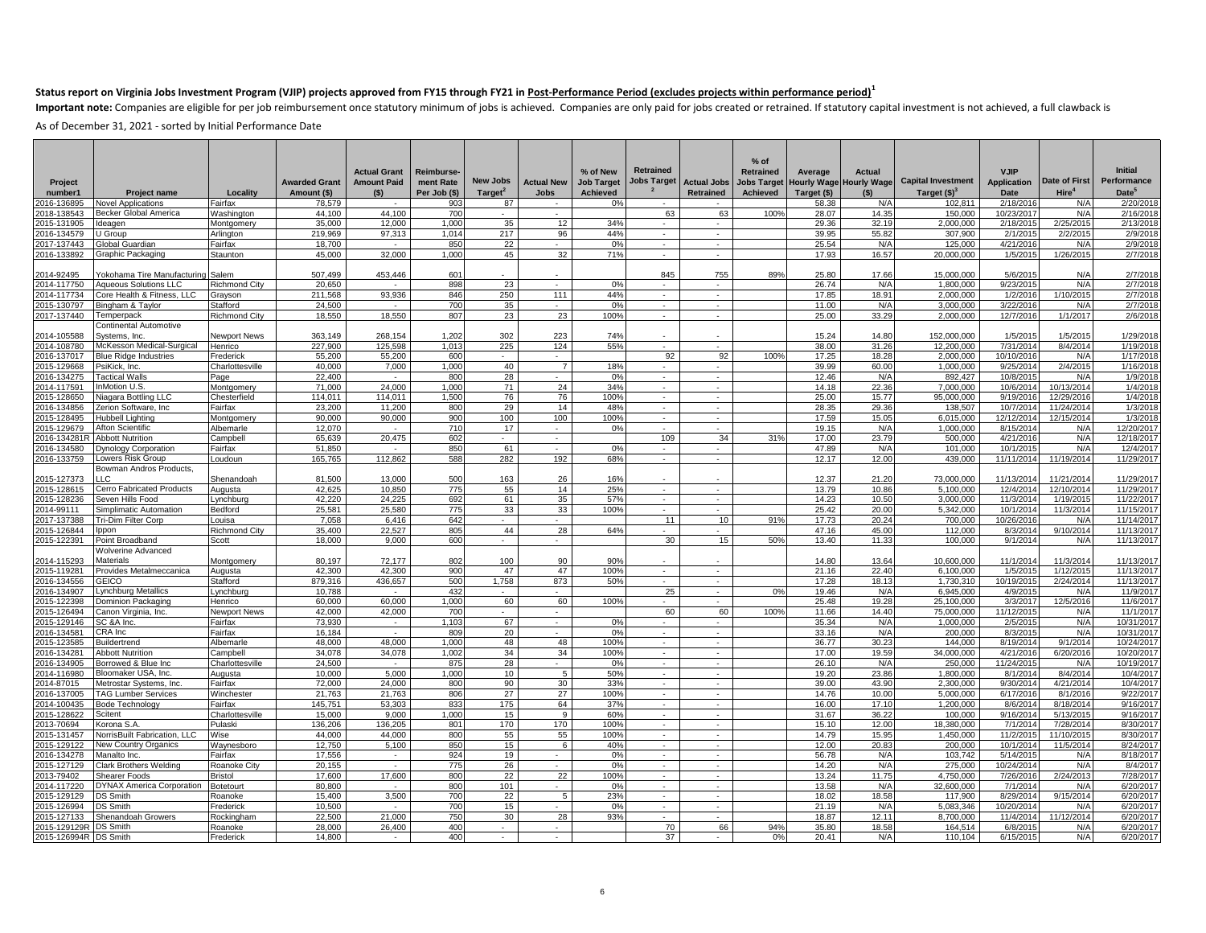Important note: Companies are eligible for per job reimbursement once statutory minimum of jobs is achieved. Companies are only paid for jobs created or retrained. If statutory capital investment is not achieved, a full cl

| Project<br>number1<br>2016-136895 | <b>Project name</b><br><b>Novel Applications</b> | Locality<br>Fairfax         | <b>Awarded Grant</b><br>Amount (\$)<br>78,579 | <b>Actual Grant</b><br><b>Amount Paid</b><br>(5) | <b>Reimburse</b><br>ment Rate<br>Per Job (\$)<br>903 | New Jobs<br>Target <sup>2</sup><br>87 | <b>Actual New</b><br><b>Jobs</b> | % of New<br><b>Job Target</b><br><b>Achieved</b><br>0% | <b>Retrained</b><br>Jobs Target | <b>Actual Jobs</b><br>Retrained    | $%$ of<br>Retrained<br>Achieved | Average<br><b>Jobs Target Hourly Wage</b><br>Target (\$)<br>58.38 | Actual<br><b>Hourly Wage</b><br>(S)<br>N/A | <b>Capital Investment</b><br>Target $(§)3$<br>102,811 | <b>VJIP</b><br><b>Application</b><br><b>Date</b><br>2/18/201 | Date of First<br>Hire <sup>4</sup><br>N/A | <b>Initial</b><br>Performance<br>Date <sup>5</sup><br>2/20/2018 |
|-----------------------------------|--------------------------------------------------|-----------------------------|-----------------------------------------------|--------------------------------------------------|------------------------------------------------------|---------------------------------------|----------------------------------|--------------------------------------------------------|---------------------------------|------------------------------------|---------------------------------|-------------------------------------------------------------------|--------------------------------------------|-------------------------------------------------------|--------------------------------------------------------------|-------------------------------------------|-----------------------------------------------------------------|
| 018-138543                        | Becker Global America                            | <b>Nashington</b>           | 44,100                                        | 44,100                                           | 700                                                  |                                       |                                  |                                                        | 63                              | 63                                 | 100%                            | 28.07                                                             | 14.35                                      | 150,000                                               | 10/23/201                                                    | N/A                                       | 2/16/201                                                        |
| 2015-131905                       | deagen                                           | Montgomen                   | 35,000                                        | 12.000                                           | 1.000                                                | 35                                    | 12                               | 34%                                                    |                                 |                                    |                                 | 29.36                                                             | 32.19                                      | 2,000,000                                             | 2/18/201                                                     | 2/25/2015                                 | 2/13/2018                                                       |
| 2016-134579                       | U Group                                          | Arlington                   | 219.969                                       | 97,313                                           | 1.014                                                | 217                                   | 96                               | 44%                                                    | $\sim$                          | $\overline{\phantom{a}}$           |                                 | 39.95                                                             | 55.82                                      | 307,900                                               | 2/1/201                                                      | 2/2/2015                                  | 2/9/2018                                                        |
| 017-137443                        | Global Guardian                                  | Fairfax                     | 18,700                                        | $\overline{\phantom{a}}$                         | 850                                                  | 22                                    |                                  | 0%                                                     | $\sim$                          | $\sim$                             |                                 | 25.54                                                             | N/A                                        | 125,000                                               | 4/21/201                                                     | N/A                                       | 2/9/2018                                                        |
| 2016-133892                       | Graphic Packaging                                | Staunton                    | 45.000                                        | 32,000                                           | 1.000                                                | 45                                    | 32                               | 71%                                                    | $\sim$                          | $\sim$                             |                                 | 17.93                                                             | 16.57                                      | 20.000.000                                            | 1/5/201                                                      | 1/26/2015                                 | 2/7/2018                                                        |
|                                   |                                                  |                             |                                               |                                                  |                                                      |                                       |                                  |                                                        |                                 |                                    |                                 |                                                                   |                                            |                                                       |                                                              |                                           |                                                                 |
| 2014-92495                        | Yokohama Tire Manufacturino                      | Salem                       | 507,499                                       | 453,446                                          | 601                                                  |                                       |                                  |                                                        | 845                             | 755                                | 89%                             | 25.80                                                             | 17.66                                      | 15,000,000                                            | 5/6/201                                                      | N/A                                       | 2/7/2018                                                        |
| 2014-117750                       | <b>Agueous Solutions LLC</b>                     | <b>Richmond City</b>        | 20.650                                        |                                                  | 898                                                  | 23                                    | ٠                                | 0%                                                     |                                 | $\overline{\phantom{a}}$           |                                 | 26.74                                                             | N/A                                        | 1.800.000                                             | 9/23/201                                                     | N/A                                       | 2/7/2018                                                        |
| 014-117734                        | Core Health & Fitness, LLC                       | Grayson                     | 211,568                                       | 93,936                                           | 846                                                  | 250                                   | 111                              | 44%                                                    | $\sim$                          | $\sim$                             |                                 | 17.85                                                             | 18.91                                      | 2.000.000                                             | 1/2/201                                                      | 1/10/2015                                 | 2/7/2018                                                        |
| 2015-130797                       | Bingham & Taylor                                 | Stafford                    | 24.500                                        | $\sim$                                           | 700                                                  | 35                                    | $\sim$                           | 0%                                                     | $\sim$                          | $\sim$                             |                                 | 11.00                                                             | N/A                                        | 3.000.000                                             | 3/22/201                                                     | N/A                                       | 2/7/2018                                                        |
| 2017-137440                       | Temperpack                                       | <b>Richmond City</b>        | 18.550                                        | 18.550                                           | 807                                                  | 23                                    | 23                               | 100%                                                   | $\sim$                          | ÷.                                 |                                 | 25.00                                                             | 33.29                                      | 2.000.000                                             | 12/7/201                                                     | 1/1/2017                                  | 2/6/2018                                                        |
|                                   | Continental Automotive                           |                             |                                               |                                                  |                                                      |                                       |                                  |                                                        |                                 |                                    |                                 |                                                                   |                                            |                                                       |                                                              |                                           |                                                                 |
| 2014-105588                       | Systems, Inc                                     | <b>Newport News</b>         | 363.149                                       | 268.154                                          | 1,202                                                | 302                                   | 223                              | 74%                                                    |                                 |                                    |                                 | 15.24                                                             | 14.80                                      | 152.000.000                                           | 1/5/201                                                      | 1/5/201                                   | 1/29/2018                                                       |
| 2014-108780                       | McKesson Medical-Surgical                        | Henrico                     | 227,900                                       | 125,598                                          | 1,013                                                | 225                                   | 124                              | 55%                                                    | $\sim$                          | $\sim$                             |                                 | 38.00                                                             | 31.26                                      | 12,200,000                                            | 7/31/201                                                     | 8/4/2014                                  | 1/19/2018                                                       |
| 2016-137017                       | <b>Blue Ridge Industries</b>                     | Frederick                   | 55,200                                        | 55,200                                           | 600                                                  | $\sim$                                | $\sim$<br>$\overline{7}$         |                                                        | 92<br>$\sim$                    | 92<br>×                            | 100%                            | 17.25                                                             | 18.28                                      | 2,000,000                                             | 10/10/201                                                    | N/A                                       | 1/17/201                                                        |
| 2015-129668<br>2016-134275        | PsiKick, Inc.                                    | Charlottesville             | 40.000<br>22,400                              | 7.000                                            | 1.000<br>800                                         | 40<br>28                              |                                  | 18%<br>0%                                              | $\sim$                          | ×.                                 |                                 | 39.99<br>12.46                                                    | 60.00<br>N/A                               | 1.000.000<br>892,427                                  | 9/25/201<br>10/8/201                                         | 2/4/2015<br>N/A                           | 1/16/201<br>1/9/201                                             |
| 2014-117591                       | <b>Tactical Walls</b><br>InMotion U.S.           | Page<br>Montgomery          | 71.000                                        | 24.000                                           | 1,000                                                | 71                                    | 24                               | 34%                                                    | $\sim$                          | $\sim$                             |                                 | 14.18                                                             | 22.36                                      | 7,000,000                                             | 10/6/201                                                     | 10/13/2014                                | 1/4/201                                                         |
| 2015-128650                       | Niagara Bottling LLC                             | Chesterfield                | 114.011                                       | 114.011                                          | 1.500                                                | 76                                    | 76                               | 100%                                                   |                                 |                                    |                                 | 25.00                                                             | 15.77                                      | 95.000.000                                            | 9/19/201                                                     | 12/29/2016                                | 1/4/2018                                                        |
| 2016-134856                       | Zerion Software, Inc                             | Fairfax                     | 23,200                                        | 11,200                                           | 800                                                  | 29                                    | 14                               | 48%                                                    | $\sim$                          | $\sim$                             |                                 | 28.35                                                             | 29.36                                      | 138,507                                               | 10/7/2014                                                    | 11/24/2014                                | 1/3/2018                                                        |
| 2015-128495                       | <b>Hubbell Lighting</b>                          | Montgomery                  | 90.000                                        | 90.000                                           | 900                                                  | 100                                   | 100                              | 100%                                                   | $\sim$                          | $\sim$                             |                                 | 17.59                                                             | 15.05                                      | 6.015.000                                             | 12/12/201                                                    | 12/15/2014                                | 1/3/2018                                                        |
| 015-129679                        | Afton Scientific                                 | Albemarle                   | 12,070                                        |                                                  | 710                                                  | 17                                    |                                  | 0%                                                     |                                 | ×.                                 |                                 | 19.15                                                             | N/A                                        | 1,000,000                                             | 8/15/201                                                     | N/A                                       | 12/20/2017                                                      |
| 2016-134281                       | <b>Abbott Nutrition</b>                          | Campbell                    | 65,639                                        | 20,475                                           | 602                                                  | $\sim$                                | $\mathcal{L}_{\mathcal{A}}$      |                                                        | 109                             | 34                                 | 31%                             | 17.00                                                             | 23.79                                      | 500,000                                               | 4/21/201                                                     | N/A                                       | 12/18/2017                                                      |
| 2016-134580                       | <b>Dynology Corporation</b>                      | Fairfax                     | 51.850                                        | $\overline{\phantom{a}}$                         | 850                                                  | 61                                    | $\sim$                           | 0%                                                     | $\sim$                          | ٠                                  |                                 | 47.89                                                             | N/A                                        | 101.000                                               | 10/1/201                                                     | N/A                                       | 12/4/2017                                                       |
| 2016-133759                       | Lowers Risk Group                                | Loudoun                     | 165,765                                       | 112,862                                          | 588                                                  | 282                                   | 192                              | 68%                                                    | $\sim$                          | $\sim$                             |                                 | 12.17                                                             | 12.00                                      | 439,000                                               | 11/11/2014                                                   | 11/19/2014                                | 11/29/2017                                                      |
|                                   | Bowman Andros Products,                          |                             |                                               |                                                  |                                                      |                                       |                                  |                                                        |                                 |                                    |                                 |                                                                   |                                            |                                                       |                                                              |                                           |                                                                 |
| 2015-127373                       | LC.                                              | Shenandoah                  | 81.500                                        | 13.000                                           | 500                                                  | 163                                   | 26                               | 16%                                                    |                                 |                                    |                                 | 12.37                                                             | 21.20                                      | 73,000,000                                            | 11/13/201                                                    | 11/21/2014                                | 11/29/2017                                                      |
| 2015-128615                       | Cerro Fabricated Products                        | Augusta                     | 42.625                                        | 10.850                                           | 775                                                  | 55                                    | 14                               | 25%                                                    |                                 | in 19                              |                                 | 13.79                                                             | 10.86                                      | 5.100.000                                             | 12/4/201                                                     | 12/10/2014                                | 11/29/2017                                                      |
| 2015-128236<br>014-99111          | Seven Hills Food<br>Simplimatic Automation       | Lynchburg                   | 42,220<br>25,581                              | 24.225<br>25,580                                 | 692<br>775                                           | 61<br>33                              | 35<br>33                         | 57%<br>100%                                            | $\sim$                          | $\overline{\phantom{a}}$<br>$\sim$ |                                 | 14.23<br>25.42                                                    | 10.50<br>20.00                             | 3.000.000<br>5,342,000                                | 11/3/201                                                     | 1/19/2015<br>11/3/2014                    | 11/22/2017<br>11/15/2017                                        |
| 2017-137388                       | Tri-Dim Filter Corp                              | Bedford<br>Louisa           | 7,058                                         | 6,416                                            | 642                                                  | $\sim$                                | a.                               |                                                        | 11                              | 10                                 | 91%                             | 17.73                                                             | 20.24                                      | 700,000                                               | 10/1/201<br>10/26/201                                        | N/A                                       | 11/14/2017                                                      |
| 2015-126844                       | ppon                                             | <b>Richmond City</b>        | 35.400                                        | 22.527                                           | 805                                                  | 44                                    | 28                               | 64%                                                    |                                 |                                    |                                 | 47.16                                                             | 45.00                                      | 112,000                                               | 8/3/201                                                      | 9/10/2014                                 | 11/13/2017                                                      |
| 2015-122391                       | Point Broadband                                  | Scott                       | 18,000                                        | 9.000                                            | 600                                                  |                                       |                                  |                                                        | 30                              | 15                                 | 50%                             | 13.40                                                             | 11.33                                      | 100,000                                               | 9/1/201                                                      | N/A                                       | 11/13/2017                                                      |
|                                   | <b>Nolverine Advanced</b>                        |                             |                                               |                                                  |                                                      |                                       |                                  |                                                        |                                 |                                    |                                 |                                                                   |                                            |                                                       |                                                              |                                           |                                                                 |
| 2014-115293                       | Materials                                        | Montgomery                  | 80,197                                        | 72.177                                           | 802                                                  | 100                                   | 90                               | 90%                                                    |                                 |                                    |                                 | 14.80                                                             | 13.64                                      | 10,600,000                                            | 11/1/201                                                     | 11/3/2014                                 | 11/13/2017                                                      |
| 2015-119281                       | Provides Metalmeccanica                          | Augusta                     | 42,300                                        | 42.300                                           | 900                                                  | 47                                    | 47                               | 100%                                                   | $\sim$                          | $\sim$                             |                                 | 21.16                                                             | 22.40                                      | 6.100.000                                             | 1/5/201                                                      | 1/12/201                                  | 11/13/2017                                                      |
| 2016-134556                       | <b>GEICO</b>                                     | Stafford                    | 879.316                                       | 436.657                                          | 500                                                  | 1.758                                 | 873                              | 50%                                                    |                                 | $\sim$                             |                                 | 17.28                                                             | 18.13                                      | 1.730.310                                             | 10/19/201                                                    | 2/24/2014                                 | 11/13/2017                                                      |
| 2016-134907                       | Lynchburg Metallics                              | Lynchburg                   | 10,788                                        |                                                  | 432                                                  |                                       |                                  |                                                        | 25                              | $\sim$                             | 0%                              | 19.46                                                             | N/A                                        | 6,945,000                                             | 4/9/201                                                      | N/A                                       | 11/9/2017                                                       |
| 2015-122398                       | Dominion Packaging                               | Henrico                     | 60.000                                        | 60.000                                           | 1.000                                                | 60                                    | 60                               | 100%                                                   |                                 |                                    |                                 | 25.48                                                             | 19.28                                      | 25.100.000                                            | 3/3/201                                                      | 12/5/2016                                 | 11/6/2017                                                       |
| 2015-126494                       | Canon Virginia, Inc.                             | Newport News                | 42,000                                        | 42.000                                           | 700                                                  |                                       | ۰.                               |                                                        | 60                              | 60                                 | 100%                            | 11.66                                                             | 14.40                                      | 75,000,000                                            | 11/12/201                                                    | N/A                                       | 11/1/2017                                                       |
| 2015-129146                       | SC &A Inc.                                       | Fairfax                     | 73.930                                        | $\sim$                                           | 1.103                                                | 67                                    | $\sim$                           | 0%                                                     | $\sim$                          | ٠                                  |                                 | 35.34                                                             | N/A                                        | 1.000.000                                             | 2/5/201                                                      | N/A                                       | 10/31/2017                                                      |
| 2016-134581                       | CRA Inc                                          | Fairfax                     | 16.184                                        | $\sim$                                           | 809                                                  | 20                                    |                                  | 0%                                                     | a.<br>$\sim$                    | ×.<br>×.                           |                                 | 33.16                                                             | N/A                                        | 200.000                                               | 8/3/201                                                      | N/A                                       | 10/31/2017                                                      |
| 2015-123585                       | <b>Buildertrend</b>                              | Albemarle                   | 48,000<br>34.078                              | 48,000                                           | 1,000                                                | 48<br>34                              | 48<br>34                         | 100%                                                   |                                 |                                    |                                 | 36.77                                                             | 30.23                                      | 144,000                                               | 8/19/201                                                     | 9/1/2014<br>6/20/2016                     | 10/24/2017                                                      |
| 2016-134281<br>2016-134905        | <b>Abbott Nutrition</b><br>Borrowed & Blue Inc   | Campbell<br>Charlottesville | 24.500                                        | 34,078<br>$\overline{\phantom{a}}$               | 1,002<br>875                                         | 28                                    | $\sim$                           | 100%<br>0%                                             | $\sim$                          | $\sim$<br>$\sim$                   |                                 | 17.00<br>26.10                                                    | 19.59<br>N/A                               | 34,000,000<br>250.000                                 | 4/21/201<br>11/24/201                                        | N/A                                       | 10/20/2017<br>10/19/2017                                        |
| 2014-116980                       | Bloomaker USA, Inc.                              | Augusta                     | 10,000                                        | 5,000                                            | 1,000                                                | 10                                    | 5                                | 50%                                                    | $\sim$<br>$\sim$                | $\sim$                             |                                 | 19.20                                                             | 23.86                                      | 1,800,000                                             | 8/1/201                                                      | 8/4/2014                                  | 10/4/2011                                                       |
| 2014-87015                        | Metrostar Systems, Inc.                          | Fairfax                     | 72.000                                        | 24.000                                           | 800                                                  | 90                                    | 30                               | 33%                                                    | $\sim$                          | $\sim$                             |                                 | 39.00                                                             | 43.90                                      | 2.300.000                                             | 9/30/201                                                     | 4/21/2014                                 | 10/4/2011                                                       |
| 2016-137005                       | <b>TAG Lumber Services</b>                       | Winchester                  | 21,763                                        | 21.763                                           | 806                                                  | 27                                    | 27                               | 100%                                                   | a.                              | n.                                 |                                 | 14.76                                                             | 10.00                                      | 5,000,000                                             | 6/17/201                                                     | 8/1/2016                                  | 9/22/2011                                                       |
| 2014-100435                       | <b>Bode Technology</b>                           | Fairfax                     | 145,751                                       | 53,303                                           | 833                                                  | 175                                   | 64                               | 37%                                                    | $\sim$                          | ٠                                  |                                 | 16.00                                                             | 17.10                                      | 1,200,000                                             | 8/6/201                                                      | 8/18/2014                                 | 9/16/2017                                                       |
| 2015-128622                       | Scitent                                          | Charlottesville             | 15,000                                        | 9.000                                            | 000,                                                 | 15                                    | 9                                | 60%                                                    | $\sim$                          | $\sim$                             |                                 | 31.67                                                             | 36.22                                      | 100.000                                               | 9/16/201                                                     | 5/13/2015                                 | 9/16/2017                                                       |
| 2013-70694                        | Korona S.A                                       | Pulaski                     | 136,206                                       | 136,205                                          | 801                                                  | 170                                   | 170                              | 100%                                                   | $\sim$                          | $\sim$                             |                                 | 15.10                                                             | 12.00                                      | 18,380,000                                            | 7/1/201                                                      | 7/28/2014                                 | 8/30/2017                                                       |
| 2015-131457                       | NorrisBuilt Fabrication, LLC                     | Wise                        | 44.000                                        | 44.000                                           | 800                                                  | 55                                    | 55                               | 100%                                                   | $\sim$                          | $\sim$                             |                                 | 14.79                                                             | 15.95                                      | 1.450.000                                             | 11/2/201                                                     | 11/10/2015                                | 8/30/2017                                                       |
| 2015-129122                       | <b>New Country Organics</b>                      | Waynesboro                  | 12,750                                        | 5,100                                            | 850                                                  | 15                                    | 6                                | 40%                                                    | $\sim$                          | in 19                              |                                 | 12.00                                                             | 20.83                                      | 200,000                                               | 10/1/201                                                     | 11/5/2014                                 | 8/24/2017                                                       |
| 2016-134278                       | Manalto Inc.                                     | Fairfax                     | 17,556                                        | $\sim$                                           | 924                                                  | 19                                    |                                  | 0%                                                     | $\sim$                          | ä,                                 |                                 | 56.78                                                             | N/A                                        | 103,742                                               | 5/14/201                                                     | N/A                                       | 8/18/2017                                                       |
| 2015-127129                       | <b>Clark Brothers Welding</b>                    | Roanoke City                | 20,155                                        | $\sim$                                           | 775                                                  | 26                                    | $\sim$                           | 0%                                                     | $\sim$                          | $\sim$                             |                                 | 14.20                                                             | N/A                                        | 275,000                                               | 10/24/2014                                                   | N/A                                       | 8/4/2017                                                        |
| 2013-79402                        | <b>Shearer Foods</b>                             | <b>Bristol</b>              | 17,600                                        | 17,600                                           | 800                                                  | 22                                    | 22                               | 100%                                                   | $\sim$                          | $\sim$                             |                                 | 13.24                                                             | 11.75                                      | 4,750,000                                             | 7/26/201                                                     | 2/24/2013                                 | 7/28/2017                                                       |
| 2014-117220                       | <b>DYNAX America Corporation</b>                 | Botetour                    | 80,800                                        |                                                  | 800                                                  | 101                                   | $\sim$                           | 0%                                                     | $\sim$                          | $\sim$                             |                                 | 13.58                                                             | N/A                                        | 32,600,000                                            | 7/1/201                                                      | N/A                                       | 6/20/2017                                                       |
| 2015-129129                       | <b>DS</b> Smith                                  | Roanoke                     | 15,400                                        | 3,500                                            | 700                                                  | 22                                    | 5                                | 23%                                                    | $\sim$                          | $\sim$                             |                                 | 18.02                                                             | 18.58                                      | 117,900                                               | 8/29/201                                                     | 9/15/2014                                 | 6/20/2011                                                       |
| 2015-126994                       | <b>DS Smith</b>                                  | Frederick                   | 10.500<br>22,500                              | $\sim$<br>21.000                                 | 700                                                  | 15                                    | $\sim$                           | 0%                                                     | $\sim$                          | $\sim$                             |                                 | 21.19                                                             | N/A                                        | 5.083.346                                             | 10/20/201                                                    | N/A                                       | 6/20/2017                                                       |
| 2015-127133<br>2015-129129R       | Shenandoah Growers<br><b>DS Smith</b>            | Rockingham<br>Roanoke       | 28,000                                        | 26.400                                           | 750<br>400                                           | 30<br>$\sim$                          | 28<br>$\sim$                     | 93%                                                    | 70                              | $\overline{\phantom{a}}$<br>66     | 94%                             | 18.87<br>35.80                                                    | 12.11<br>18.58                             | 8.700.000<br>164,514                                  | 11/4/201<br>6/8/201                                          | 11/12/2014<br>N/A                         | 6/20/2017<br>6/20/2017                                          |
| 2015-126994R DS Smith             |                                                  | Frederick                   | 14.800                                        |                                                  | 400                                                  | $\sim$                                | $\sim$                           |                                                        | 37                              | $\sim$                             | 0%                              | 20.41                                                             | N/A                                        | 110.104                                               | 6/15/201                                                     | N/A                                       | 6/20/2017                                                       |
|                                   |                                                  |                             |                                               |                                                  |                                                      |                                       |                                  |                                                        |                                 |                                    |                                 |                                                                   |                                            |                                                       |                                                              |                                           |                                                                 |